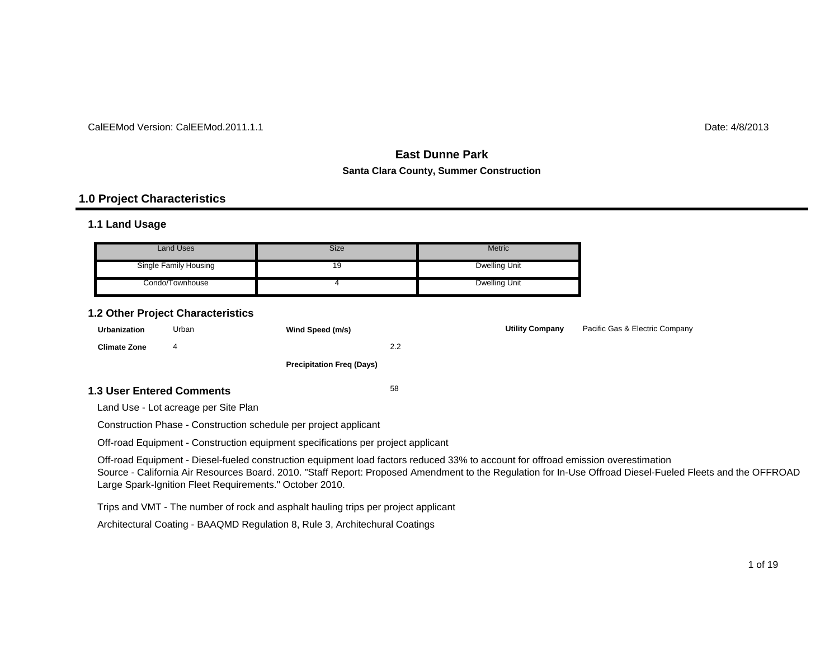#### CalEEMod Version: CalEEMod.2011.1.1

# $\blacksquare$  determines the contract of the contract of the contract of the contract of the contract of the contract of the contract of the contract of the contract of the contract of the contract of the contract of the contrac

# **East Dunne ParkSanta Clara County, Summer Construction**

#### **1.0 Project Characteristics**

#### **1.1 Land Usage**

| <b>Land Uses</b>      | Size | <b>Metric</b>        |
|-----------------------|------|----------------------|
| Single Family Housing | 19   | Dwelling Unit        |
| Condo/Townhouse       |      | <b>Dwelling Unit</b> |

#### **1.2 Other Project Characteristics**

| <b>Urbanization</b>     | Urban | Wind Speed (m/s)                 |     | <b>Utility Company</b> | Pacific Gas & Electric Company |
|-------------------------|-------|----------------------------------|-----|------------------------|--------------------------------|
| <b>Climate Zone</b>     | 4     |                                  | 2.2 |                        |                                |
|                         |       | <b>Precipitation Freg (Days)</b> |     |                        |                                |
| 3 Hear Enterad Commante |       |                                  | 58  |                        |                                |

#### **1.3 User Entered Comments**

Land Use - Lot acreage per Site Plan

Construction Phase - Construction schedule per project applicant

Off-road Equipment - Construction equipment specifications per project applicant

Off-road Equipment - Diesel-fueled construction equipment load factors reduced 33% to account for offroad emission overestimation Source - California Air Resources Board. 2010. "Staff Report: Proposed Amendment to the Regulation for In-Use Offroad Diesel-Fueled Fleets and the OFFROAD Large Spark-Ignition Fleet Requirements." October 2010.

Trips and VMT - The number of rock and asphalt hauling trips per project applicant

Architectural Coating - BAAQMD Regulation 8, Rule 3, Architechural Coatings

1 of 19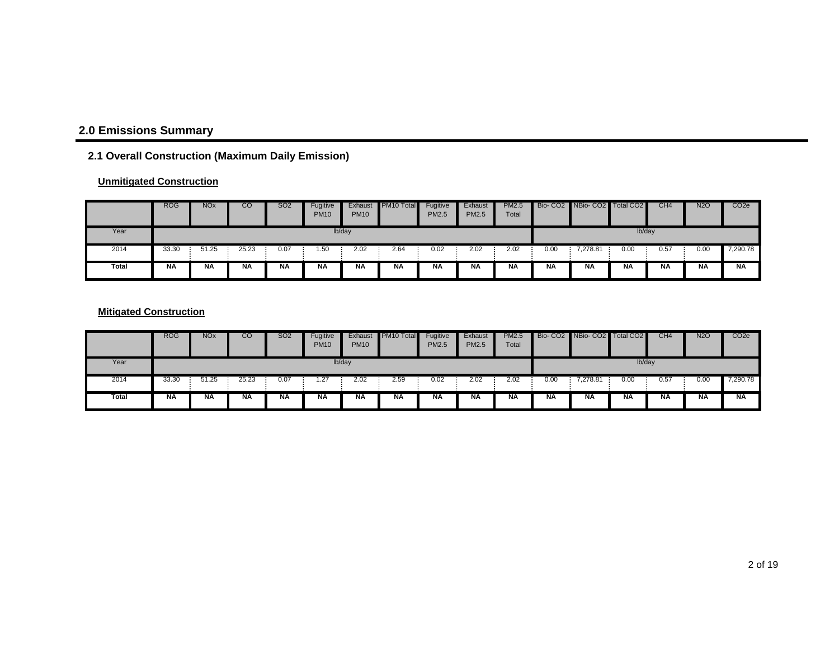# **2.0 Emissions Summary**

# **2.1 Overall Construction (Maximum Daily Emission)**

#### **Unmitigated Construction**

|       | <b>ROG</b> | <b>NO<sub>x</sub></b> | CO    | <b>SO2</b> | Fugitive<br><b>PM10</b> | Exhaust<br><b>PM10</b> | PM <sub>10</sub> Total | Fugitive<br><b>PM2.5</b> | Exhaust<br><b>PM2.5</b> | <b>PM2.5</b><br>Total |           | Bio-CO2 NBio-CO2 Total CO2 |        | CH4       | <b>N2O</b> | CO <sub>2</sub> e |
|-------|------------|-----------------------|-------|------------|-------------------------|------------------------|------------------------|--------------------------|-------------------------|-----------------------|-----------|----------------------------|--------|-----------|------------|-------------------|
| Year  |            |                       |       |            |                         | lb/day                 |                        |                          |                         |                       |           |                            | lb/day |           |            |                   |
| 2014  | 33.30      | 51.25                 | 25.23 | 0.07       | 1.50                    | 2.02                   | 2.64                   | 0.02                     | 2.02                    | 2.02                  | 0.00      | 7,278.81                   | 0.00   | 0.57      | 0.00       | 7,290.78          |
| Total | <b>NA</b>  | <b>NA</b>             | ΝA    | ΝA         | <b>NA</b>               | <b>NA</b>              | <b>NA</b>              | NA                       | <b>NA</b>               | ΝA                    | <b>NA</b> | NA                         | ΝA     | <b>NA</b> | <b>NA</b>  | <b>NA</b>         |

#### **Mitigated Construction**

|       | <b>ROG</b> | <b>NO<sub>x</sub></b> | CO        | SO2       | Fugitive<br><b>PM10</b> | Exhaust<br><b>PM10</b> | PM <sub>10</sub> Total | Fugitive<br><b>PM2.5</b> | Exhaust<br><b>PM2.5</b> | <b>PM2.5</b><br>Total |           | Bio- CO2 NBio- CO2 Total CO2 |           | CH <sub>4</sub> | <b>N2O</b> | CO <sub>2e</sub> |
|-------|------------|-----------------------|-----------|-----------|-------------------------|------------------------|------------------------|--------------------------|-------------------------|-----------------------|-----------|------------------------------|-----------|-----------------|------------|------------------|
| Year  |            |                       |           |           |                         | lb/day                 |                        |                          |                         |                       |           |                              | lb/day    |                 |            |                  |
| 2014  | 33.30      | 51.25                 | 25.23     | 0.07      | 1.27                    | 2.02                   | 2.59                   | 0.02                     | 2.02                    | 2.02                  | 0.00      | 7,278.81                     | 0.00      | 0.57            | 0.00       | 7,290.78         |
| Total | <b>NA</b>  | <b>NA</b>             | <b>NA</b> | <b>NA</b> | <b>NA</b>               | <b>NA</b>              | <b>NA</b>              | <b>NA</b>                | <b>NA</b>               | <b>NA</b>             | <b>NA</b> | <b>NA</b>                    | <b>NA</b> | <b>NA</b>       | <b>NA</b>  | <b>NA</b>        |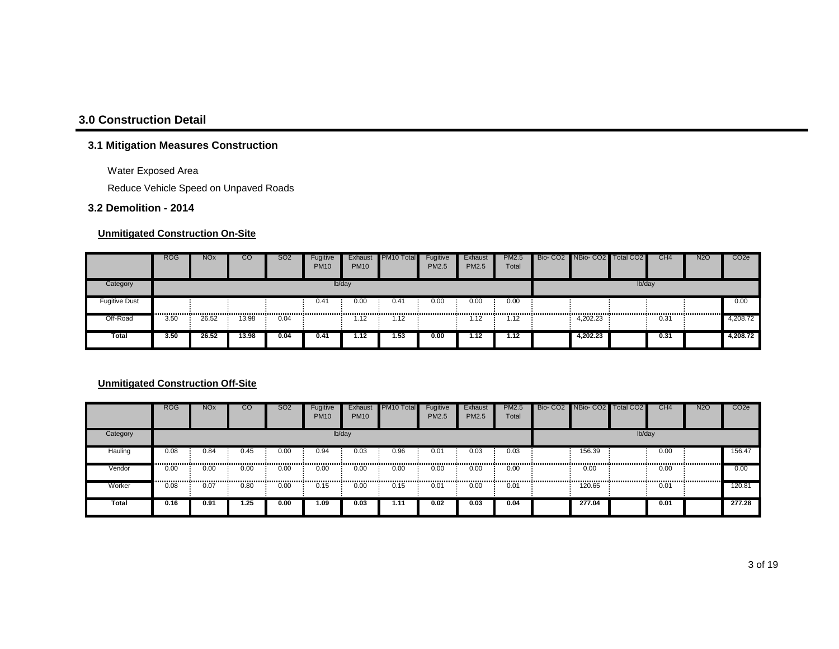# **3.0 Construction Detail**

#### **3.1 Mitigation Measures Construction**

Water Exposed Area

Reduce Vehicle Speed on Unpaved Roads

#### **3.2 Demolition - 2014**

#### **Unmitigated Construction On-Site**

|                      | <b>ROG</b> | <b>NO<sub>x</sub></b> | CO    | SO <sub>2</sub> | Fugitive<br><b>PM10</b> | Exhaust<br><b>PM10</b> | PM10 Total | Fugitive<br><b>PM2.5</b> | Exhaust<br>PM2.5 | <b>PM2.5</b><br>Total | Bio- CO2 NBio- CO2 Total CO2 |        | CH <sub>4</sub> | <b>N2O</b> | CO <sub>2</sub> e |
|----------------------|------------|-----------------------|-------|-----------------|-------------------------|------------------------|------------|--------------------------|------------------|-----------------------|------------------------------|--------|-----------------|------------|-------------------|
| Category             |            |                       |       |                 |                         | lb/day                 |            |                          |                  |                       |                              | lb/day |                 |            |                   |
| <b>Fugitive Dust</b> |            |                       |       |                 | 0.41                    | 0.00                   | 0.41       | 0.00                     | 0.00             | 0.00                  |                              |        |                 |            | 0.00              |
| Off-Road             | <br>3.50   | 26.52                 | 13.98 | 0.04            |                         | 1.12                   | 1.12       |                          | l.12             | 1.12                  | 4,202.23                     |        | 0.31            |            | 4,208.72          |
| Total                | 3.50       | 26.52                 | 13.98 | 0.04            | 0.41                    | 1.12                   | 1.53       | 0.00                     | 1.12             | 1.12                  | 4.202.23                     |        | 0.31            |            | 4,208.72          |

|          | <b>ROG</b> | <b>NO<sub>x</sub></b> | <sub>CO</sub> | SO <sub>2</sub> | Fugitive<br><b>PM10</b> | Exhaust<br><b>PM10</b> | PM <sub>10</sub> Total | Fugitive<br><b>PM2.5</b> | Exhaust<br><b>PM2.5</b> | <b>PM2.5</b><br>Total |                 | Bio- CO2 NBio- CO2 Total CO2 |        | CH <sub>4</sub> | <b>N2O</b> | CO <sub>2</sub> e |
|----------|------------|-----------------------|---------------|-----------------|-------------------------|------------------------|------------------------|--------------------------|-------------------------|-----------------------|-----------------|------------------------------|--------|-----------------|------------|-------------------|
| Category |            |                       |               |                 |                         | lb/day                 |                        |                          |                         |                       |                 |                              | lb/day |                 |            |                   |
| Hauling  | 0.08<br>   | 0.84<br>              | 0.45          | 0.00            | 0.94<br>.               | 0.03                   | 0.96                   | 0.01                     | 0.03                    | 0.03                  |                 | 156.39<br>                   |        | 0.00            |            | 156.47            |
| Vendor   | 0.00       | 0.00                  | 0.00<br>      | 0.00            | 0.00                    | 0.00                   | 0.00                   | 0.00                     | 0.00<br>                | 0.00                  | --------------- | 0.00<br>                     |        | 0.00            |            | 0.00              |
| Worker   | 0.08       | 0.07                  | 0.80          | 0.00            | 0.15                    | 0.00                   | 0.15                   | 0.01                     | 0.00                    | 0.01                  |                 | 120.65                       |        | 0.01            |            | 120.81            |
| Total    | 0.16       | 0.91                  | 1.25          | 0.00            | 1.09                    | 0.03                   | 1.11                   | 0.02                     | 0.03                    | 0.04                  |                 | 277.04                       |        | 0.01            |            | 277.28            |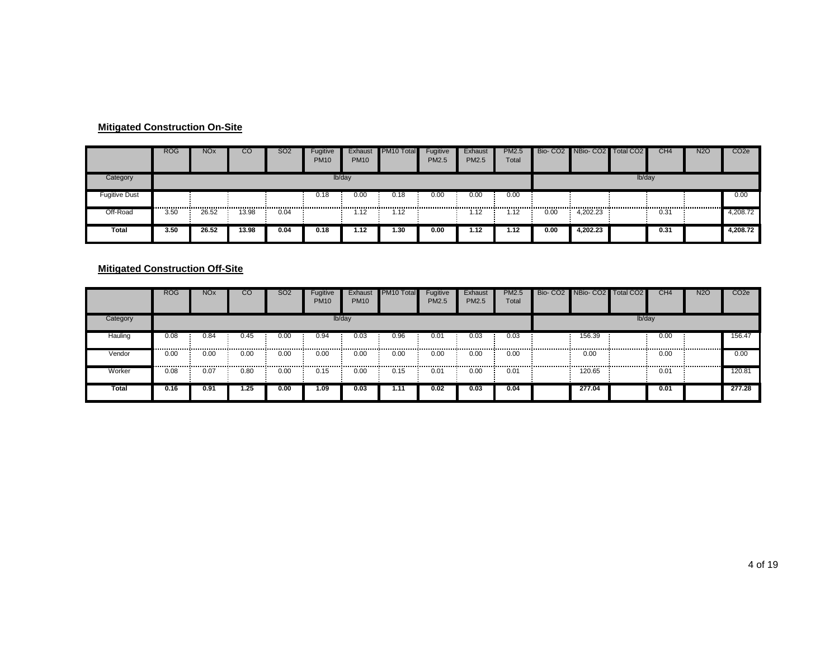#### **Mitigated Construction On-Site**

|                      | <b>ROG</b> | <b>NO<sub>x</sub></b> | CO    | S <sub>O2</sub> | Fugitive<br><b>PM10</b> | Exhaust<br><b>PM10</b> | PM <sub>10</sub> Total | Fugitive<br><b>PM2.5</b> | Exhaust<br>PM2.5 | PM2.5<br>Total |      | Bio- CO2 NBio- CO2 Total CO2 |        | CH4  | <b>N2O</b> | CO <sub>2e</sub> |
|----------------------|------------|-----------------------|-------|-----------------|-------------------------|------------------------|------------------------|--------------------------|------------------|----------------|------|------------------------------|--------|------|------------|------------------|
| Category             |            |                       |       |                 |                         | lb/day                 |                        |                          |                  |                |      |                              | lb/day |      |            |                  |
| <b>Fugitive Dust</b> |            |                       |       |                 | 0.18                    | 0.00                   | 0.18                   | 0.00                     | 0.00             | 0.00           |      |                              |        |      |            | 0.00             |
| Off-Road             | 3.50       | 26.52                 | 13.98 | 0.04            |                         | 1.12                   | 1.12                   |                          | 1.12             | 1.12           | 0.00 | 4.202.23                     |        | 0.31 |            | 4,208.72         |
| Total                | 3.50       | 26.52                 | 13.98 | 0.04            | 0.18                    | 1.12                   | 1.30                   | 0.00                     | 1.12             | 1.12           | 0.00 | 1.202.23                     |        | 0.31 |            | 4,208.72         |

#### **Mitigated Construction Off-Site**

|          | <b>ROG</b> | <b>NO<sub>x</sub></b> | CO   | <b>SO2</b> | Fugitive<br><b>PM10</b> | Exhaust<br><b>PM10</b> | <b>PM10 Total</b> | Fugitive<br>PM2.5 | Exhaust<br><b>PM2.5</b> | PM2.5<br>Total |   | Bio- CO2 NBio- CO2 Total CO2 |        | CH <sub>4</sub> | <b>N2O</b> | CO <sub>2</sub> e |
|----------|------------|-----------------------|------|------------|-------------------------|------------------------|-------------------|-------------------|-------------------------|----------------|---|------------------------------|--------|-----------------|------------|-------------------|
| Category |            |                       |      |            |                         | lb/day                 |                   |                   |                         |                |   |                              | lb/day |                 |            |                   |
| Hauling  | 0.08       | 0.84                  | 0.45 | 0.00<br>   | 0.94                    | 0.03                   | 0.96              | 0.01              | 0.03                    | 0.03<br>       | . | 156.39                       |        | 0.00            |            | 156.47            |
| Vendor   | 0.00       | 0.00<br>              | 0.00 | 0.00       | 0.00                    | 0.00                   | 0.00<br>.         | 0.00              | 0.00                    | 0.00           |   | 0.00                         |        | 0.00            |            | 0.00              |
| Worker   | 0.08       | 0.07                  | 0.80 | 0.00       | 0.15                    | 0.00                   | 0.15              | 0.01              | 0.00                    | 0.01           |   | 120.65                       |        | 0.01            |            | 120.81            |
| Total    | 0.16       | 0.91                  | .25  | 0.00       | 1.09                    | 0.03                   | $1.1^{\circ}$     | 0.02              | 0.03                    | 0.04           |   | 277.04                       |        | 0.01            |            | 277.28            |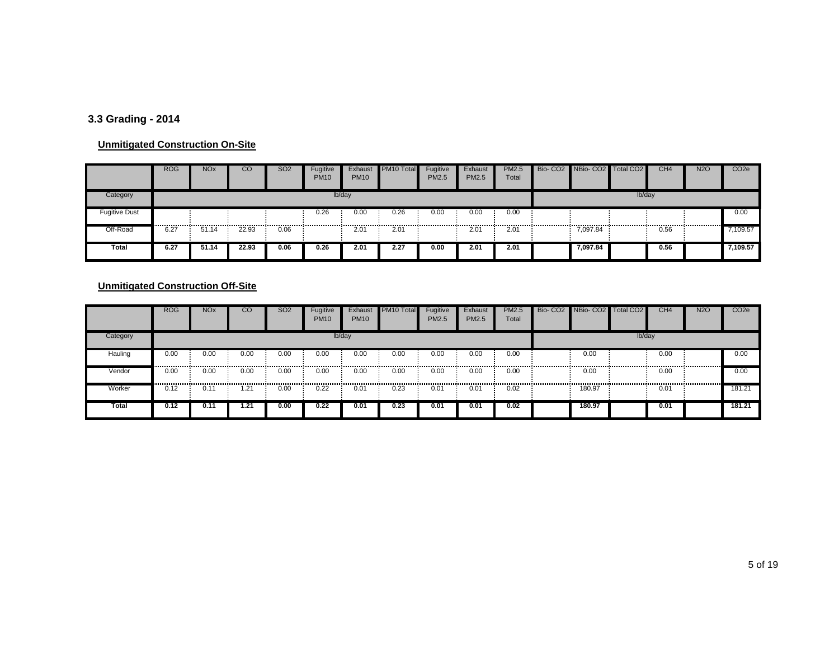# **3.3 Grading - 2014**

#### **Unmitigated Construction On-Site**

|                      | <b>ROG</b> | <b>NO<sub>x</sub></b> | CO    | SO <sub>2</sub> | Fugitive<br><b>PM10</b> | Exhaust<br><b>PM10</b> | PM10 Total | Fugitive<br><b>PM2.5</b> | Exhaust<br>PM2.5 | <b>PM2.5</b><br>Total | Bio-CO2 NBio-CO2 Total CO2 |        | CH <sub>4</sub> | <b>N2O</b> | CO <sub>2e</sub> |
|----------------------|------------|-----------------------|-------|-----------------|-------------------------|------------------------|------------|--------------------------|------------------|-----------------------|----------------------------|--------|-----------------|------------|------------------|
| Category             |            |                       |       |                 |                         | lb/day                 |            |                          |                  |                       |                            | lb/day |                 |            |                  |
| <b>Fugitive Dust</b> |            |                       |       |                 | 0.26                    | 0.00                   | 0.26       | 0.00                     | 0.00             | 0.00                  |                            |        |                 |            | 0.00             |
| Off-Road             | 6.27       | 51.14                 | 22.93 | 0.06            |                         | 2.01                   | 2.01       |                          | 2.01             | $2.0^{\circ}$         | 7,097.84                   |        | 0.56            |            | ,109.57          |
| Total                | 6.27       | 51.14                 | 22.93 | 0.06            | 0.26                    | 2.01                   | 2.27       | 0.00                     | 2.01             | 2.01                  | 7.097.84                   |        | 0.56            |            | 7,109.57         |

|          | <b>ROG</b> | <b>NO<sub>x</sub></b> | <sub>co</sub> | <b>SO2</b> | Fugitive<br><b>PM10</b> | Exhaust<br><b>PM10</b> | PM <sub>10</sub> Total | Fugitive<br>PM2.5 | Exhaust<br><b>PM2.5</b> | <b>PM2.5</b><br>Total | Bio- CO2 NBio- CO2 Total CO2 |        | CH <sub>4</sub> | <b>N2O</b> | CO <sub>2e</sub> |
|----------|------------|-----------------------|---------------|------------|-------------------------|------------------------|------------------------|-------------------|-------------------------|-----------------------|------------------------------|--------|-----------------|------------|------------------|
| Category |            |                       |               |            |                         | lb/day                 |                        |                   |                         |                       |                              | lb/day |                 |            |                  |
| Hauling  | 0.00       | 0.00                  | 0.00          | 0.00       | 0.00                    | 0.00                   | 0.00                   | 0.00              | 0.00                    | 0.00                  | 0.00                         |        | 0.00            |            | 0.00             |
| Vendor   | 0.00       | 0.00                  | 0.00          | 0.00<br>   | 0.00                    | 0.00                   | 0.00<br>               | 0.00              | 0.00                    | 0.00                  | 0.00                         |        | 0.00            |            | 0.00             |
| Worker   | 0.12       | $0.1^{\circ}$         | .21           | 0.00       | 0.22                    | 0.01                   | 0.23                   | 0.01              | 0.01                    | 0.02                  | 180.97                       |        | 0.01            |            | 181.21           |
| Total    | 0.12       | 0.11                  | 1.21          | 0.00       | 0.22                    | 0.01                   | 0.23                   | 0.01              | 0.01                    | 0.02                  | 180.97                       |        | 0.01            |            | 181.21           |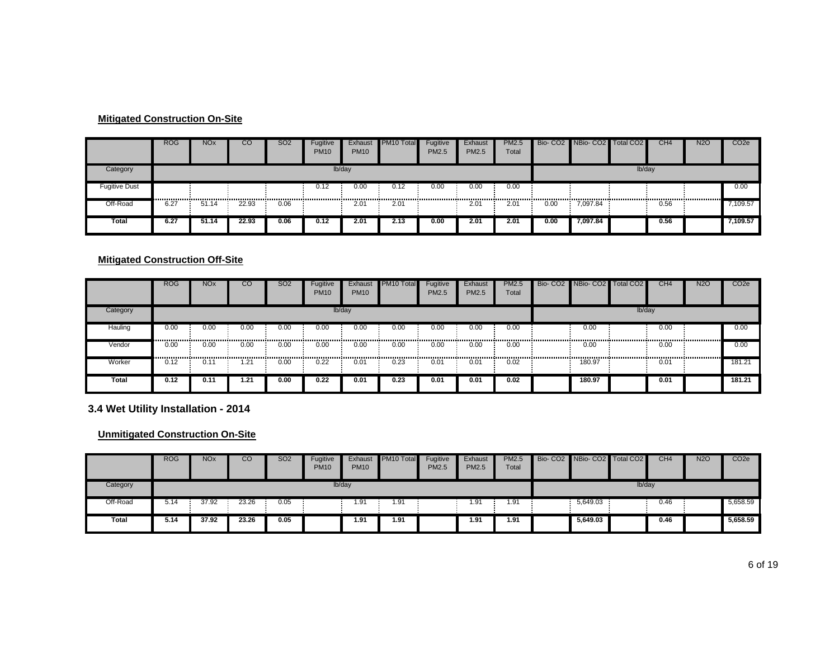#### **Mitigated Construction On-Site**

|                      | <b>ROG</b> | <b>NO<sub>x</sub></b> | CO    | <b>SO2</b> | Fugitive<br><b>PM10</b> | Exhaust<br><b>PM10</b> | PM <sub>10</sub> Total | Fugitive<br><b>PM2.5</b> | Exhaust<br>PM2.5 | <b>PM2.5</b><br>Total |      | Bio- CO2 NBio- CO2 Total CO2 |        | CH <sub>4</sub> | <b>N2O</b> | CO <sub>2</sub> e |
|----------------------|------------|-----------------------|-------|------------|-------------------------|------------------------|------------------------|--------------------------|------------------|-----------------------|------|------------------------------|--------|-----------------|------------|-------------------|
| Category             |            |                       |       |            |                         | lb/day                 |                        |                          |                  |                       |      |                              | lb/day |                 |            |                   |
| <b>Fugitive Dust</b> |            |                       |       |            | 0.12                    | 0.00                   | 0.12                   | 0.00                     | 0.00             | 0.00                  |      |                              |        |                 |            | 0.00              |
| Off-Road             | 6.27       | 51.14                 | 22.93 | 0.06       |                         | 2.01                   | 2.01                   |                          | 2.01             | 2.01                  | 0.00 | 7.097.84                     |        | 0.56            |            | 7,109.57          |
| Total                | 6.27       | 51.14                 | 22.93 | 0.06       | 0.12                    | 2.01                   | 2.13                   | 0.00                     | 2.01             | 2.01                  | 0.00 | 7.097.84                     |        | 0.56            |            | 7,109.57          |

#### **Mitigated Construction Off-Site**

|              | <b>ROG</b> | <b>NO<sub>x</sub></b> | $\overline{CO}$ | <b>SO2</b> | Fugitive<br><b>PM10</b> | Exhaust<br><b>PM10</b> | PM <sub>10</sub> Total | Fugitive<br><b>PM2.5</b> | Exhaust<br><b>PM2.5</b> | PM2.5<br>Total | Bio- CO2 NBio- CO2 Total CO2 |        | CH4  | <b>N2O</b> | CO <sub>2</sub> e |
|--------------|------------|-----------------------|-----------------|------------|-------------------------|------------------------|------------------------|--------------------------|-------------------------|----------------|------------------------------|--------|------|------------|-------------------|
| Category     |            |                       |                 |            |                         | lb/day                 |                        |                          |                         |                |                              | lb/day |      |            |                   |
| Hauling      | 0.00<br>   | 0.00<br>              | 0.00            | 0.00<br>'  | 0.00                    | 0.00                   | 0.00                   | 0.00                     | 0.00                    | 0.00           | 0.00                         |        | 0.00 |            | 0.00              |
| Vendor       | 0.00<br>   | 0.00                  | 0.00            | 0.00       | 0.00                    | 0.00<br>               | 0.00<br>.              | 0.00                     | 0.00                    | 0.00           | 0.00                         |        | 0.00 |            | 0.00              |
| Worker       | 0.12       | 0.11                  | .21             | 0.00       | 0.22                    | 0.01                   | 0.23                   | 0.01                     | 0.01                    | 0.02           | 180.97                       |        | 0.01 |            | 181.21            |
| <b>Total</b> | 0.12       | 0.11                  | .21             | 0.00       | 0.22                    | 0.01                   | 0.23                   | 0.01                     | 0.01                    | 0.02           | 180.97                       |        | 0.01 |            | 181.21            |

**3.4 Wet Utility Installation - 2014**

|          | <b>ROG</b> | <b>NOx</b> | CO    | <b>SO2</b> | Fugitive<br><b>PM10</b> | Exhaust<br><b>PM10</b> | PM <sub>10</sub> Total | Fugitive<br><b>PM2.5</b> | Exhaust<br><b>PM2.5</b> | <b>PM2.5</b><br>Total | Bio- CO2 NBio- CO2 Total CO2 |        | CH <sub>4</sub> | <b>N2O</b> | CO <sub>2e</sub> |
|----------|------------|------------|-------|------------|-------------------------|------------------------|------------------------|--------------------------|-------------------------|-----------------------|------------------------------|--------|-----------------|------------|------------------|
| Category |            |            |       |            |                         | lb/day                 |                        |                          |                         |                       |                              | lb/day |                 |            |                  |
| Off-Road | 5.14       | 37.92      | 23.26 | 0.05       |                         | 91. ،                  | 1.91                   |                          | 1.91                    | 1.91                  | 5,649.03                     |        | 0.46            |            | 5,658.59         |
| Total    | 5.14       | 37.92      | 23.26 | 0.05       |                         | 1.91                   | 1.91                   |                          | 1.91                    | 1.91                  | 5,649.03                     |        | 0.46            |            | 5,658.59         |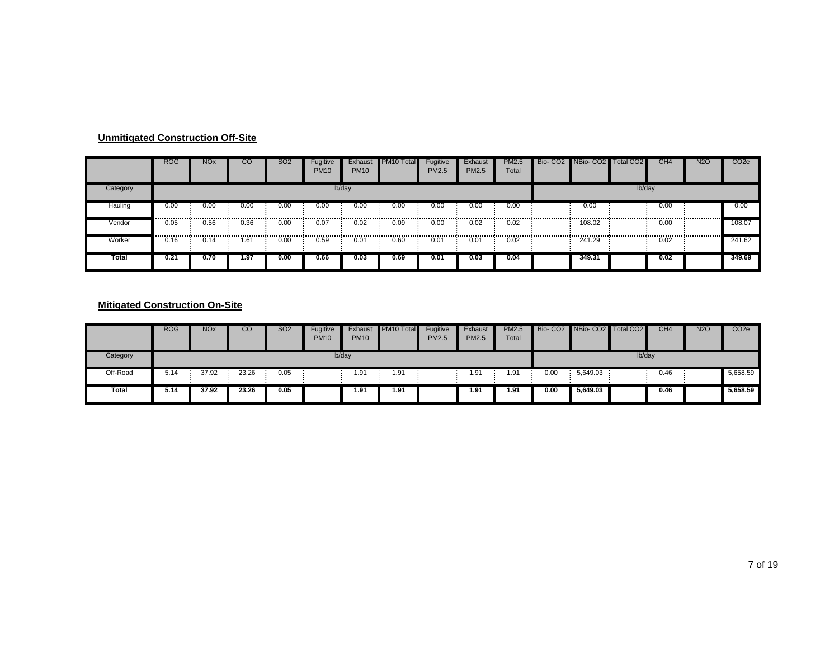|          | <b>ROG</b> | <b>NO<sub>x</sub></b> | CO   | <b>SO2</b> | Fugitive<br><b>PM10</b> | Exhaust<br><b>PM10</b> | PM10 Total | Fugitive<br><b>PM2.5</b> | Exhaust<br>PM2.5 | <b>PM2.5</b><br>Total | Bio- CO2 NBio- CO2 Total CO2 |        | CH4  | <b>N2O</b> | CO <sub>2e</sub> |
|----------|------------|-----------------------|------|------------|-------------------------|------------------------|------------|--------------------------|------------------|-----------------------|------------------------------|--------|------|------------|------------------|
| Category |            |                       |      |            |                         | lb/day                 |            |                          |                  |                       |                              | lb/day |      |            |                  |
| Hauling  | 0.00       | 0.00                  | 0.00 | 0.00       | 0.00<br>------------    | 0.00                   | 0.00       | 0.00                     | 0.00<br>         | 0.00                  | 0.00                         |        | 0.00 |            | 0.00             |
| Vendor   | 0.05<br>   | 0.56                  | 0.36 | 0.00       | 0.07                    | 0.02                   | 0.09       | 0.00                     | 0.02             | 0.02                  | 108.02                       |        | 0.00 |            | 108.07           |
| Worker   | 0.16       | 0.14                  | 61.، | 0.00       | 0.59                    | 0.01                   | 0.60       | 0.01                     | 0.01             | 0.02                  | 241.29                       |        | 0.02 |            | 241.62           |
| Total    | 0.21       | 0.70                  | 1.97 | 0.00       | 0.66                    | 0.03                   | 0.69       | 0.01                     | 0.03             | 0.04                  | 349.31                       |        | 0.02 |            | 349.69           |

|          | <b>ROG</b> | <b>NO<sub>x</sub></b> | CO    | <b>SO2</b> | Fugitive<br><b>PM10</b> | Exhaust<br><b>PM10</b> | PM10 Total | Fugitive<br><b>PM2.5</b> | Exhaust<br>PM2.5 | <b>PM2.5</b><br>Total |      | Bio- CO2 NBio- CO2 Total CO2 |        | CH <sub>4</sub> | <b>N2O</b> | CO <sub>2e</sub> |
|----------|------------|-----------------------|-------|------------|-------------------------|------------------------|------------|--------------------------|------------------|-----------------------|------|------------------------------|--------|-----------------|------------|------------------|
| Category |            |                       |       |            |                         | lb/day                 |            |                          |                  |                       |      |                              | lb/day |                 |            |                  |
| Off-Road | 5.14       | 37.92                 | 23.26 | 0.05       |                         | 1.91                   | 1.91       |                          | 1.91             | 1.91                  | 0.00 | 5,649.03                     |        | 0.46            |            | 5,658.59         |
| Total    | 5.14       | 37.92                 | 23.26 | 0.05       |                         | 1.91                   | 1.91       |                          | 1.91             | 1.91                  | 0.00 | 5,649.03                     |        | 0.46            |            | 5,658.59         |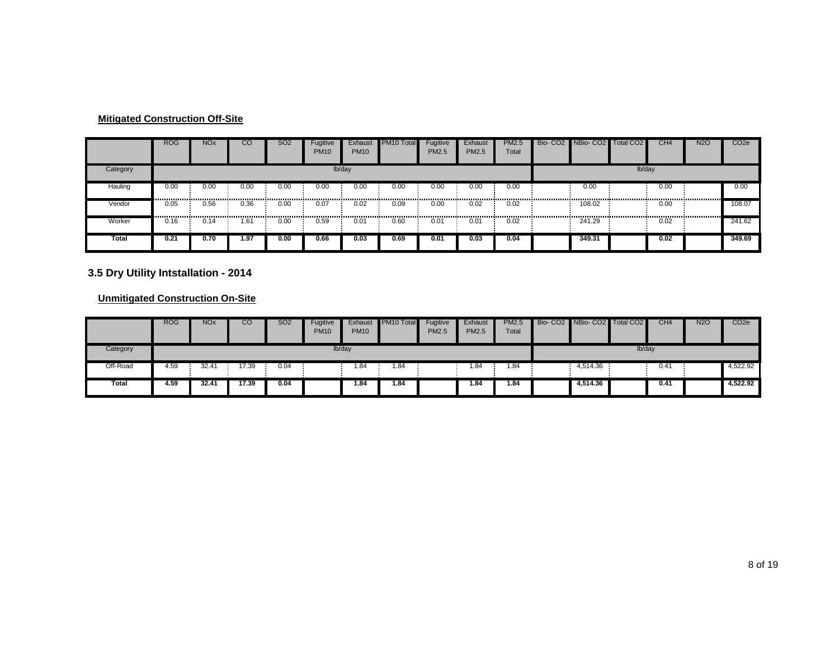|          | <b>ROG</b> | <b>NO<sub>x</sub></b> | CO        | <b>SO2</b> | Fugitive<br><b>PM10</b> | Exhaust<br><b>PM10</b> | PM <sub>10</sub> Total | Fugitive<br>PM2.5 | Exhaust<br>PM2.5 | <b>PM2.5</b><br>Total |   | Bio- CO2 NBio- CO2 Total CO2 |        | CH <sub>4</sub> | <b>N2O</b> | CO <sub>2e</sub> |
|----------|------------|-----------------------|-----------|------------|-------------------------|------------------------|------------------------|-------------------|------------------|-----------------------|---|------------------------------|--------|-----------------|------------|------------------|
| Category |            |                       |           |            |                         | lb/day                 |                        |                   |                  |                       |   |                              | lb/day |                 |            |                  |
| Hauling  | 0.00       | 0.00<br>              | 0.00      | 0.00       | 0.00                    | 0.00                   | 0.00                   | 0.00              | 0.00             | 0.00                  |   | 0.00                         |        | 0.00            |            | 0.00             |
| Vendor   | 0.05<br>   | 0.56<br>              | 0.36<br>. | 0.00<br>   | 0.07                    | 0.02                   | 0.09                   | 0.00              | 0.02             | 0.02<br>              | . | 108.02                       |        | 0.00            |            | 108.07           |
| Worker   | 0.16       | 0.14                  | .61       | 0.00       | 0.59                    | 0.01                   | 0.60                   | 0.01              | 0.01             | 0.02                  |   | 241.29                       |        | 0.02            |            | 241.62           |
| Total    | 0.21       | 0.70                  | 1.97      | 0.00       | 0.66                    | 0.03                   | 0.69                   | 0.01              | 0.03             | 0.04                  |   | 349.31                       |        | 0.02            |            | 349.69           |

# **3.5 Dry Utility Intstallation - 2014**

|          | <b>ROG</b> | <b>NO<sub>x</sub></b> | CО    | <b>SO2</b> | Fugitive<br><b>PM10</b> | Exhaust<br><b>PM10</b> | PM10 Total | Fugitive<br><b>PM2.5</b> | Exhaust<br><b>PM2.5</b> | <b>PM2.5</b><br>Total | Bio- CO2 NBio- CO2 Total CO2 |        | CH4  | <b>N2O</b> | CO <sub>2</sub> e |
|----------|------------|-----------------------|-------|------------|-------------------------|------------------------|------------|--------------------------|-------------------------|-----------------------|------------------------------|--------|------|------------|-------------------|
| Category |            |                       |       |            |                         | lb/day                 |            |                          |                         |                       |                              | lb/day |      |            |                   |
| Off-Road | 4.59       | 32.4                  | 7.39  | 0.04       |                         | 1.84                   | 84. ا      |                          | .84                     | l.84                  | 4,514.36                     |        | 0.41 |            | 4,522.92          |
| Total    | 4.59       | 32.41                 | 17.39 | 0.04       |                         | 1.84                   | 1.84       |                          | 1.84                    | 1.84                  | 4,514.36                     |        | 0.41 |            | 4,522.92          |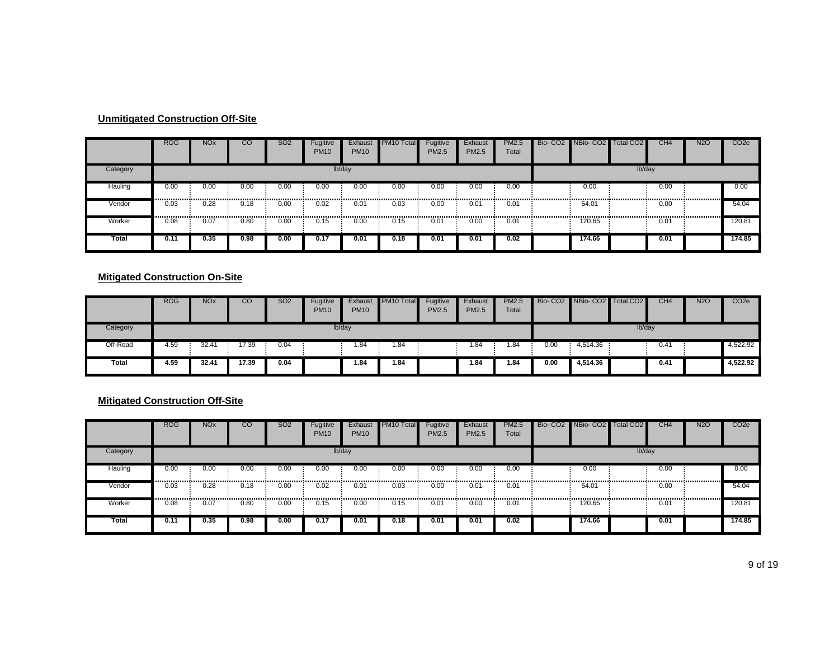|          | <b>ROG</b> | <b>NO<sub>x</sub></b> | CO        | SO <sub>2</sub> | Fugitive<br><b>PM10</b> | Exhaust<br><b>PM10</b> | PM <sub>10</sub> Total | Fugitive<br>PM2.5 | Exhaust<br><b>PM2.5</b> | <b>PM2.5</b><br>Total | Bio-CO <sub>2</sub> | NBio-CO <sub>2</sub> | <b>Total CO2</b> | CH <sub>4</sub> | <b>N2O</b> | CO <sub>2</sub> e |
|----------|------------|-----------------------|-----------|-----------------|-------------------------|------------------------|------------------------|-------------------|-------------------------|-----------------------|---------------------|----------------------|------------------|-----------------|------------|-------------------|
| Category |            |                       |           |                 |                         | lb/day                 |                        |                   |                         |                       |                     |                      | lb/day           |                 |            |                   |
| Hauling  | 0.00       | 0.00                  | 0.00      | 0.00            | 0.00                    | 0.00                   | 0.00                   | 0.00              | 0.00                    | 0.00                  |                     | 0.00                 |                  | 0.00            |            | 0.00              |
| Vendor   | <br>0.03   | . <b>.</b> .<br>0.28  | 0.18<br>. | 0.00            | 0.02                    | 0.01                   | 0.03                   | 0.00              | <br>0.01                | 0.01                  |                     | 54.01                |                  | 0.00            |            | 54.04             |
| Worker   | <br>0.08   | -------------<br>0.07 | 0.80      | <br>0.00        | 0.15                    | 0.00                   | 0.15                   | 0.01              | .<br>0.00               | 0.01                  |                     | 120.65               |                  | 0.01            |            | 120.81            |
| Total    | 0.11       | 0.35                  | 0.98      | 0.00            | 0.17                    | 0.01                   | 0.18                   | 0.01              | 0.01                    | 0.02                  |                     | 174.66               |                  | 0.01            |            | 174.85            |

#### **Mitigated Construction On-Site**

|          | <b>ROG</b> | <b>NO<sub>x</sub></b> | CO    | SO2  | Fugitive<br><b>PM10</b> | Exhaust<br><b>PM10</b> | PM10 Total | Fugitive<br><b>PM2.5</b> | Exhaust<br><b>PM2.5</b> | <b>PM2.5</b><br>Total |      | Bio- CO2 NBio- CO2 | Total CO <sub>2</sub> | CH <sub>4</sub> | <b>N2O</b> | CO <sub>2</sub> e |
|----------|------------|-----------------------|-------|------|-------------------------|------------------------|------------|--------------------------|-------------------------|-----------------------|------|--------------------|-----------------------|-----------------|------------|-------------------|
| Category |            |                       |       |      | lb/day                  |                        |            |                          |                         |                       |      |                    | lb/day                |                 |            |                   |
| Off-Road | 4.59       | 32.4'                 | 17.39 | 0.04 |                         | . 84                   | 1.84       |                          | 1.84                    | 1.84                  | 0.00 | 4,514.36           |                       | 0.41            |            | 4,522.92          |
| Total    | 4.59       | 32.41                 | 17.39 | 0.04 |                         | 84.،                   | 1.84       |                          | 84.،                    | 1.84                  | 0.00 | 4,514.36           |                       | 0.41            |            | 4,522.92          |

# **Mitigated Construction Off-Site**

|          | <b>ROG</b> | <b>NO<sub>x</sub></b> | $_{\rm CO}$ | SO <sub>2</sub> | Fugitive<br><b>PM10</b> | Exhaust<br><b>PM10</b> | PM <sub>10</sub> Total | Fugitive<br>PM2.5 | Exhaust<br>PM2.5 | <b>PM2.5</b><br>Total | Bio- CO2 NBio- CO2 Total CO2 |        | CH <sub>4</sub> | <b>N2O</b> | CO <sub>2e</sub> |
|----------|------------|-----------------------|-------------|-----------------|-------------------------|------------------------|------------------------|-------------------|------------------|-----------------------|------------------------------|--------|-----------------|------------|------------------|
| Category |            |                       |             |                 |                         | lb/day                 |                        |                   |                  |                       |                              | lb/day |                 |            |                  |
| Hauling  | 0.00<br>   | 0.00<br>              | 0.00        | 0.00            | 0.00                    | 0.00                   | 0.00<br>               | 0.00              | 0.00             | 0.00                  | 0.00<br>                     |        | 0.00            |            | 0.00             |
| Vendor   | 0.03       | 0.28                  | 0.18        | 0.00<br>.       | 0.02                    | 0.01                   | 0.03<br>               | 0.00              | 0.01             | 0.01                  | <br>54.01                    |        | 0.00            |            | 54.04            |
| Worker   | 0.08       | 0.07                  | 0.80        | 0.00            | 0.15                    | 0.00                   | 0.15                   | 0.01              | 0.00             | 0.01                  | 120.65                       |        | 0.01            |            | 120.81           |
| Total    | 0.11       | 0.35                  | 0.98        | 0.00            | 0.17                    | 0.01                   | 0.18                   | 0.01              | 0.01             | 0.02                  | 174.66                       |        | 0.01            |            | 174.85           |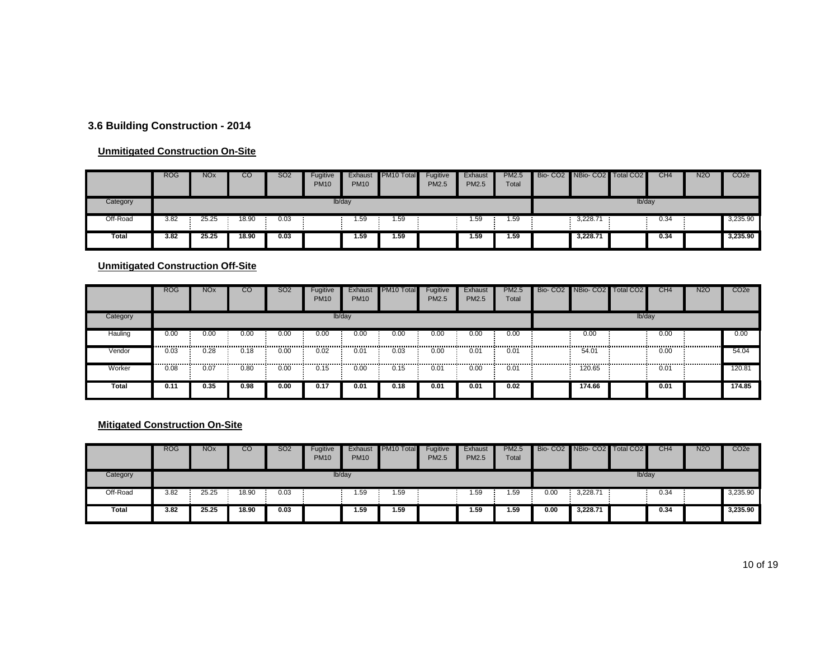#### **3.6 Building Construction - 2014**

#### **Unmitigated Construction On-Site**

|          | <b>ROG</b> | <b>NOx</b> | CO    | <b>SO2</b> | Fugitive<br><b>PM10</b> | Exhaust<br><b>PM10</b> | PM <sub>10</sub> Total | Fugitive<br><b>PM2.5</b> | Exhaust<br><b>PM2.5</b> | <b>PM2.5</b><br>Total | Bio- CO2 NBio- CO2 Total CO2 |        | CH4  | <b>N2O</b> | CO <sub>2</sub> e |
|----------|------------|------------|-------|------------|-------------------------|------------------------|------------------------|--------------------------|-------------------------|-----------------------|------------------------------|--------|------|------------|-------------------|
| Category |            |            |       |            |                         | lb/day                 |                        |                          |                         |                       |                              | lb/day |      |            |                   |
| Off-Road | 3.82       | 25.25      | 18.90 | 0.03       |                         | 1.59                   | 1.59                   |                          | . 59                    | 1.59                  | 3,228.71                     |        | 0.34 |            | 3,235.90          |
| Total    | 3.82       | 25.25      | 18.90 | 0.03       |                         | 1.59                   | 1.59                   |                          | 1.59                    | 1.59                  | 3,228.71                     |        | 0.34 |            | 3,235.90          |

**Unmitigated Construction Off-Site**

|          | <b>ROG</b>                              | <b>NO<sub>x</sub></b> | CO        | <b>SO2</b> | Fugitive<br><b>PM10</b> | Exhaust<br><b>PM10</b> | <b>PM10 Total</b> | Fugitive<br>PM2.5 | Exhaust<br><b>PM2.5</b> | PM2.5<br>Total | Bio- CO2 NBio- CO2 Total CO2 |        | CH <sub>4</sub> | <b>N2O</b> | CO <sub>2</sub> e |
|----------|-----------------------------------------|-----------------------|-----------|------------|-------------------------|------------------------|-------------------|-------------------|-------------------------|----------------|------------------------------|--------|-----------------|------------|-------------------|
| Category |                                         |                       |           |            |                         | lb/day                 |                   |                   |                         |                |                              | lb/day |                 |            |                   |
| Hauling  | 0.00<br>,,,,,,,,,,,,,,,,,,,,,,,,,,,,,,, | 0.00                  | 0.00<br>. | 0.00<br>   | 0.00                    | 0.00                   | 0.00              | 0.00              | 0.00                    | 0.00<br>       | 0.00<br>                     |        | 0.00            |            | 0.00              |
| Vendor   | 0.03                                    | 0.28                  | 0.18      | 0.00       | 0.02                    | 0.01                   | 0.03              | 0.00              | 0.01                    | $0.0^{\circ}$  | 54.01                        |        | 0.00            |            | 54.04             |
| Worker   | 0.08                                    | 0.07                  | 0.80      | 0.00       | 0.15                    | 0.00                   | <br>0.15          | 0.01              | 0.00                    | $0.0^{\circ}$  | 120.65                       |        | 0.01            |            | 120.81            |
| Total    | 0.11                                    | 0.35                  | 0.98      | 0.00       | 0.17                    | 0.01                   | 0.18              | 0.01              | 0.01                    | 0.02           | 174.66                       |        | 0.01            |            | 174.85            |

|          | <b>ROG</b> | <b>NO<sub>x</sub></b> | CO    | SO2  | Fugitive<br><b>PM10</b> | Exhaust<br><b>PM10</b> | PM <sub>10</sub> Total | Fugitive<br><b>PM2.5</b> | Exhaust<br>PM2.5 | <b>PM2.5</b><br>Total |      | Bio- CO2 NBio- CO2 Total CO2 |        | CH <sub>4</sub> | <b>N2O</b> | CO <sub>2e</sub> |
|----------|------------|-----------------------|-------|------|-------------------------|------------------------|------------------------|--------------------------|------------------|-----------------------|------|------------------------------|--------|-----------------|------------|------------------|
| Category |            |                       |       |      |                         | lb/day                 |                        |                          |                  |                       |      |                              | lb/day |                 |            |                  |
| Off-Road | 3.82       | 25.25                 | 18.90 | 0.03 |                         | 1.59                   | 1.59                   |                          | 1.59             | 1.59                  | 0.00 | 3,228.71                     |        | 0.34            |            | 3,235.90         |
| Total    | 3.82       | 25.25                 | 18.90 | 0.03 |                         | 1.59                   | 1.59                   |                          | 59ء ا            | 1.59                  | 0.00 | 3,228.71                     |        | 0.34            |            | 3,235.90         |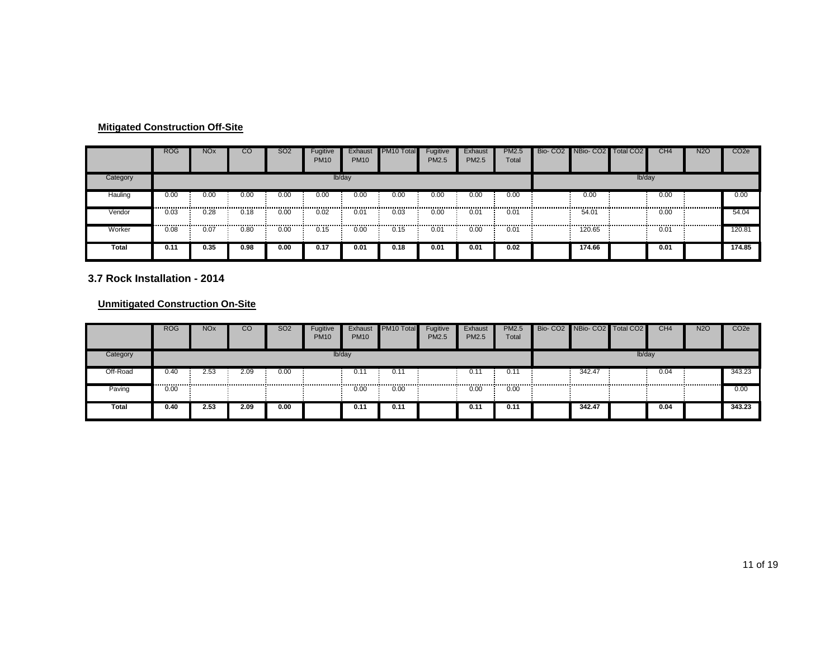|          | <b>ROG</b> | <b>NO<sub>x</sub></b> | <sub>CO</sub> | <b>SO2</b> | Fugitive<br><b>PM10</b> | Exhaust<br><b>PM10</b> | PM <sub>10</sub> Total | Fugitive<br>PM2.5 | Exhaust<br><b>PM2.5</b> | <b>PM2.5</b><br>Total | Bio- CO2 NBio- CO2 Total CO2 |        | CH <sub>4</sub> | <b>N2O</b> | CO <sub>2e</sub> |
|----------|------------|-----------------------|---------------|------------|-------------------------|------------------------|------------------------|-------------------|-------------------------|-----------------------|------------------------------|--------|-----------------|------------|------------------|
| Category |            |                       |               |            |                         | lb/day                 |                        |                   |                         |                       |                              | lb/day |                 |            |                  |
| Hauling  | 0.00       | 0.00                  | 0.00          | 0.00       | $\overline{0.00}$<br>   | 0.00                   | 0.00                   | 0.00              | 0.00                    | 0.00                  | 0.00                         |        | 0.00            |            | 0.00             |
| Vendor   | 0.03       | 0.28<br>              | 0.18          | 0.00<br>   | 0.02<br>                | 0.01                   | 0.03<br>               | 0.00              | 0.01<br>                | 0.01<br>              | 54.01                        |        | 0.00            |            | 54.04            |
| Worker   | 0.08       | 0.07                  | 0.80          | 0.00       | 0.15                    | 0.00                   | 0.15                   | 0.01              | 0.00                    | 0.01                  | 120.65                       |        | 0.01            |            | 120.81           |
| Total    | 0.11       | 0.35                  | 0.98          | 0.00       | 0.17                    | 0.01                   | 0.18                   | 0.01              | 0.01                    | 0.02                  | 174.66                       |        | 0.01            |            | 174.85           |

#### **3.7 Rock Installation - 2014**

|              | <b>ROG</b> | <b>NOx</b> | CO   | <b>SO2</b> | Fugitive<br><b>PM10</b> | Exhaust<br><b>PM10</b> | PM <sub>10</sub> Total | Fugitive<br><b>PM2.5</b> | Exhaust<br><b>PM2.5</b> | <b>PM2.5</b><br>Total | Bio- CO2 NBio- CO2 | Total CO <sub>2</sub> | CH <sub>4</sub> | <b>N2O</b> | CO <sub>2e</sub> |
|--------------|------------|------------|------|------------|-------------------------|------------------------|------------------------|--------------------------|-------------------------|-----------------------|--------------------|-----------------------|-----------------|------------|------------------|
| Category     |            |            |      |            |                         | lb/day                 |                        |                          |                         |                       |                    | lb/day                |                 |            |                  |
| Off-Road     | 0.40       | 2.53       | 2.09 | 0.00       |                         | 0.1 <sup>4</sup>       | 0.11                   |                          | 0.11                    | 0.11                  | 342.47             |                       | 0.04            |            | 343.23           |
| Paving       | 0.00       |            |      |            |                         | 0.00                   | 0.00                   |                          | 0.00                    | 0.00                  |                    |                       |                 |            | 0.00             |
| <b>Total</b> | 0.40       | 2.53       | 2.09 | 0.00       |                         | 0.11                   | 0.11                   |                          | 0.11                    | 0.11                  | 342.47             |                       | 0.04            |            | 343.23           |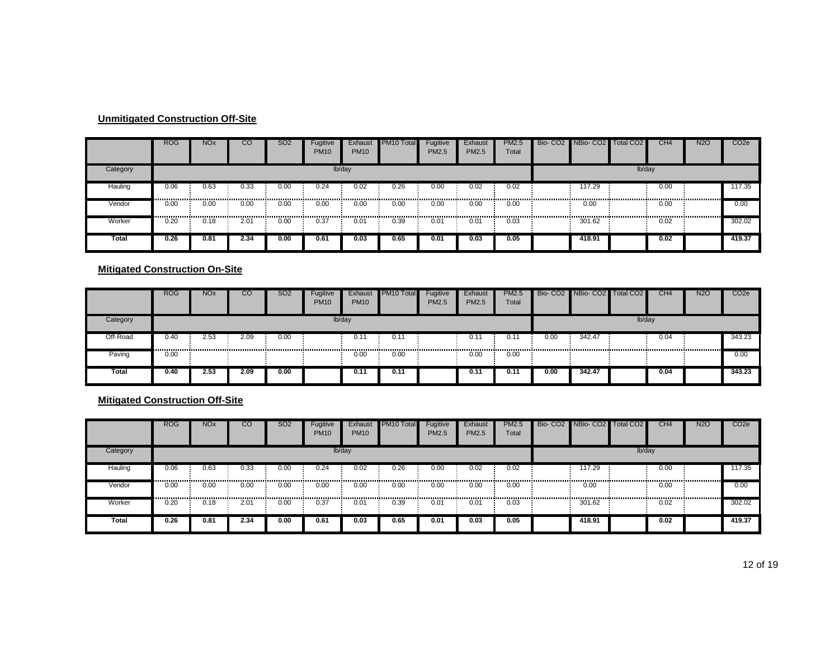|          | <b>ROG</b> | <b>NO<sub>x</sub></b> | $_{\rm CO}$ | <b>SO2</b> | Fugitive<br><b>PM10</b> | Exhaust<br><b>PM10</b> | PM <sub>10</sub> Total | Fugitive<br>PM2.5 | Exhaust<br>PM2.5 | <b>PM2.5</b><br>Total                     | Bio- CO2 NBio- CO2 Total CO2 |        | CH <sub>4</sub> | <b>N2O</b> | CO <sub>2e</sub> |
|----------|------------|-----------------------|-------------|------------|-------------------------|------------------------|------------------------|-------------------|------------------|-------------------------------------------|------------------------------|--------|-----------------|------------|------------------|
| Category |            |                       |             |            |                         | lb/day                 |                        |                   |                  |                                           |                              | lb/day |                 |            |                  |
| Hauling  | 0.06       | 0.63<br>              | 0.33        | 0.00       | 0.24                    | 0.02                   | 0.26                   | 0.00              | 0.02             | 0.02                                      | 117.29                       |        | 0.00            |            | 117.35           |
| Vendor   | 0.00<br>   | 0.00<br>------------- | 0.00<br>.   | 0.00<br>   | 0.00<br>.               | 0.00                   | 0.00                   | 0.00              | 0.00<br>.        | 0.00<br>,,,,,,,,,,,,,,,,,,,,,,,,,,,,,,,,, | 0.00<br>                     |        | 0.00            |            | 0.00             |
| Worker   | 0.20       | 0.18                  | 2.01        | 0.00       | 0.37                    | 0.01                   | 0.39                   | 0.01              | 0.01             | 0.03                                      | 301.62                       |        | 0.02            |            | 302.02           |
| Total    | 0.26       | 0.81                  | 2.34        | 0.00       | 0.61                    | 0.03                   | 0.65                   | 0.01              | 0.03             | 0.05                                      | 418.91                       |        | 0.02            |            | 419.37           |

#### **Mitigated Construction On-Site**

|          | <b>ROG</b> | <b>NO<sub>x</sub></b> | UG.  | <b>SO2</b> | Fugitive<br><b>PM10</b> | Exhaust<br><b>PM10</b> | PM <sub>10</sub> Total | Fugitive<br><b>PM2.5</b> | Exhaust<br><b>PM2.5</b> | PM2.5<br>Total |      | Bio- CO2 NBio- CO2 Total CO2 |        | CH <sub>4</sub> | <b>N2O</b> | CO <sub>2</sub> e |
|----------|------------|-----------------------|------|------------|-------------------------|------------------------|------------------------|--------------------------|-------------------------|----------------|------|------------------------------|--------|-----------------|------------|-------------------|
| Category |            |                       |      |            |                         | lb/day                 |                        |                          |                         |                |      |                              | lb/day |                 |            |                   |
| Off-Road | 0.40       | 2.53                  | 2.09 | 0.00       |                         | 0.11                   | 0.1                    |                          | 0.1                     | $0.1^{\circ}$  | 0.00 | 342.47                       |        | 0.04            |            | 343.23            |
| Paving   | 0.00       |                       |      |            |                         | 0.00                   | 0.00                   |                          | 0.00                    | 0.00           |      |                              |        |                 |            | 0.00              |
| Total    | 0.40       | 2.53                  | 2.09 | 0.00       |                         | 0.11                   | 0.11                   |                          | 0.11                    | 0.11           | 0.00 | 342.47                       |        | 0.04            |            | 343.23            |

**Mitigated Construction Off-Site**

|          | <b>ROG</b> | <b>NO<sub>x</sub></b> | CО   | <b>SO2</b> | Fugitive<br><b>PM10</b> | Exhaust<br><b>PM10</b> | PM10 Total | Fugitive<br><b>PM2.5</b> | Exhaust<br><b>PM2.5</b> | <b>PM2.5</b><br>Total | Bio-CO <sub>2</sub> | NBio-CO <sub>2</sub> | Total CO <sub>2</sub> | CH <sub>4</sub> | <b>N2O</b> | CO <sub>2</sub> e |
|----------|------------|-----------------------|------|------------|-------------------------|------------------------|------------|--------------------------|-------------------------|-----------------------|---------------------|----------------------|-----------------------|-----------------|------------|-------------------|
| Category |            |                       |      |            |                         | lb/day                 |            |                          |                         |                       |                     |                      | lb/day                |                 |            |                   |
| Hauling  | 0.06       | 0.63                  | 0.33 | 0.00       | 0.24                    | 0.02                   | 0.26       | 0.00                     | 0.02                    | 0.02                  |                     | 117.29               |                       | 0.00            |            | 117.35            |
| Vendor   | 0.00       | 0.00                  | 0.00 | 0.00       | 0.00                    | 0.00                   | 0.00       | 0.00                     | 0.00                    | 0.00                  |                     | 0.00                 |                       | 0.00            |            | 0.00              |
| Worker   | 0.20       | 0.18                  | 2.01 | 0.00       | 0.37                    | 0.01                   | 0.39       | 0.01                     | 0.01                    | 0.03                  |                     | 301.62               |                       | 0.02            |            | 302.02            |
| Total    | 0.26       | 0.81                  | 2.34 | 0.00       | 0.61                    | 0.03                   | 0.65       | 0.01                     | 0.03                    | 0.05                  |                     | 418.91               |                       | 0.02            |            | 419.37            |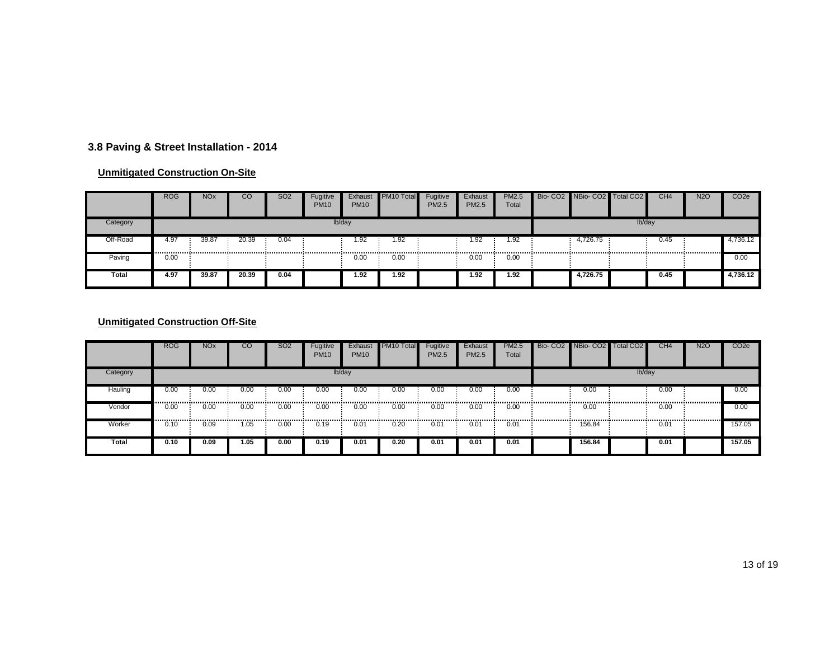#### **3.8 Paving & Street Installation - 2014**

#### **Unmitigated Construction On-Site**

|          | <b>ROG</b> | <b>NO<sub>x</sub></b> | CO    | <b>SO2</b> | Fugitive<br><b>PM10</b> | Exhaust<br><b>PM10</b> | PM <sub>10</sub> Total | Fugitive<br>PM2.5 | Exhaust<br>PM2.5 | PM2.5<br>Total | Bio- CO2 NBio- CO2 Total CO2 |        | CH4  | <b>N2O</b> | CO <sub>2e</sub> |
|----------|------------|-----------------------|-------|------------|-------------------------|------------------------|------------------------|-------------------|------------------|----------------|------------------------------|--------|------|------------|------------------|
| Category |            |                       |       |            |                         | lb/day                 |                        |                   |                  |                |                              | lb/day |      |            |                  |
| Off-Road | 4.97       | 39.87                 | 20.39 | 0.04       |                         | 1.92                   | 1.92                   |                   | 1.92             | 1.92           | 4,726.75                     |        | 0.45 |            | 4,736.12         |
| Paving   | 0.00       |                       |       |            |                         | 0.00                   | 0.00                   |                   | 0.00             | 0.00           |                              |        |      |            | 0.00             |
| Total    | 4.97       | 39.87                 | 20.39 | 0.04       |                         | 1.92                   | 1.92                   |                   | 1.92             | 1.92           | 4,726.75                     |        | 0.45 |            | 4,736.12         |

|          | <b>ROG</b> | <b>NO<sub>x</sub></b> | cυ   | <b>SO2</b> | Fugitive<br><b>PM10</b> | Exhaust<br><b>PM10</b> | PM <sub>10</sub> Total | Fugitive<br><b>PM2.5</b> | Exhaust<br>PM2.5 | PM2.5<br>Total | Bio- CO2 NBio- CO2 Total CO2 |        | CH4  | <b>N2O</b> | CO <sub>2e</sub> |
|----------|------------|-----------------------|------|------------|-------------------------|------------------------|------------------------|--------------------------|------------------|----------------|------------------------------|--------|------|------------|------------------|
| Category |            |                       |      |            |                         | lb/day                 |                        |                          |                  |                |                              | lb/day |      |            |                  |
| Hauling  | 0.00       | 0.00                  | 0.00 | 0.00       | 0.00                    | 0.00                   | 0.00                   | 0.00                     | 0.00             | 0.00           | 0.00                         |        | 0.00 |            | 0.00             |
| Vendor   | 0.00       | 0.00                  | 0.00 | 0.00       | 0.00                    | 0.00                   | 0.00                   | 0.00                     | 0.00             | 0.00           | <br>0.00                     |        | 0.00 |            | 0.00             |
| Worker   | 0.10       | 0.09                  | 1.05 | <br>0.00   | --------------<br>0.19  | 0.01                   | 0.20                   | 0.01                     | 0.01             | 0.01           | <br>156.84                   |        | 0.01 |            | 157.05           |
| Total    | 0.10       | 0.09                  | 1.05 | 0.00       | 0.19                    | 0.01                   | 0.20                   | 0.01                     | 0.01             | 0.01           | 156.84                       |        | 0.01 |            | 157.05           |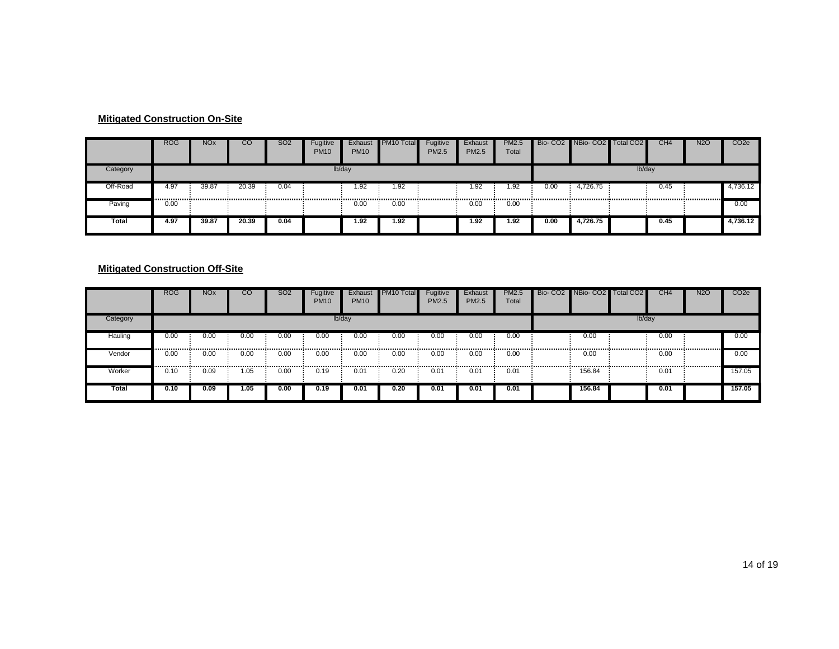#### **Mitigated Construction On-Site**

|          | <b>ROG</b> | <b>NO<sub>x</sub></b> | CO    | <b>SO2</b> | Fugitive<br><b>PM10</b> | Exhaust<br><b>PM10</b> | <b>PM10 Total</b> | Fugitive<br><b>PM2.5</b> | Exhaust<br><b>PM2.5</b> | <b>PM2.5</b><br>Total |      | Bio- CO2 NBio- CO2 Total CO2 |        | CH <sub>4</sub> | <b>N2O</b> | CO <sub>2e</sub> |
|----------|------------|-----------------------|-------|------------|-------------------------|------------------------|-------------------|--------------------------|-------------------------|-----------------------|------|------------------------------|--------|-----------------|------------|------------------|
| Category |            |                       |       |            |                         | lb/day                 |                   |                          |                         |                       |      |                              | lb/day |                 |            |                  |
| Off-Road | 4.97       | 39.87                 | 20.39 | 0.04       |                         | 1.92                   | 1.92              |                          | 1.92                    | 1.92                  | 0.00 | 4,726.75 :                   |        | 0.45            |            | 4,736.12         |
| Paving   | 0.00       |                       |       |            |                         | 0.00                   | 0.00              |                          | 0.00                    | 0.00                  |      |                              |        |                 |            | 0.00             |
| Total    | 4.97       | 39.87                 | 20.39 | 0.04       |                         | 1.92                   | 1.92              |                          | 1.92                    | 1.92                  | 0.00 | 4.726.75                     |        | 0.45            |            | 4,736.12         |

#### **Mitigated Construction Off-Site**

|          | <b>ROG</b> | <b>NO<sub>x</sub></b> | CO   | <b>SO2</b> | Fugitive<br><b>PM10</b> | Exhaust<br><b>PM10</b> | PM <sub>10</sub> Total | Fugitive<br>PM2.5 | Exhaust<br><b>PM2.5</b> | <b>PM2.5</b><br>Total | Bio- CO2 NBio- CO2 Total CO2 |        | CH <sub>4</sub> | <b>N2O</b> | CO <sub>2</sub> e |
|----------|------------|-----------------------|------|------------|-------------------------|------------------------|------------------------|-------------------|-------------------------|-----------------------|------------------------------|--------|-----------------|------------|-------------------|
| Category |            |                       |      |            |                         | lb/day                 |                        |                   |                         |                       |                              | lb/day |                 |            |                   |
| Hauling  | 0.00<br>   | 0.00<br>              | 0.00 | 0.00<br>   | 0.00                    | 0.00                   | 0.00                   | 0.00              | 0.00                    | 0.00<br>              | 0.00                         |        | 0.00            | .          | 0.00              |
| Vendor   | 0.00       | 0.00<br>              | 0.00 | 0.00       | 0.00                    | 0.00                   | 0.00                   | 0.00<br>          | 0.00                    | 0.00                  | 0.00                         |        | 0.00            |            | 0.00              |
| Worker   | 0.10       | ን.09                  | 1.05 | 0.00       | 0.19                    | 0.01                   | 0.20                   | 0.01              | 0.01                    | 0.01                  | 156.84                       |        | 0.01            |            | 157.05            |
| Total    | 0.10       | 0.09                  | 1.05 | 0.00       | 0.19                    | 0.01                   | 0.20                   | 0.01              | 0.01                    | 0.01                  | 156.84                       |        | 0.01            |            | 157.05            |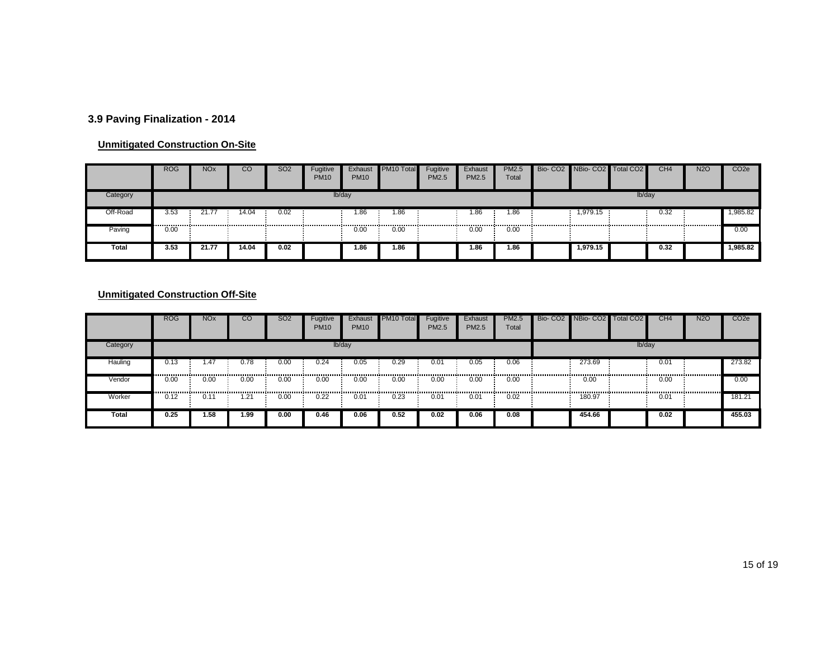# **3.9 Paving Finalization - 2014**

#### **Unmitigated Construction On-Site**

|          | <b>ROG</b> | <b>NO<sub>x</sub></b> | CО    | <b>SO2</b> | Fugitive<br><b>PM10</b> | Exhaust<br><b>PM10</b> | PM10 Total | Fugitive<br><b>PM2.5</b> | Exhaust<br>PM2.5 | <b>PM2.5</b><br>Total | Bio- CO2 NBio- CO2 Total CO2 |        | CH <sub>4</sub> | <b>N2O</b> | CO <sub>2</sub> e |
|----------|------------|-----------------------|-------|------------|-------------------------|------------------------|------------|--------------------------|------------------|-----------------------|------------------------------|--------|-----------------|------------|-------------------|
| Category |            |                       |       |            |                         | lb/day                 |            |                          |                  |                       |                              | lb/day |                 |            |                   |
| Off-Road | 3.53       | 21.7                  | 14.04 | 0.02       |                         | 1.86                   | 86. ا      |                          | 86،              | 1.86                  | 1,979.15                     |        | 0.32            |            | 1,985.82          |
| Paving   | 0.00       |                       |       |            |                         | 0.00                   | 0.00       |                          | 0.00             | 0.00                  |                              |        |                 |            | 0.00              |
| Total    | 3.53       | 21.77                 | 14.04 | 0.02       |                         | 1.86                   | 1.86       |                          | .86              | 1.86                  | 1.979.15                     |        | 0.32            |            | 1,985.82          |

|          | <b>ROG</b> | <b>NO<sub>x</sub></b> | CO   | <b>SO2</b> | Fugitive<br><b>PM10</b> | Exhaust<br><b>PM10</b> | PM10 Total | Fugitive<br>PM2.5 | Exhaust<br><b>PM2.5</b> | <b>PM2.5</b><br>Total | Bio-CO <sub>2</sub> | NBio-CO <sub>2</sub> | Total CO <sub>2</sub> | CH <sub>4</sub> | <b>N2O</b> | CO <sub>2</sub> e |
|----------|------------|-----------------------|------|------------|-------------------------|------------------------|------------|-------------------|-------------------------|-----------------------|---------------------|----------------------|-----------------------|-----------------|------------|-------------------|
| Category |            |                       |      |            |                         | lb/day                 |            |                   |                         |                       |                     |                      | lb/day                |                 |            |                   |
| Hauling  | 0.13       | l.47<br>              | บ.78 | 0.00       | $\sqrt{0.24}$           | 0.05                   | 0.29       | 0.01              | 0.05                    | 0.06                  |                     | 273.69               |                       | 0.01            |            | 273.82            |
| Vendor   | 0.00       | 0.00                  | 0.00 | 0.00       | 0.00                    | 0.00                   | 0.00       | 0.00              | 0.00                    | 0.00                  |                     | 0.00                 |                       | 0.00            |            | 0.00              |
| Worker   | 0.12       | 0.1                   | .21  | 0.00       | 0.22                    | 0.01                   | 0.23       | 0.01              | 0.01                    | 0.02                  |                     | 180.97               |                       | 0.01            |            | 181.21            |
| Total    | 0.25       | 1.58                  | 1.99 | 0.00       | 0.46                    | 0.06                   | 0.52       | 0.02              | 0.06                    | 0.08                  |                     | 454.66               |                       | 0.02            |            | 455.03            |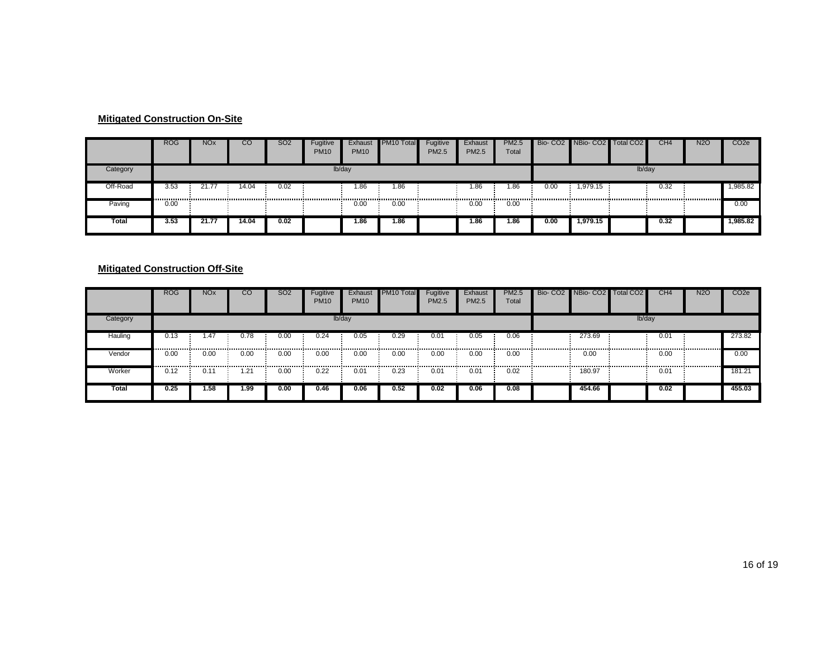#### **Mitigated Construction On-Site**

|          | <b>ROG</b> | <b>NO<sub>x</sub></b> | CO    | SO <sub>2</sub> | Fugitive<br><b>PM10</b> | Exhaust<br><b>PM10</b> | <b>PM10 Total</b> | Fugitive<br>PM2.5 | Exhaust<br>PM2.5 | <b>PM2.5</b><br>Total |      | Bio- CO2 NBio- CO2 Total CO2 |        | CH <sub>4</sub> | <b>N2O</b> | CO <sub>2</sub> e |
|----------|------------|-----------------------|-------|-----------------|-------------------------|------------------------|-------------------|-------------------|------------------|-----------------------|------|------------------------------|--------|-----------------|------------|-------------------|
| Category |            |                       |       |                 |                         | lb/day                 |                   |                   |                  |                       |      |                              | lb/day |                 |            |                   |
| Off-Road | 3.53       | 21.77                 | 14.04 | 0.02            |                         | 1.86                   | 1.86              |                   | 1.86             | 1.86                  | 0.00 | 1,979.15                     |        | 0.32            |            | 1,985.82          |
| Paving   | 0.00       |                       |       |                 |                         | 0.00                   | 0.00              |                   | 0.00             | 0.00                  |      |                              |        |                 |            | 0.00              |
| Total    | 3.53       | 21.77                 | 14.04 | 0.02            |                         | 1.86                   | 1.86              |                   | 1.86             | 1.86                  | 0.00 | 1.979.15                     |        | 0.32            |            | 1,985.82          |

#### **Mitigated Construction Off-Site**

|          | <b>ROG</b> | <b>NOx</b>    | CO   | S <sub>O</sub> 2 | Fugitive<br><b>PM10</b> | Exhaust<br><b>PM10</b> | <b>PM10 Total</b>                       | Fugitive<br>PM2.5 | Exhaust<br>PM2.5       | <b>PM2.5</b><br>Total | Bio- CO2 NBio- CO2 Total CO2 |        | CH <sub>4</sub> | <b>N2O</b> | CO <sub>2</sub> e |
|----------|------------|---------------|------|------------------|-------------------------|------------------------|-----------------------------------------|-------------------|------------------------|-----------------------|------------------------------|--------|-----------------|------------|-------------------|
| Category |            |               |      |                  |                         | lb/day                 |                                         |                   |                        |                       |                              | lb/day |                 |            |                   |
| Hauling  | 0.13<br>   | .47<br>       | 0.78 | 0.00<br>         | 0.24<br>-------------   | 0.05                   | 0.29<br>------------------------------- | 0.01              | 0.05<br>-------------- | 0.06<br>              | 273.69<br>---------------    |        | 0.01            | ,          | 273.82            |
| Vendor   | 0.00       | 0.00<br>      | 0.00 | 0.00             | 0.00                    | 0.00                   | 0.00                                    | 0.00<br>          | 0.00                   | 0.00                  | 0.00                         |        | 0.00            |            | 0.00              |
| Worker   | 0.12       | $0.1^{\circ}$ | .21  | 0.00             | 0.22                    | 0.01                   | 0.23                                    | 0.01              | 0.01                   | 0.02                  | 180.97                       |        | 0.01            |            | 181.21            |
| Total    | 0.25       | 1.58          | 1.99 | 0.00             | 0.46                    | 0.06                   | 0.52                                    | 0.02              | 0.06                   | 0.08                  | 454.66                       |        | 0.02            |            | 455.03            |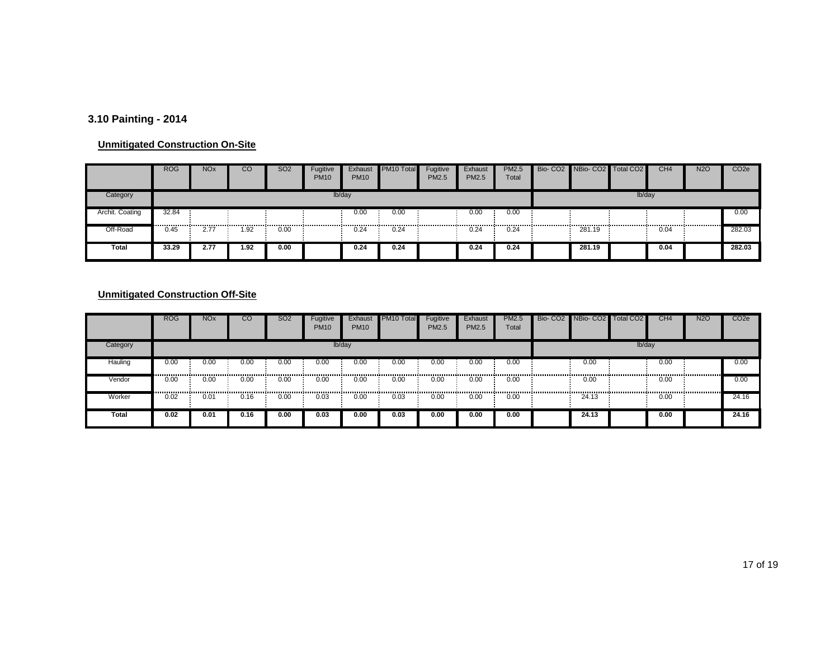# **3.10 Painting - 2014**

#### **Unmitigated Construction On-Site**

|                 | <b>ROG</b> | <b>NO<sub>x</sub></b> | CО   | <b>SO2</b> | Fugitive<br><b>PM10</b> | Exhaust<br><b>PM10</b> | PM10 Total | Fugitive<br><b>PM2.5</b> | Exhaust<br><b>PM2.5</b> | <b>PM2.5</b><br>Total | Bio- CO2 NBio- CO2 Total CO2 |        | CH4  | <b>N2O</b> | CO <sub>2</sub> e |
|-----------------|------------|-----------------------|------|------------|-------------------------|------------------------|------------|--------------------------|-------------------------|-----------------------|------------------------------|--------|------|------------|-------------------|
| Category        |            |                       |      |            |                         | lb/day                 |            |                          |                         |                       |                              | lb/day |      |            |                   |
| Archit. Coating | 32.84      |                       |      |            |                         | 0.00                   | 0.00       |                          | 0.00                    | 0.00                  |                              |        |      |            | 0.00              |
| Off-Road        | 0.45       | 2.77                  | 1.92 | 0.00       |                         | 0.24                   | 0.24       |                          | 0.24                    | 0.24                  | 281.19                       |        | 0.04 |            | 282.03            |
| Total           | 33.29      | 2.77                  | 1.92 | 0.00       |                         | 0.24                   | 0.24       |                          | 0.24                    | 0.24                  | 281.19                       |        | 0.04 |            | 282.03            |

|          | <b>ROG</b> | <b>NO<sub>x</sub></b> | <b>CO</b> | <b>SO2</b> | Fugitive<br><b>PM10</b> | Exhaust<br><b>PM10</b> | PM10 Total | Fugitive<br><b>PM2.5</b> | Exhaust<br><b>PM2.5</b> | <b>PM2.5</b><br>Total | Bio-CO <sub>2</sub> | NBio-CO <sub>2</sub> | Total CO <sub>2</sub> | CH <sub>4</sub> | <b>N2O</b> | CO <sub>2</sub> e |
|----------|------------|-----------------------|-----------|------------|-------------------------|------------------------|------------|--------------------------|-------------------------|-----------------------|---------------------|----------------------|-----------------------|-----------------|------------|-------------------|
| Category |            |                       |           |            |                         | lb/day                 |            |                          |                         |                       |                     |                      | lb/day                |                 |            |                   |
| Hauling  | 0.00       | 0.00                  | 0.00      | 0.00       | 0.00                    | 0.00                   | 0.00       | 0.00                     | 0.00                    | 0.00                  |                     | 0.00                 |                       | 0.00            |            | 0.00              |
| Vendor   | 0.00       | 0.00                  | 0.00      | 0.00       | 0.00                    | 0.00                   | 0.00       | 0.00                     | 0.00                    | 0.00                  |                     | 0.00                 |                       | 0.00            |            | 0.00              |
| Worker   | 0.02       | 0.01                  | 0.16      | 0.00       | 0.03                    | 0.00                   | 0.03       | 0.00                     | 0.00                    | 0.00                  |                     | 24.13                |                       | 0.00            |            | 24.16             |
| Total    | 0.02       | 0.01                  | 0.16      | 0.00       | 0.03                    | 0.00                   | 0.03       | 0.00                     | 0.00                    | 0.00                  |                     | 24.13                |                       | 0.00            |            | 24.16             |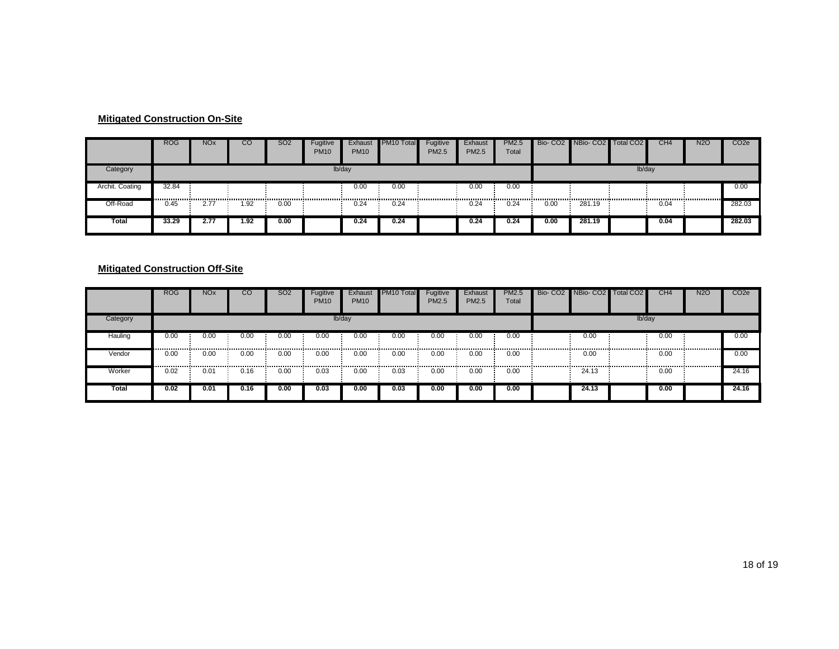#### **Mitigated Construction On-Site**

|                 | <b>ROG</b> | <b>NO<sub>x</sub></b> | CO   | SO <sub>2</sub> | Fugitive<br><b>PM10</b> | Exhaust<br><b>PM10</b> | <b>PM10 Total</b> | Fugitive<br><b>PM2.5</b> | Exhaust<br><b>PM2.5</b> | <b>PM2.5</b><br>Total |      | Bio- CO2 NBio- CO2 Total CO2 |        | CH <sub>4</sub> | <b>N2O</b> | CO <sub>2</sub> e |
|-----------------|------------|-----------------------|------|-----------------|-------------------------|------------------------|-------------------|--------------------------|-------------------------|-----------------------|------|------------------------------|--------|-----------------|------------|-------------------|
| Category        |            |                       |      |                 |                         | lb/day                 |                   |                          |                         |                       |      |                              | lb/day |                 |            |                   |
| Archit. Coating | 32.84      |                       |      |                 |                         | 0.00                   | 0.00              |                          | 0.00                    | 0.00                  |      |                              |        |                 |            | 0.00              |
| Off-Road        | 0.45       | 2.77                  | 1.92 | 0.00            |                         | 0.24                   | 0.24              |                          | 0.24                    | 0.24                  | 0.00 | 281.19                       |        | 0.04            |            | 282.03            |
| Total           | 33.29      | 2.77                  | 1.92 | 0.00            |                         | 0.24                   | 0.24              |                          | 0.24                    | 0.24                  | 0.00 | 281.19                       |        | 0.04            |            | 282.03            |

#### **Mitigated Construction Off-Site**

|          | <b>ROG</b> | <b>NO<sub>x</sub></b> | .co  | <b>SO2</b> | Fugitive<br><b>PM10</b> | Exhaust<br><b>PM10</b> | PM <sub>10</sub> Total | Fugitive<br>PM2.5 | Exhaust<br><b>PM2.5</b> | <b>PM2.5</b><br>Total | Bio- CO2 NBio- CO2 Total CO2 |        | CH <sub>4</sub> | <b>N2O</b> | CO <sub>2e</sub> |
|----------|------------|-----------------------|------|------------|-------------------------|------------------------|------------------------|-------------------|-------------------------|-----------------------|------------------------------|--------|-----------------|------------|------------------|
| Category |            |                       |      |            |                         | lb/day                 |                        |                   |                         |                       |                              | lb/day |                 |            |                  |
| Hauling  | 0.00<br>   | 0.00<br>              | 0.00 | 0.00<br>   | 0.00                    | 0.00                   | 0.00                   | 0.00<br>          | 0.00<br>.               | 0.00<br>              | 0.00                         |        | 0.00            | .          | 0.00             |
| Vendor   | 0.00       | 0.00<br>              | 0.00 | 0.00       | 0.00                    | 0.00                   | 0.00                   | 0.00<br>          | 0.00                    | 0.00                  | 0.00                         |        | 0.00            |            | 0.00             |
| Worker   | 0.02       | 0.01                  | 0.16 | 0.00       | 0.03                    | 0.00                   | 0.03                   | 0.00              | 0.00                    | 0.00                  | 24.13                        |        | 0.00            |            | 24.16            |
| Total    | 0.02       | 0.01                  | 0.16 | 0.00       | 0.03                    | 0.00                   | 0.03                   | 0.00              | 0.00                    | 0.00                  | 24.13                        |        | 0.00            |            | 24.16            |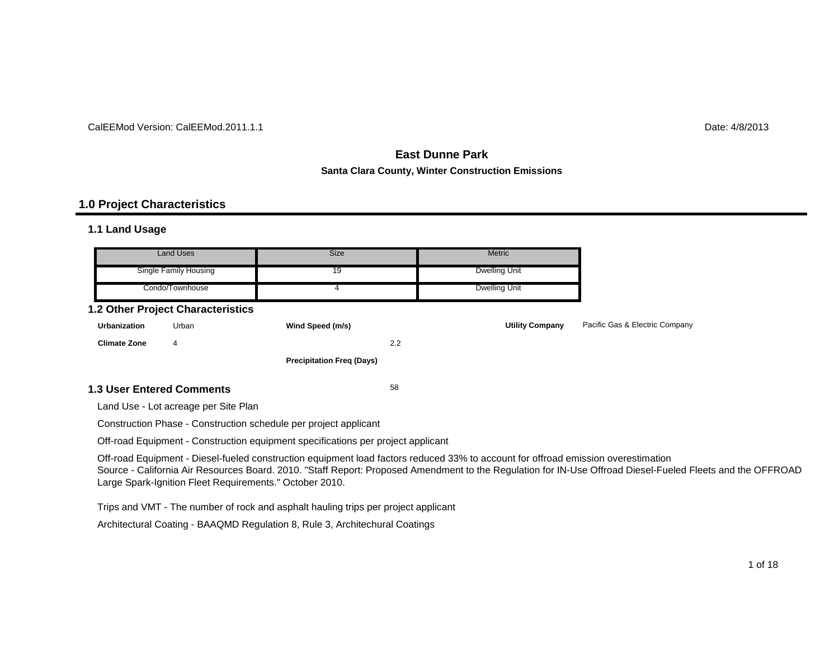#### CalEEMod Version: CalEEMod.2011.1.1

# $\blacksquare$  determines the contract of the contract of the contract of the contract of the contract of the contract of the contract of the contract of the contract of the contract of the contract of the contract of the contrac

# **East Dunne ParkSanta Clara County, Winter Construction Emissions**

#### **1.0 Project Characteristics**

#### **1.1 Land Usage**

| Land Uses             | Size | <b>Metric</b> |
|-----------------------|------|---------------|
| Single Family Housing | 19   | Dwelling Unit |
| Condo/Townhouse       |      | Dwelling Unit |

#### **1.2 Other Project Characteristics**

| <b>Urbanization</b>              | Urban | Wind Speed (m/s)                 |     | <b>Utility Company</b> | Pacific Gas & Electric Company |
|----------------------------------|-------|----------------------------------|-----|------------------------|--------------------------------|
| <b>Climate Zone</b>              | 4     |                                  | 2.2 |                        |                                |
|                                  |       | <b>Precipitation Freg (Days)</b> |     |                        |                                |
| <b>1.3 User Entered Comments</b> |       |                                  | 58  |                        |                                |

Land Use - Lot acreage per Site Plan

Construction Phase - Construction schedule per project applicant

Off-road Equipment - Construction equipment specifications per project applicant

Off-road Equipment - Diesel-fueled construction equipment load factors reduced 33% to account for offroad emission overestimation Source - California Air Resources Board. 2010. "Staff Report: Proposed Amendment to the Regulation for IN-Use Offroad Diesel-Fueled Fleets and the OFFROAD Large Spark-Ignition Fleet Requirements." October 2010.

Trips and VMT - The number of rock and asphalt hauling trips per project applicant

Architectural Coating - BAAQMD Regulation 8, Rule 3, Architechural Coatings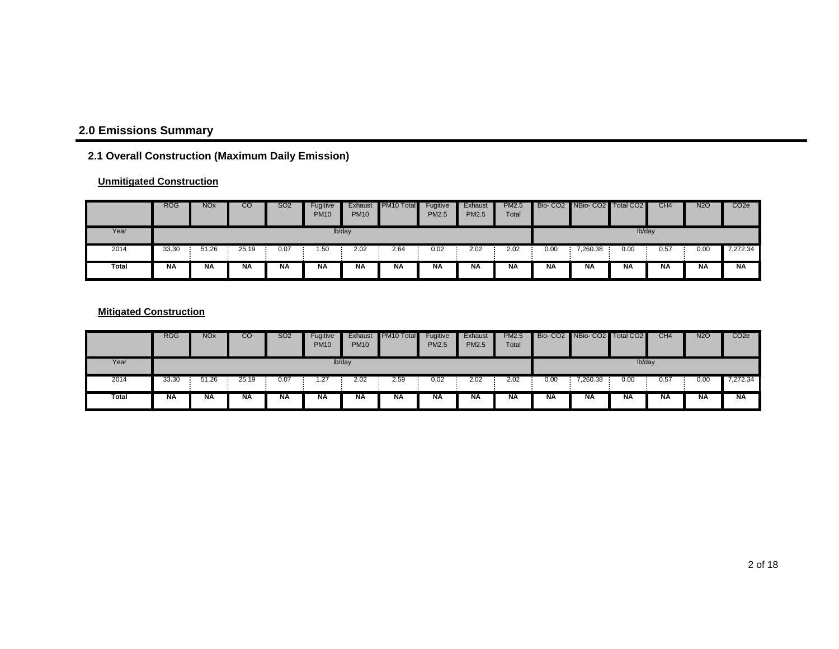# **2.0 Emissions Summary**

# **2.1 Overall Construction (Maximum Daily Emission)**

#### **Unmitigated Construction**

|       | <b>ROG</b> | <b>NO<sub>x</sub></b> | CO    | <b>SO2</b> | Fugitive<br><b>PM10</b> | Exhaust<br><b>PM10</b> | PM <sub>10</sub> Total | Fugitive<br><b>PM2.5</b> | Exhaust<br><b>PM2.5</b> | <b>PM2.5</b><br>Total |           | Bio- CO2 NBio- CO2 Total CO2 |        | CH4       | <b>N2O</b> | CO <sub>2</sub> e |
|-------|------------|-----------------------|-------|------------|-------------------------|------------------------|------------------------|--------------------------|-------------------------|-----------------------|-----------|------------------------------|--------|-----------|------------|-------------------|
| Year  |            |                       |       |            |                         | lb/day                 |                        |                          |                         |                       |           |                              | lb/day |           |            |                   |
| 2014  | 33.30      | 51.26                 | 25.19 | 0.07       | 1.50                    | 2.02                   | 2.64                   | 0.02                     | 2.02                    | 2.02                  | 0.00      | 7,260.38                     | 0.00   | 0.57      | 0.00       | 7,272.34          |
| Total | <b>NA</b>  | <b>NA</b>             | ΝA    | ΝA         | <b>NA</b>               | <b>NA</b>              | <b>NA</b>              | ΝA                       | <b>NA</b>               | ΝA                    | <b>NA</b> | ΝA                           | NΑ     | <b>NA</b> | <b>NA</b>  | <b>NA</b>         |

#### **Mitigated Construction**

|       | <b>ROG</b> | <b>NO<sub>x</sub></b> | CO        | SO2       | Fugitive<br><b>PM10</b> | Exhaust<br><b>PM10</b> | PM <sub>10</sub> Total | Fugitive<br><b>PM2.5</b> | Exhaust<br><b>PM2.5</b> | <b>PM2.5</b><br>Total |           | Bio- CO2 NBio- CO2 Total CO2 |           | CH <sub>4</sub> | <b>N2O</b> | CO <sub>2e</sub> |
|-------|------------|-----------------------|-----------|-----------|-------------------------|------------------------|------------------------|--------------------------|-------------------------|-----------------------|-----------|------------------------------|-----------|-----------------|------------|------------------|
| Year  |            |                       |           |           |                         | lb/day                 |                        |                          |                         |                       |           |                              | lb/day    |                 |            |                  |
| 2014  | 33.30      | 51.26                 | 25.19     | 0.07      | 1.27                    | 2.02                   | 2.59                   | 0.02                     | 2.02                    | 2.02                  | 0.00      | 4,260.38                     | 0.00      | 0.57            | 0.00       | 7,272.34         |
| Total | <b>NA</b>  | <b>NA</b>             | <b>NA</b> | <b>NA</b> | <b>NA</b>               | <b>NA</b>              | <b>NA</b>              | <b>NA</b>                | <b>NA</b>               | <b>NA</b>             | <b>NA</b> | <b>NA</b>                    | <b>NA</b> | <b>NA</b>       | <b>NA</b>  | <b>NA</b>        |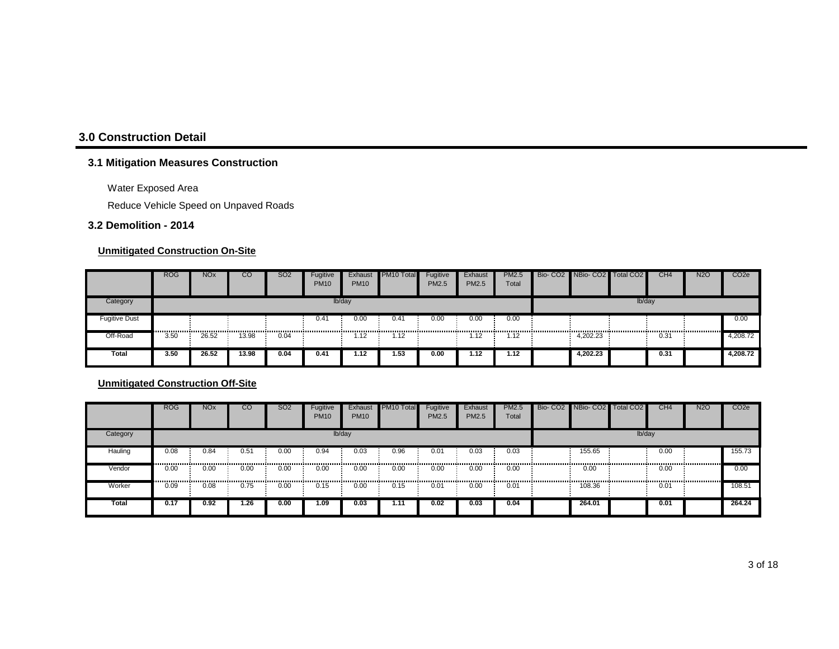# **3.0 Construction Detail**

# **3.1 Mitigation Measures Construction**

Water Exposed Area

Reduce Vehicle Speed on Unpaved Roads

#### **3.2 Demolition - 2014**

#### **Unmitigated Construction On-Site**

|                      | <b>ROG</b> | <b>NO<sub>x</sub></b> | CO    | SO <sub>2</sub> | Fugitive<br><b>PM10</b> | Exhaust<br><b>PM10</b> | PM10 Total | Fugitive<br><b>PM2.5</b> | <b>Exhaust</b><br>PM2.5 | <b>PM2.5</b><br>Total | Bio- CO2 NBio- CO2 Total CO2 |        | CH <sub>4</sub> | <b>N2O</b> | CO <sub>2</sub> e |
|----------------------|------------|-----------------------|-------|-----------------|-------------------------|------------------------|------------|--------------------------|-------------------------|-----------------------|------------------------------|--------|-----------------|------------|-------------------|
| Category             |            |                       |       |                 |                         | lb/day                 |            |                          |                         |                       |                              | lb/day |                 |            |                   |
| <b>Fugitive Dust</b> |            |                       |       |                 | 0.4 <sup>4</sup>        | 0.00                   | 0.41       | 0.00                     | 0.00                    | 0.00                  |                              |        |                 |            | 0.00              |
| Off-Road             | 3.50       | 26.52                 | 13.98 | 0.04            |                         | 1.12                   | 1.12       |                          | l.12                    | 1.12                  | 4.202.23                     |        | 0.31            |            | 4,208.72          |
| Total                | 3.50       | 26.52                 | 13.98 | 0.04            | 0.41                    | 1.12                   | 1.53       | 0.00                     | 1.12                    | 1.12                  | 4.202.23                     |        | 0.31            |            | 4,208.72          |

|          | <b>ROG</b> | <b>NO<sub>x</sub></b> | <sub>CO</sub> | SO <sub>2</sub> | Fugitive<br><b>PM10</b> | Exhaust<br><b>PM10</b> | PM <sub>10</sub> Total | Fugitive<br><b>PM2.5</b> | Exhaust<br><b>PM2.5</b> | <b>PM2.5</b><br>Total |                 | Bio- CO2 NBio- CO2 Total CO2 |        | CH <sub>4</sub> | <b>N2O</b> | CO <sub>2</sub> e |
|----------|------------|-----------------------|---------------|-----------------|-------------------------|------------------------|------------------------|--------------------------|-------------------------|-----------------------|-----------------|------------------------------|--------|-----------------|------------|-------------------|
| Category |            |                       |               |                 |                         | lb/day                 |                        |                          |                         |                       |                 |                              | lb/day |                 |            |                   |
| Hauling  | 0.08<br>   | 0.84<br>              | 0.51          | 0.00            | 0.94<br>.               | 0.03                   | 0.96                   | 0.01                     | 0.03                    | 0.03                  |                 | 155.65<br>                   |        | 0.00            |            | 155.73            |
| Vendor   | 0.00<br>   | 0.00                  | 0.00<br>      | 0.00            | 0.00                    | 0.00                   | 0.00                   | 0.00                     | 0.00<br>                | 0.00                  | --------------- | 0.00<br>                     |        | 0.00            |            | 0.00              |
| Worker   | 0.09       | 0.08                  | 0.75          | 0.00            | 0.15                    | 0.00                   | 0.15                   | 0.01                     | 0.00                    | 0.01                  |                 | 108.36                       |        | 0.01            |            | 108.51            |
| Total    | 0.17       | 0.92                  | 36.،          | 0.00            | 1.09                    | 0.03                   | 1.11                   | 0.02                     | 0.03                    | 0.04                  |                 | 264.01                       |        | 0.01            |            | 264.24            |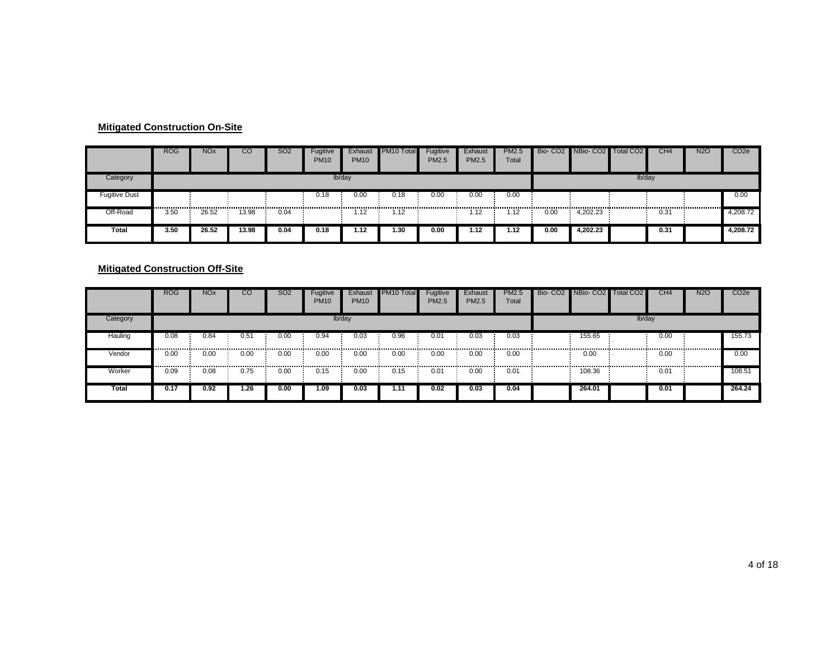#### **Mitigated Construction On-Site**

|                      | <b>ROG</b> | <b>NOx</b> | CO    | SO <sub>2</sub> | Fugitive<br><b>PM10</b> | Exhaust<br><b>PM10</b> | <b>PM10 Total</b> | Fugitive<br><b>PM2.5</b> | Exhaust<br><b>PM2.5</b> | <b>PM2.5</b><br>Total |      | Bio- CO2 NBio- CO2 | Total CO <sub>2</sub> | CH <sub>4</sub> | <b>N2O</b> | CO <sub>2e</sub> |
|----------------------|------------|------------|-------|-----------------|-------------------------|------------------------|-------------------|--------------------------|-------------------------|-----------------------|------|--------------------|-----------------------|-----------------|------------|------------------|
| Category             |            |            |       |                 |                         | lb/day                 |                   |                          |                         |                       |      |                    | lb/day                |                 |            |                  |
| <b>Fugitive Dust</b> |            |            |       |                 | 0.18                    | 0.00                   | 0.18              | 0.00                     | 0.00                    | 0.00                  |      |                    |                       |                 |            | 0.00             |
| Off-Road             | 3.50       | 26.52      | 13.98 | 0.04            |                         | 1.12                   | 1.12              |                          | 1.12                    | 1.12                  | 0.00 | 4.202.23           |                       | 0.31            |            | 4,208.72         |
| Total                | 3.50       | 26.52      | 13.98 | 0.04            | 0.18                    | 1.12                   | 1.30              | 0.00                     | 1.12                    | 1.12                  | 0.00 | 1.202.23           |                       | 0.31            |            | 4,208.72         |

#### **Mitigated Construction Off-Site**

|          | <b>ROG</b> | <b>NOx</b> | <sub>CO</sub> | S <sub>O</sub> 2 | Fugitive<br><b>PM10</b> | Exhaust<br><b>PM10</b> | <b>PM10 Total</b> | Fugitive<br><b>PM2.5</b> | Exhaust<br><b>PM2.5</b> | <b>PM2.5</b><br>Total | Bio- CO2 NBio- CO2 Total CO2 |        | CH <sub>4</sub> | <b>N2O</b> | CO <sub>2</sub> e |
|----------|------------|------------|---------------|------------------|-------------------------|------------------------|-------------------|--------------------------|-------------------------|-----------------------|------------------------------|--------|-----------------|------------|-------------------|
| Category |            |            |               |                  |                         | lb/day                 |                   |                          |                         |                       |                              | lb/day |                 |            |                   |
| Hauling  | 0.08       | 0.84       | 0.51          | 0.00             | 0.94                    | 0.03                   | 0.96              | 0.01                     | 0.03                    | 0.03                  | 155.65                       |        | 0.00            |            | 155.73            |
| Vendor   | 0.00       | 0.00<br>   | 0.00          | 0.00             | 0.00                    | 0.00                   | 0.00              | 0.00<br>                 | 0.00                    | 0.00                  | <br>0.00                     |        | 0.00            |            | 0.00              |
| Worker   | 0.09       | 0.08       | 0.75          | 0.00             | 0.15                    | 0.00                   | 0.15              | 0.01                     | 0.00                    | 0.01                  | 108.36                       |        | 0.01            |            | 108.51            |
| Total    | 0.17       | 0.92       | 1.26          | 0.00             | 1.09                    | 0.03                   | 1.11              | 0.02                     | 0.03                    | 0.04                  | 264.01                       |        | 0.01            |            | 264.24            |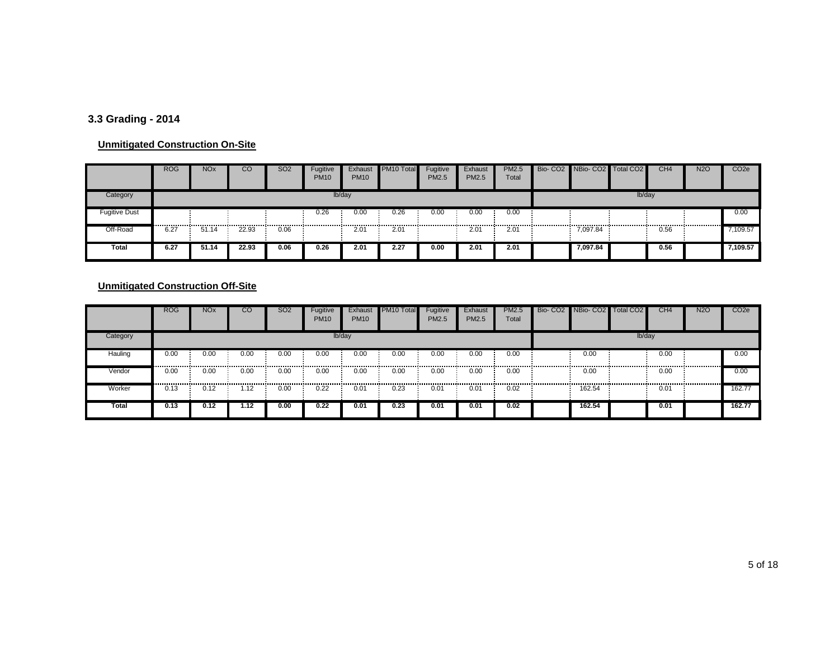# **3.3 Grading - 2014**

#### **Unmitigated Construction On-Site**

|               | <b>ROG</b> | <b>NO<sub>x</sub></b> | CО    | <b>SO2</b> | Fugitive<br><b>PM10</b> | Exhaust<br><b>PM10</b> | PM10 Total | Fugitive<br>PM2.5 | Exhaust<br><b>PM2.5</b> | <b>PM2.5</b><br>Total | Bio- CO2 NBio- CO2 | Total CO <sub>2</sub> | CH4  | <b>N2O</b> | CO <sub>2</sub> e |
|---------------|------------|-----------------------|-------|------------|-------------------------|------------------------|------------|-------------------|-------------------------|-----------------------|--------------------|-----------------------|------|------------|-------------------|
| Category      |            |                       |       |            |                         | lb/day                 |            |                   |                         |                       |                    | lb/day                |      |            |                   |
| Fugitive Dust | .          |                       |       |            | 0.26                    | 0.00                   | 0.26       | 0.00              | 0.00                    | 0.00                  |                    |                       |      |            | 0.00              |
| Off-Road      | 6.27       | 51.14                 | 22.93 | 0.06       |                         | 2.01                   | 2.01       |                   | 2.01                    | 2.01                  | 7,097.84           |                       | 0.56 |            | ,109.57           |
| Total         | 6.27       | 51.14                 | 22.93 | 0.06       | 0.26                    | 2.01                   | 2.27       | 0.00              | 2.01                    | 2.01                  | 7.097.84           |                       | 0.56 |            | 7,109.57          |

|              | <b>ROG</b> | <b>NO<sub>x</sub></b> | <sub>co</sub> | <b>SO2</b> | Fugitive<br><b>PM10</b> | Exhaust<br><b>PM10</b>   | PM <sub>10</sub> Total | Fugitive<br>PM2.5 | Exhaust<br>PM2.5 | <b>PM2.5</b><br>Total | Bio- CO2 NBio- CO2 Total CO2 |        | CH <sub>4</sub> | <b>N2O</b> | CO <sub>2e</sub> |
|--------------|------------|-----------------------|---------------|------------|-------------------------|--------------------------|------------------------|-------------------|------------------|-----------------------|------------------------------|--------|-----------------|------------|------------------|
| Category     |            |                       |               |            |                         | lb/day                   |                        |                   |                  |                       |                              | lb/day |                 |            |                  |
| Hauling      | 0.00       | 0.00                  | 0.00          | 0.00       | 0.00                    | 0.00                     | 0.00                   | 0.00              | 0.00             | 0.00                  | 0.00                         |        | 0.00            |            | 0.00             |
| Vendor       | 0.00<br>   | 0.00                  | 0.00          | 0.00       | 0.00<br>                | 0.00<br>---------------- | 0.00                   | 0.00              | 0.00             | 0.00                  | 0.00                         |        | 0.00            |            | 0.00             |
| Worker       | 0.13       | 0.12                  | 1.12          | 0.00       | 0.22                    | 0.01                     | 0.23                   | 0.01              | 0.01             | 0.02                  | 162.54                       |        | 0.01            |            | 162.77           |
| <b>Total</b> | 0.13       | 0.12                  | 1.12          | 0.00       | 0.22                    | 0.01                     | 0.23                   | 0.01              | 0.01             | 0.02                  | 162.54                       |        | 0.01            |            | 162.77           |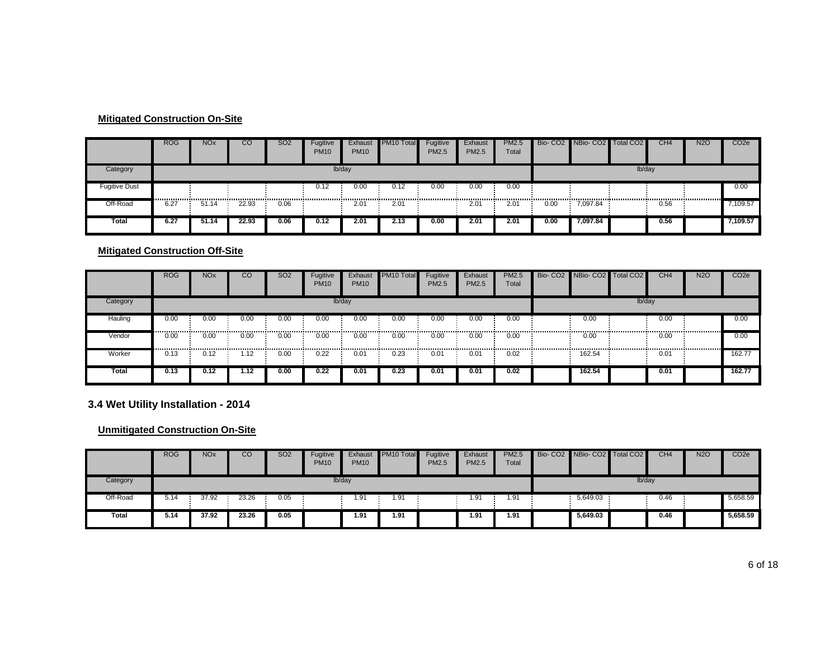#### **Mitigated Construction On-Site**

|                      | <b>ROG</b> | <b>NOx</b> | CO    | <b>SO2</b> | Fugitive<br><b>PM10</b> | Exhaust<br><b>PM10</b> | PM <sub>10</sub> Total | Fugitive<br><b>PM2.5</b> | Exhaust<br>PM2.5 | <b>PM2.5</b><br>Total |           | Bio- CO2 NBio- CO2 Total CO2 |        | CH <sub>4</sub> | <b>N2O</b> | CO <sub>2</sub> e |
|----------------------|------------|------------|-------|------------|-------------------------|------------------------|------------------------|--------------------------|------------------|-----------------------|-----------|------------------------------|--------|-----------------|------------|-------------------|
| Category             |            |            |       |            |                         | lb/day                 |                        |                          |                  |                       |           |                              | lb/day |                 |            |                   |
| <b>Fugitive Dust</b> |            |            |       | .          | 0.12<br>                | 0.00                   | 0.12                   | 0.00                     | 0.00             | 0.00                  | --------- |                              |        |                 |            | 0.00              |
| Off-Road             | 6.27       | 51.14      | 22.93 | 0.06       |                         | 2.01                   | 2.01                   |                          | 2.01             | 2.01                  | 0.00      | 7,097.84                     |        | 0.56            |            | 7,109.57          |
| <b>Total</b>         | 6.27       | 51.14      | 22.93 | 0.06       | 0.12                    | 2.01                   | 2.13                   | 0.00                     | 2.01             | 2.01                  | 0.00      | 7.097.84                     |        | 0.56            |            | 7,109.57          |

#### **Mitigated Construction Off-Site**

|              | <b>ROG</b> | <b>NO<sub>x</sub></b> | <b>CO</b> | SO <sub>2</sub> | Fugitive<br><b>PM10</b> | Exhaust<br><b>PM10</b> | PM10 Total | Fugitive<br>PM2.5 | Exhaust<br><b>PM2.5</b> | <b>PM2.5</b><br>Total | Bio- CO2 NBio- CO2 Total CO2 |        | CH <sub>4</sub> | <b>N2O</b> | CO <sub>2e</sub> |
|--------------|------------|-----------------------|-----------|-----------------|-------------------------|------------------------|------------|-------------------|-------------------------|-----------------------|------------------------------|--------|-----------------|------------|------------------|
| Category     |            |                       |           |                 |                         | lb/day                 |            |                   |                         |                       |                              | lb/day |                 |            |                  |
| Hauling      | 0.00       | 0.00                  | 0.00      | 0.00            | 0.00                    | 0.00                   | 0.00       | 0.00              | 0.00                    | 0.00                  | 0.00                         |        | 0.00            |            | 0.00             |
| Vendor       | <br>0.00   | 0.00                  | 0.00      | 0.00            | 0.00                    | 0.00                   | 0.00       | 0.00              | 0.00                    | 0.00                  | 0.00                         |        | 0.00            |            | 0.00             |
| Worker       | <br>0.13   | 0.12                  | l.12      | 0.00            | 0.22                    | 0.01                   | 0.23       | 0.01              | 0.01                    | 0.02                  | 162.54                       |        | 0.01            |            | 162.77           |
| <b>Total</b> | 0.13       | 0.12                  | 1.12      | 0.00            | 0.22                    | 0.01                   | 0.23       | 0.01              | 0.01                    | 0.02                  | 162.54                       |        | 0.01            |            | 162.77           |

**3.4 Wet Utility Installation - 2014**

|              | <b>ROG</b> | <b>NO<sub>x</sub></b> | CO    | SO2  | Fugitive<br><b>PM10</b> | Exhaust<br><b>PM10</b> | <b>PM10 Total</b> | Fugitive<br><b>PM2.5</b> | Exhaust<br>PM2.5 | <b>PM2.5</b><br>Total | Bio- CO2 NBio- CO2 Total CO2 |        | CH <sub>4</sub> | <b>N2O</b> | CO <sub>2e</sub> |
|--------------|------------|-----------------------|-------|------|-------------------------|------------------------|-------------------|--------------------------|------------------|-----------------------|------------------------------|--------|-----------------|------------|------------------|
| Category     |            |                       |       |      |                         | lb/day                 |                   |                          |                  |                       |                              | lb/day |                 |            |                  |
| Off-Road     | 5.14       | 37.92                 | 23.26 | 0.05 |                         | 1.91                   | 1.91              |                          | 1.91             | 1.91                  | 5,649.03                     |        | 0.46            |            | 5,658.59         |
| <b>Total</b> | 5.14       | 37.92                 | 23.26 | 0.05 |                         | 1.91                   | 1.91              |                          | 1.91             | 1.91                  | 5.649.03                     |        | 0.46            |            | 5,658.59         |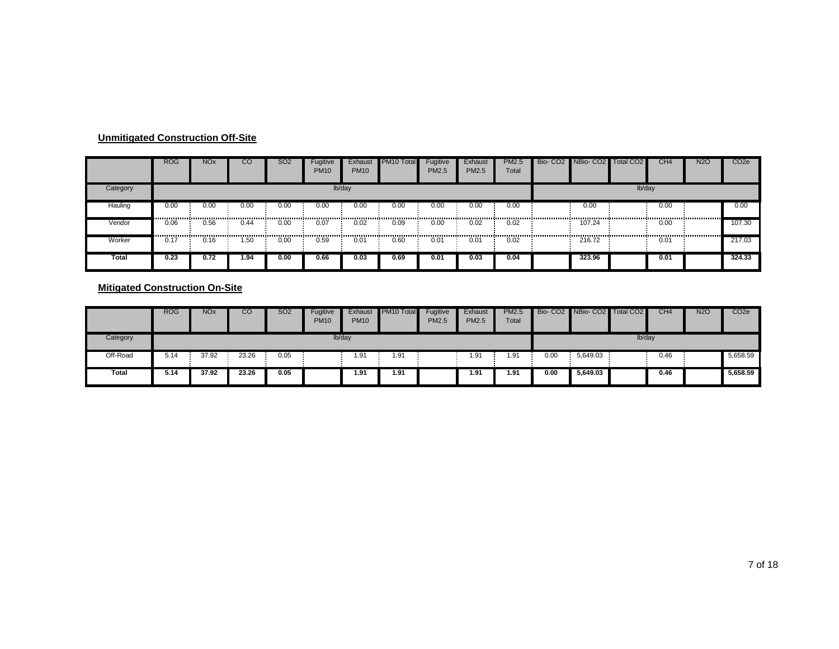|          | <b>ROG</b> | <b>NO<sub>x</sub></b> | CO   | <b>SO2</b> | Fugitive<br><b>PM10</b> | Exhaust<br><b>PM10</b> | PM <sub>10</sub> Total | Fugitive<br>PM2.5 | Exhaust<br>PM2.5   | <b>PM2.5</b><br>Total | Bio- CO2 NBio- CO2 Total CO2 |        | CH <sub>4</sub> | N2O | CO <sub>2e</sub> |
|----------|------------|-----------------------|------|------------|-------------------------|------------------------|------------------------|-------------------|--------------------|-----------------------|------------------------------|--------|-----------------|-----|------------------|
| Category |            |                       |      |            |                         | lb/day                 |                        |                   |                    |                       |                              | lb/day |                 |     |                  |
| Hauling  | 0.00       | 0.00                  | 0.00 | 0.00       | 0.00<br>                | 0.00                   | 0.00                   | 0.00              | 0.00<br>---------- | 0.00                  | 0.00                         |        | 0.00            |     | 0.00             |
| Vendor   | 0.06       | 0.56                  | 0.44 | 0.00       | 0.07<br>.               | 0.02                   | 0.09                   | 0.00              | 0.02               | 0.02                  | 107.24                       |        | 0.00            |     | 107.30           |
| Worker   | 0.17       | 0.16                  | 50،، | 0.00       | 0.59                    | 0.01                   | 0.60                   | 0.01              | 0.01               | 0.02                  | 216.72                       |        | 0.01            |     | 217.03           |
| Total    | 0.23       | 0.72                  | 1.94 | 0.00       | 0.66                    | 0.03                   | 0.69                   | 0.01              | 0.03               | 0.04                  | 323.96                       |        | 0.01            |     | 324.33           |

|              | <b>ROG</b> | <b>NO<sub>x</sub></b> | CO    | <b>SO2</b> | Fugitive<br><b>PM10</b> | Exhaust<br><b>PM10</b> | PM <sub>10</sub> Total | Fugitive<br><b>PM2.5</b> | Exhaust<br><b>PM2.5</b> | <b>PM2.5</b><br>Total |      | Bio- CO2 NBio- CO2 Total CO2 |        | CH <sub>4</sub> | <b>N2O</b> | CO <sub>2e</sub> |
|--------------|------------|-----------------------|-------|------------|-------------------------|------------------------|------------------------|--------------------------|-------------------------|-----------------------|------|------------------------------|--------|-----------------|------------|------------------|
| Category     |            |                       |       |            |                         | lb/day                 |                        |                          |                         |                       |      |                              | lb/day |                 |            |                  |
| Off-Road     | 5.14       | 37.92                 | 23.26 | 0.05       |                         | 1.91                   | 1.91                   |                          | 1.91                    | 1.91                  | 0.00 | 5,649.03                     |        | 0.46            |            | 5,658.59         |
| <b>Total</b> | 5.14       | 37.92                 | 23.26 | 0.05       |                         | 1.91                   | 1.91                   |                          | 1.91                    | 1.91                  | 0.00 | 5,649.03                     |        | 0.46            |            | 5,658.59         |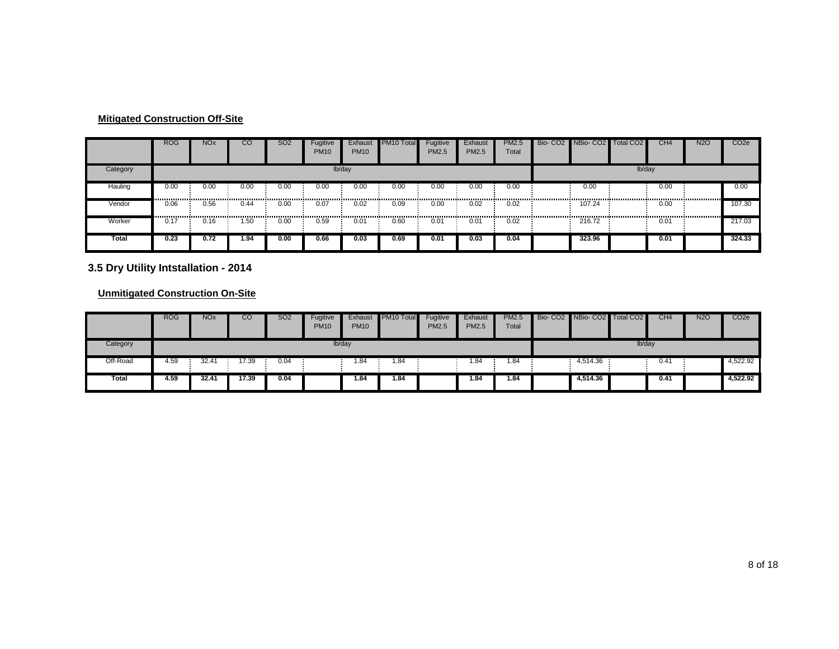|          | <b>ROG</b> | <b>NO<sub>x</sub></b> | CO        | SO <sub>2</sub> | Fugitive<br><b>PM10</b> | Exhaust<br><b>PM10</b> | PM <sub>10</sub> Total | Fugitive<br>PM2.5 | Exhaust<br>PM2.5 | <b>PM2.5</b><br>Total | Bio- CO2 NBio- CO2 Total CO2 |        | CH <sub>4</sub>        | <b>N2O</b> | CO <sub>2e</sub> |
|----------|------------|-----------------------|-----------|-----------------|-------------------------|------------------------|------------------------|-------------------|------------------|-----------------------|------------------------------|--------|------------------------|------------|------------------|
| Category |            |                       |           |                 |                         | lb/day                 |                        |                   |                  |                       |                              | lb/day |                        |            |                  |
| Hauling  | 0.00<br>   | 0.00                  | 0.00      | 0.00            | 0.00                    | 0.00                   | 0.00                   | 0.00              | 0.00             | 0.00                  | 0.00                         |        | 0.00                   |            | 0.00             |
| Vendor   | 0.06<br>   | 0.56<br>.             | 0.44<br>. | 0.00<br>        | 0.07                    | 0.02                   | 0.09                   | 0.00              | 0.02             | 0.02                  | <br>107.24<br>               |        | 0.00<br>-------------- |            | 107.30           |
| Worker   | 0.17       | 0.16                  | .50       | 0.00            | 0.59                    | 0.01                   | 0.60                   | 0.01              | 0.01             | 0.02                  | 216.72                       |        | 0.01                   |            | 217.03           |
| Total    | 0.23       | 0.72                  | I.94      | 0.00            | 0.66                    | 0.03                   | 0.69                   | 0.01              | 0.03             | 0.04                  | 323.96                       |        | 0.01                   |            | 324.33           |

**3.5 Dry Utility Intstallation - 2014**

|          | <b>ROG</b> | <b>NO<sub>x</sub></b> | CO    | <b>SO2</b> | Fugitive<br><b>PM10</b> | Exhaust<br><b>PM10</b> | PM10 Total | Fugitive<br><b>PM2.5</b> | Exhaust<br><b>PM2.5</b> | <b>PM2.5</b><br>Total | Bio- CO2 NBio- CO2 Total CO2 |        | CH <sub>4</sub> | <b>N2O</b> | CO <sub>2e</sub> |
|----------|------------|-----------------------|-------|------------|-------------------------|------------------------|------------|--------------------------|-------------------------|-----------------------|------------------------------|--------|-----------------|------------|------------------|
| Category |            |                       |       |            | lb/day                  |                        |            |                          |                         |                       |                              | lb/day |                 |            |                  |
| Off-Road | 4.59       | 32.41                 | 17.39 | 0.04       |                         | 1.84                   | 1.84       |                          | 1.84                    | 1.84                  | 4,514.36                     |        | 0.41            |            | 4,522.92         |
| Total    | 4.59       | 32.41                 | 17.39 | 0.04       |                         | 1.84                   | 1.84       |                          | 1.84                    | 1.84                  | 4,514.36                     |        | 0.41            |            | 4,522.92         |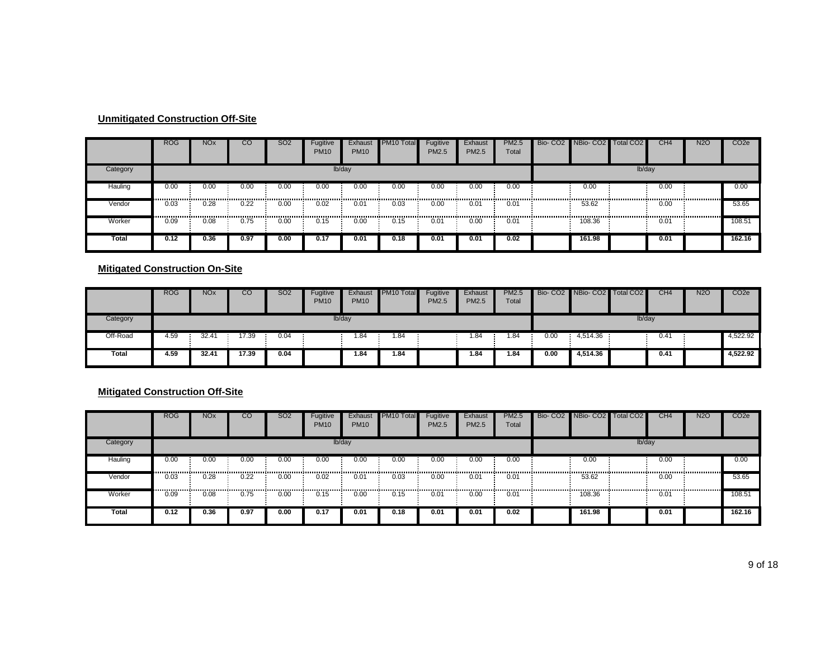|          | <b>ROG</b> | <b>NO<sub>x</sub></b> | $_{\rm CO}$ | <b>SO2</b> | Fugitive<br><b>PM10</b> | Exhaust<br><b>PM10</b> | PM <sub>10</sub> Total | Fugitive<br>PM2.5 | Exhaust<br>PM2.5 | <b>PM2.5</b><br>Total                     | Bio- CO2 NBio- CO2 Total CO2 |        | CH <sub>4</sub> | <b>N2O</b> | CO <sub>2e</sub> |
|----------|------------|-----------------------|-------------|------------|-------------------------|------------------------|------------------------|-------------------|------------------|-------------------------------------------|------------------------------|--------|-----------------|------------|------------------|
| Category |            |                       |             |            |                         | lb/day                 |                        |                   |                  |                                           |                              | lb/day |                 |            |                  |
| Hauling  | 0.00       | 0.00<br>              | 0.00        | 0.00       | 0.00                    | 0.00                   | 0.00                   | 0.00              | 0.00             | 0.00                                      | 0.00                         |        | 0.00            |            | 0.00             |
| Vendor   | 0.03<br>   | 0.28<br>------------- | 0.22<br>.   | 0.00<br>   | 0.02<br>.               | 0.01                   | 0.03                   | 0.00              | 0.01<br>.        | 0.01<br>,,,,,,,,,,,,,,,,,,,,,,,,,,,,,,,,, | 53.62<br>.                   |        | 0.00            |            | 53.65            |
| Worker   | 0.09       | 0.08                  | 0.75        | 0.00       | 0.15                    | 0.00                   | 0.15                   | 0.01              | 0.00             | 0.01                                      | 108.36                       |        | 0.01            |            | 108.51           |
| Total    | 0.12       | 0.36                  | 0.97        | 0.00       | 0.17                    | 0.01                   | 0.18                   | 0.01              | 0.01             | 0.02                                      | 161.98                       |        | 0.01            |            | 162.16           |

#### **Mitigated Construction On-Site**

|          | <b>ROG</b> | <b>NOx</b>     | CO    | <b>SO2</b> | Fugitive<br><b>PM10</b> | Exhaust<br><b>PM10</b> | <b>PM10 Total</b> | Fugitive<br><b>PM2.5</b> | Exhaust<br><b>PM2.5</b> | <b>PM2.5</b><br>Total |      | Bio- CO2 NBio- CO2 Total CO2 |        | CH <sub>4</sub> | <b>N2O</b> | CO <sub>2</sub> e |
|----------|------------|----------------|-------|------------|-------------------------|------------------------|-------------------|--------------------------|-------------------------|-----------------------|------|------------------------------|--------|-----------------|------------|-------------------|
| Category |            |                |       |            | lb/day                  |                        |                   |                          |                         |                       |      |                              | lb/day |                 |            |                   |
| Off-Road | 4.59       | 32.4'          | 17.39 | 0.04       |                         | 1.84                   | 1.84              |                          | .84،                    | 1.84                  | 0.00 | 4,514.36                     |        | 0.41            |            | 4,522.92          |
| Total    | 4.59       | $32.4^{\circ}$ | 17.39 | 0.04       |                         | 1.84                   | 1.84              |                          | i.84                    | 1.84                  | 0.00 | 4.514.36                     |        | 0.41            |            | 4,522.92          |

#### **Mitigated Construction Off-Site**

|          | <b>ROG</b> | <b>NO<sub>x</sub></b> | CO   | <b>SO2</b> | Fugitive<br><b>PM10</b>  | Exhaust<br><b>PM10</b> | PM <sub>10</sub> Total | Fugitive<br><b>PM2.5</b> | Exhaust<br><b>PM2.5</b> | <b>PM2.5</b><br>Total | Bio- CO2 NBio- CO2 Total CO2 |        | CH <sub>4</sub> | <b>N2O</b> | CO <sub>2e</sub> |
|----------|------------|-----------------------|------|------------|--------------------------|------------------------|------------------------|--------------------------|-------------------------|-----------------------|------------------------------|--------|-----------------|------------|------------------|
| Category |            |                       |      |            |                          | lb/day                 |                        |                          |                         |                       |                              | lb/day |                 |            |                  |
| Hauling  | 0.00       | 0.00                  | 0.00 | 0.00<br>.  | 0.00<br>---------------- | 0.00                   | 0.00                   | 0.00                     | 0.00                    | 0.00                  | 0.00                         |        | 0.00            |            | 0.00             |
| Vendor   | 0.03       | 0.28                  | 0.22 | 0.00       | 0.02                     | 0.01                   | 0.03                   | 0.00                     | 0.01                    | 0.01                  | 53.62                        |        | 0.00<br>        |            | 53.65            |
| Worker   | 0.09       | 0.08                  | 0.75 | 0.00       | 0.15                     | 0.00                   | 0.15                   | 0.01                     | 0.00                    | 0.01                  | 108.36                       |        | 0.01            |            | 108.51           |
| Total    | 0.12       | 0.36                  | 0.97 | 0.00       | 0.17                     | 0.01                   | 0.18                   | 0.01                     | 0.01                    | $0.\overline{02}$     | 161.98                       |        | 0.01            |            | 162.16           |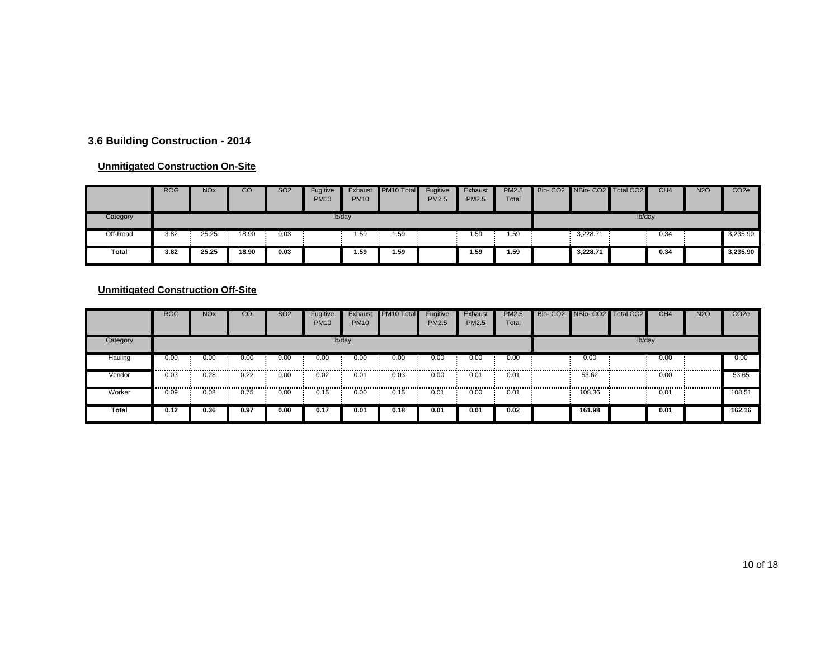#### **3.6 Building Construction - 2014**

#### **Unmitigated Construction On-Site**

|              | <b>ROG</b> | <b>NO<sub>x</sub></b> | CО    | <b>SO2</b> | Fugitive<br><b>PM10</b> | Exhaust<br><b>PM10</b> | PM10 Total | Fugitive<br><b>PM2.5</b> | Exhaust<br><b>PM2.5</b> | <b>PM2.5</b><br>Total | Bio- CO2 NBio- CO2 Total CO2 |        | CH <sub>4</sub> | <b>N2O</b> | CO <sub>2</sub> e |
|--------------|------------|-----------------------|-------|------------|-------------------------|------------------------|------------|--------------------------|-------------------------|-----------------------|------------------------------|--------|-----------------|------------|-------------------|
| Category     |            |                       |       |            | lb/day                  |                        |            |                          |                         |                       |                              | lb/day |                 |            |                   |
| Off-Road     | 3.82       | 25.25                 | 18.90 | 0.03       |                         | 1.59                   | 1.59       |                          | 1.59                    | .59                   | 3,228.71                     |        | 0.34            |            | 3,235.90          |
| <b>Total</b> | 3.82       | 25.25                 | 18.90 | 0.03       |                         | 1.59                   | 1.59       |                          | 59.،                    | 1.59                  | 3.228.71                     |        | 0.34            |            | 3,235.90          |

|              | <b>ROG</b> | <b>NO<sub>x</sub></b> | CО   | <b>SO2</b> | Fugitive<br><b>PM10</b> | Exhaust<br><b>PM10</b> | PM <sub>10</sub> Total | Fugitive<br>PM2.5 | Exhaust<br>PM2.5 | <b>PM2.5</b><br>Total | Bio- CO2 NBio- CO2 Total CO2 |          | CH <sub>4</sub> | <b>N2O</b> | CO <sub>2e</sub> |
|--------------|------------|-----------------------|------|------------|-------------------------|------------------------|------------------------|-------------------|------------------|-----------------------|------------------------------|----------|-----------------|------------|------------------|
| Category     |            |                       |      |            |                         | lb/day                 |                        |                   |                  |                       |                              | $lb$ day |                 |            |                  |
| Hauling      | 0.00<br>   | 0.00<br>              | 0.00 | 0.00       | 0.00                    | 0.00                   | 0.00                   | 0.00              | 0.00             | 0.00                  | 0.00                         |          | 0.00            |            | 0.00             |
| Vendor       | 0.03<br>   | 0.28<br>              | 0.22 | 0.00       | 0.02<br>                | 0.01                   | 0.03                   | 0.00              | 0.01             | 0.01                  | 53.62                        |          | 0.00            |            | 53.65            |
| Worker       | 0.09       | 0.08                  | 0.75 | 0.00       | 0.15                    | 0.00                   | 0.15                   | 0.01              | 0.00             | 0.01                  | 108.36                       |          | 0.01            |            | 108.51           |
| <b>Total</b> | 0.12       | 0.36                  | 0.97 | 0.00       | 0.17                    | 0.01                   | 0.18                   | 0.01              | 0.01             | 0.02                  | 161.98                       |          | 0.01            |            | 162.16           |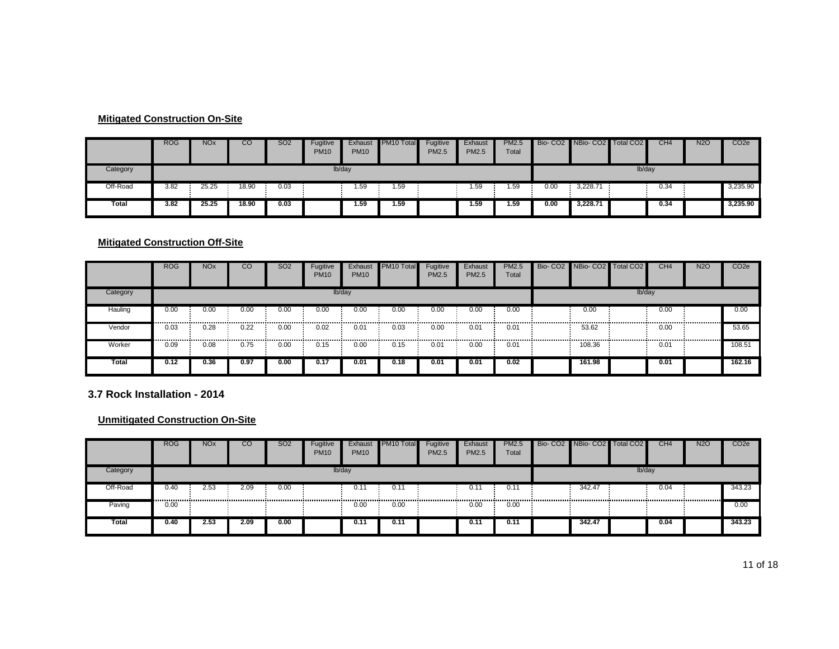#### **Mitigated Construction On-Site**

|              | <b>ROG</b> | <b>NOx</b> | CO    | <b>SO2</b> | Fugitive<br><b>PM10</b> | Exhaust<br><b>PM10</b> | PM <sub>10</sub> Total | Fugitive<br>PM2.5 | Exhaust<br><b>PM2.5</b> | <b>PM2.5</b><br>Total |      | Bio-CO2 NBio-CO2 | <b>Total CO2</b> | CH <sub>4</sub> | <b>N2O</b> | CO <sub>2</sub> e |
|--------------|------------|------------|-------|------------|-------------------------|------------------------|------------------------|-------------------|-------------------------|-----------------------|------|------------------|------------------|-----------------|------------|-------------------|
| Category     |            | lb/day     |       |            |                         |                        |                        |                   |                         |                       |      |                  | lb/day           |                 |            |                   |
| Off-Road     | 3.82       | 25.25      | 18.90 | 0.03       |                         | 1.59                   | 1.59                   |                   | 1.59                    | 59،،                  | 0.00 | 3,228.71         |                  | 0.34            |            | 3,235.90          |
| <b>Total</b> | 3.82       | 25.25      | 18.90 | 0.03       |                         | 1.59                   | 1.59                   |                   | 59.،                    | 1.59                  | 0.00 | 3.228.71         |                  | 0.34            |            | 3,235.90          |

#### **Mitigated Construction Off-Site**

|          | <b>ROG</b> | <b>NO<sub>x</sub></b> | CO   | <b>SO2</b> | Fugitive<br><b>PM10</b> | Exhaust<br><b>PM10</b> | <b>PM10 Total</b> | Fugitive<br><b>PM2.5</b> | Exhaust<br><b>PM2.5</b> | PM2.5<br>Total | Bio- CO2 NBio- CO2 Total CO2 |        | CH <sub>4</sub> | <b>N2O</b> | CO <sub>2</sub> e |
|----------|------------|-----------------------|------|------------|-------------------------|------------------------|-------------------|--------------------------|-------------------------|----------------|------------------------------|--------|-----------------|------------|-------------------|
| Category |            |                       |      |            |                         | lb/day                 |                   |                          |                         |                |                              | lb/day |                 |            |                   |
| Hauling  | 0.00<br>   | 0.00                  | 0.00 | 0.00       | 0.00                    | 0.00                   | 0.00              | 0.00                     | 0.00                    | 0.00           | 0.00                         |        | 0.00            |            | 0.00              |
| Vendor   | 0.03<br>   | 0.28<br>              | 0.22 | 0.00<br>   | 0.02                    | 0.01                   | 0.03              | 0.00                     | 0.01                    | 0.01           | 53.62                        |        | 0.00            |            | 53.65             |
| Worker   | 0.09       | 0.08                  | 0.75 | 0.00       | 0.15                    | 0.00                   | 0.15              | 0.01                     | 0.00                    | 0.01           | 108.36                       |        | 0.01            |            | 108.51            |
| Total    | 0.12       | 0.36                  | 0.97 | 0.00       | 0.17                    | 0.01                   | 0.18              | 0.01                     | 0.01                    | 0.02           | 161.98                       |        | 0.01            |            | 162.16            |

**3.7 Rock Installation - 2014**

|          | <b>ROG</b> | <b>NO<sub>x</sub></b> | CO   | <b>SO2</b> | Fugitive<br><b>PM10</b> | Exhaust<br><b>PM10</b> | PM <sub>10</sub> Total | Fugitive<br><b>PM2.5</b> | Exhaust<br><b>PM2.5</b> | <b>PM2.5</b><br>Total | Bio- CO2 NBio- CO2 Total CO2 |        | CH4  | <b>N2O</b> | CO <sub>2e</sub> |
|----------|------------|-----------------------|------|------------|-------------------------|------------------------|------------------------|--------------------------|-------------------------|-----------------------|------------------------------|--------|------|------------|------------------|
| Category |            |                       |      |            |                         | lb/day                 |                        |                          |                         |                       |                              | lb/day |      |            |                  |
| Off-Road | 0.40       | 2.53                  | 2.09 | 0.00       |                         | $0.1^{\circ}$          | 0.11                   |                          | 0.1                     | $0.1^{\circ}$         | 342.47                       |        | 0.04 |            | 343.23           |
| Paving   | 0.00       |                       |      |            |                         | 0.00                   | 0.00                   |                          | 0.00                    | 0.00                  |                              |        |      |            | 0.00             |
| Total    | 0.40       | 2.53                  | 2.09 | 0.00       |                         | 0.11                   | 0.11                   |                          | $0.1^{\circ}$           | 0.11                  | 342.47                       |        | 0.04 |            | 343.23           |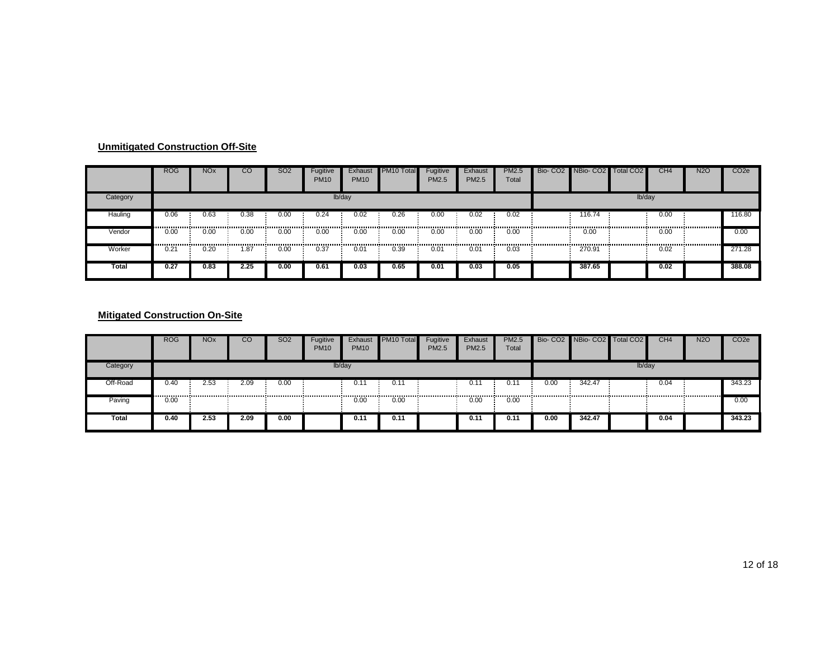|          | <b>ROG</b> | <b>NO<sub>x</sub></b> | CO   | <b>SO2</b> | Fugitive<br>PM10 | Exhaust<br><b>PM10</b> | PM10 Total | Fugitive<br>PM2.5 | Exhaust<br>PM2.5 | <b>PM2.5</b><br>Total | Bio- CO2 NBio- CO2 | Total CO <sub>2</sub> | CH <sub>4</sub> | <b>N2O</b> | CO <sub>2e</sub> |
|----------|------------|-----------------------|------|------------|------------------|------------------------|------------|-------------------|------------------|-----------------------|--------------------|-----------------------|-----------------|------------|------------------|
| Category |            |                       |      |            | lb/day           |                        |            |                   |                  |                       |                    | lb/day                |                 |            |                  |
| Hauling  | 0.06       | 0.63                  | 0.38 | 0.00       | 0.24             | 0.02                   | 0.26       | 0.00              | 0.02             | 0.02                  | 116.74             |                       | 0.00            |            | 116.80           |
| Vendor   | 0.00       | 0.00                  | 0.00 | 0.00       | 0.00             | 0.00                   | 0.00       | 0.00              | 0.00             | 0.00                  | 0.00               |                       | 0.00            |            | 0.00             |
| Worker   | 0.21       | 0.20                  | .87  | 0.00       | 0.37             | 0.01                   | 0.39       | 0.01              | 0.01             | 0.03                  | 270.91             |                       | 0.02            |            | 271.28           |
| Total    | 0.27       | 0.83                  | 2.25 | 0.00       | 0.61             | 0.03                   | 0.65       | 0.01              | 0.03             | 0.05                  | 387.65             |                       | 0.02            |            | 388.08           |

|          | <b>ROG</b> | <b>NOx</b> | CO   | <b>SO2</b> | <b>Fugitive</b><br><b>PM10</b> | Exhaust<br><b>PM10</b> | <b>PM10 Total</b> | Fugitive<br><b>PM2.5</b> | Exhaust<br>PM2.5 | <b>PM2.5</b><br>Total |      | Bio- CO2 NBio- CO2 Total CO2 |          | CH4  | <b>N2O</b> | CO <sub>2e</sub> |
|----------|------------|------------|------|------------|--------------------------------|------------------------|-------------------|--------------------------|------------------|-----------------------|------|------------------------------|----------|------|------------|------------------|
| Category |            |            |      |            |                                | lb/day                 |                   |                          |                  |                       |      |                              | $lb$ day |      |            |                  |
| Off-Road | 0.40       | 2.53       | 2.09 | 0.00       |                                | 0.1'                   | 0.11              |                          | 0.1              | 0.1                   | 0.00 | 342.47                       |          | 0.04 |            | 343.23           |
| Paving   | 0.00       |            |      |            |                                | 0.00                   | 0.00              |                          | 0.00             | 0.00                  |      |                              |          |      |            | 0.00             |
| Total    | 0.40       | 2.53       | 2.09 | 0.00       |                                | 0.11                   | 0.11              |                          | 0.11             | 0.11                  | 0.00 | 342.47                       |          | 0.04 |            | 343.23           |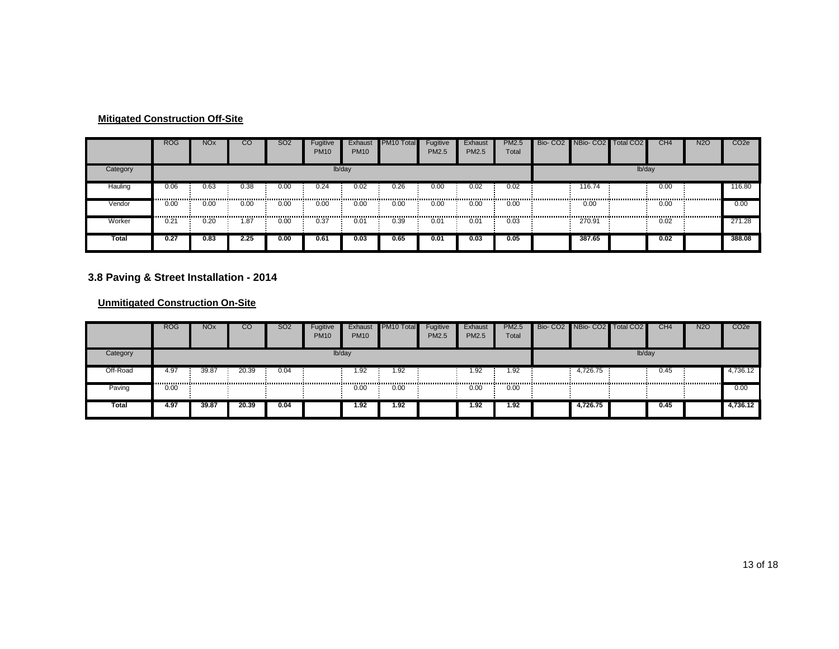|          | <b>ROG</b> | <b>NOx</b> | CО   | <b>SO2</b> | Fugitive<br><b>PM10</b> | Exhaust<br><b>PM10</b> | PM <sub>10</sub> Total | Fugitive<br>PM2.5 | Exhaust<br>PM2.5 | <b>PM2.5</b><br>Total                      | Bio- CO2 NBio- CO2 Total CO2 |        | CH <sub>4</sub> | <b>N2O</b> | CO <sub>2e</sub> |
|----------|------------|------------|------|------------|-------------------------|------------------------|------------------------|-------------------|------------------|--------------------------------------------|------------------------------|--------|-----------------|------------|------------------|
| Category |            |            |      |            |                         | lb/day                 |                        |                   |                  |                                            |                              | lb/day |                 |            |                  |
| Hauling  | 0.06<br>   | 0.63       | 0.38 | 0.00       | 0.24                    | 0.02                   | 0.26                   | 0.00              | 0.02             | 0.02<br>                                   | 116.74                       |        | 0.00            |            | 116.80           |
| Vendor   | 0.00<br>   | 0.00       | 0.00 | 0.00<br>   | 0.00                    | 0.00                   | 0.00                   | 0.00              | 0.00             | 0.00<br>,,,,,,,,,,,,,,,,,,,,,,,,,,,,,,,,,, | 0.00                         |        | 0.00            |            | 0.00             |
| Worker   | 0.21       | 0.20       | 1.87 | 0.00       | 0.37                    | 0.01                   | 0.39                   | 0.01              | 0.01             | 0.03                                       | 270.91                       |        | 0.02            |            | 271.28           |
| Total    | 0.27       | 0.83       | 2.25 | 0.00       | 0.61                    | 0.03                   | 0.65                   | 0.01              | 0.03             | 0.05                                       | 387.65                       |        | 0.02            |            | 388.08           |

#### **3.8 Paving & Street Installation - 2014**

|          | <b>ROG</b> | <b>NO<sub>x</sub></b> | CO    | <b>SO2</b> | Fugitive<br><b>PM10</b> | Exhaust<br><b>PM10</b> | PM10 Total | Fugitive<br><b>PM2.5</b> | Exhaust<br>PM2.5 | <b>PM2.5</b><br>Total | Bio-CO2 NBio-CO2 Total CO2 |        | CH <sub>4</sub> | <b>N2O</b> | CO <sub>2</sub> e |
|----------|------------|-----------------------|-------|------------|-------------------------|------------------------|------------|--------------------------|------------------|-----------------------|----------------------------|--------|-----------------|------------|-------------------|
| Category |            |                       |       |            |                         | lb/day                 |            |                          |                  |                       |                            | lb/day |                 |            |                   |
| Off-Road | 4.97       | 39.87                 | 20.39 | 0.04       |                         | 1.92                   | 1.92       |                          | .92              | 1.92                  | 4,726.75                   |        | 0.45            |            | 4,736.12          |
| Paving   | 0.00       |                       |       |            |                         | 0.00                   | 0.00       |                          | 0.00             | 0.00                  |                            |        |                 |            | 0.00              |
| Total    | 4.97       | 39.87                 | 20.39 | 0.04       |                         | 1.92                   | 1.92       |                          | 1.92             | 1.92                  | 4,726.75                   |        | 0.45            |            | 4,736.12          |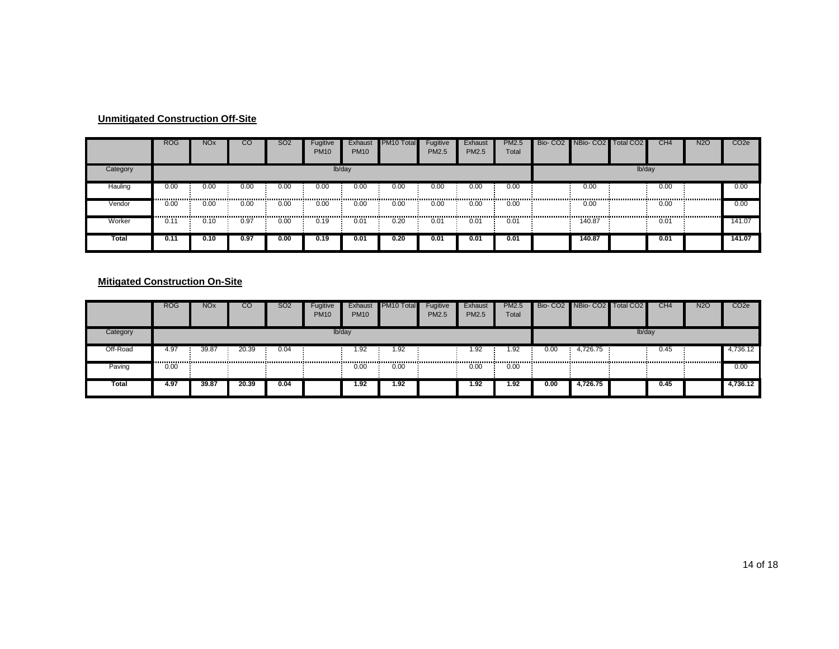|          | <b>ROG</b>    | <b>NOx</b>                                 | CО   | SO <sub>2</sub> | Fugitive<br><b>PM10</b> | Exhaust<br><b>PM10</b> | PM <sub>10</sub> Total | Fugitive<br>PM2.5 | Exhaust<br>PM2.5 | <b>PM2.5</b><br>Total                       | Bio- CO2 NBio- CO2 Total CO2 |        | CH <sub>4</sub> | <b>N2O</b> | CO <sub>2e</sub> |
|----------|---------------|--------------------------------------------|------|-----------------|-------------------------|------------------------|------------------------|-------------------|------------------|---------------------------------------------|------------------------------|--------|-----------------|------------|------------------|
| Category |               |                                            |      |                 |                         | lb/day                 |                        |                   |                  |                                             |                              | lb/day |                 |            |                  |
| Hauling  | 0.00<br>      | 0.00                                       | 0.00 | 0.00            | 0.00                    | 0.00                   | 0.00<br>               | 0.00              | 0.00             | 0.00<br>----------------------------------- | 0.00                         |        | 0.00            |            | 0.00             |
| Vendor   | 0.00<br>      | 0.00<br>,,,,,,,,,,,,,,,,,,,,,,,,,,,,,,,,,, | 0.00 | 0.00            | 0.00<br>                | 0.00                   | 0.00                   | 0.00              | 0.00             | 0.00                                        | 0.00                         |        | 0.00            |            | 0.00             |
| Worker   | $0.1^{\circ}$ | 0.10                                       | 0.97 | 0.00            | 0.19                    | 0.01                   | 0.20                   | 0.01              | 0.01             | 0.01                                        | 140.87                       |        | 0.01            |            | 141.07           |
| Total    | 0.11          | 0.10                                       | 0.97 | 0.00            | 0.19                    | 0.01                   | 0.20                   | 0.01              | 0.01             | 0.01                                        | 140.87                       |        | 0.01            |            | 141.07           |

|          | <b>ROG</b> | <b>NOx</b> | CO    | SO2  | Fugitive<br><b>PM10</b> | Exhaust<br><b>PM10</b> | PM <sub>10</sub> Total | Fugitive<br><b>PM2.5</b> | Exhaust<br><b>PM2.5</b> | <b>PM2.5</b><br>Total |      | Bio- CO2 NBio- CO2 Total CO2 |        | CH <sub>4</sub> | <b>N2O</b> | CO <sub>2</sub> e |
|----------|------------|------------|-------|------|-------------------------|------------------------|------------------------|--------------------------|-------------------------|-----------------------|------|------------------------------|--------|-----------------|------------|-------------------|
| Category |            |            |       |      |                         | lb/day                 |                        |                          |                         |                       |      |                              | lb/day |                 |            |                   |
| Off-Road | 4.97       | 39.87      | 20.39 | 0.04 |                         | 1.92                   | 1.92                   |                          | 1.92                    | 1.92                  | 0.00 | 4,726.75                     |        | 0.45            |            | 4,736.12          |
| Paving   | 0.00       |            |       |      |                         | 0.00                   | 0.00                   |                          | 0.00                    | 0.00                  |      |                              |        |                 |            | 0.00              |
| Total    | 4.97       | 39.87      | 20.39 | 0.04 |                         | 1.92                   | 1.92                   |                          | 1.92                    | 1.92                  | 0.00 | 4.726.75                     |        | 0.45            |            | 4,736.12          |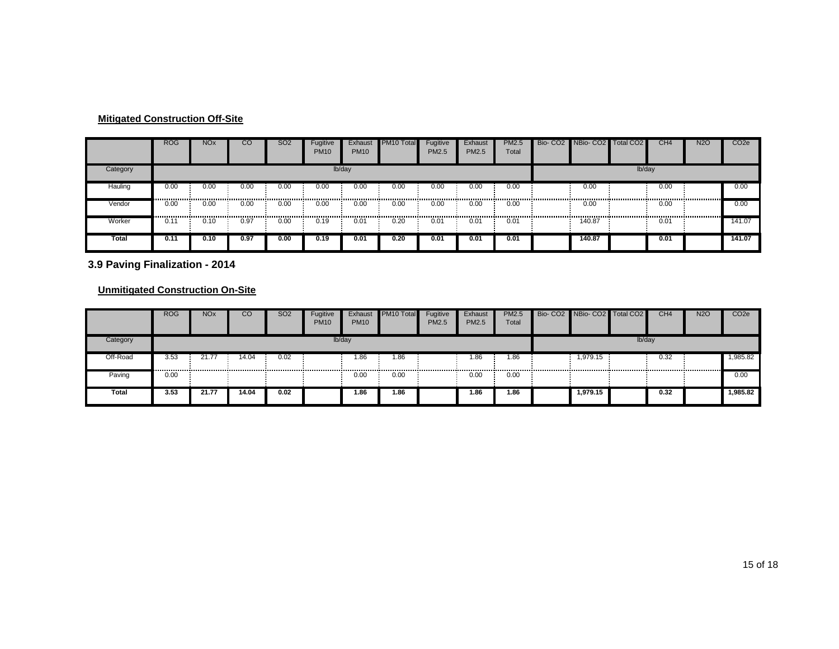|          | <b>ROG</b> | <b>NO<sub>x</sub></b>                     | <b>CC</b> | <b>SO2</b> | Fugitive<br><b>PM10</b> | Exhaust<br><b>PM10</b> | PM <sub>10</sub> Total | Fugitive<br>PM2.5 | Exhaust<br><b>PM2.5</b> | <b>PM2.5</b><br>Total                     | Bio- CO2 NBio- CO2 | Total CO <sub>2</sub> | CH <sub>4</sub> | <b>N2O</b> | CO <sub>2</sub> e |
|----------|------------|-------------------------------------------|-----------|------------|-------------------------|------------------------|------------------------|-------------------|-------------------------|-------------------------------------------|--------------------|-----------------------|-----------------|------------|-------------------|
| Category |            |                                           |           |            |                         | lb/day                 |                        |                   |                         |                                           |                    | lb/day                |                 |            |                   |
| Hauling  | 0.00       | 0.00                                      | 0.00      | 0.00       | 0.00                    | 0.00                   | 0.00                   | 0.00              | 0.00                    | 0.00                                      | 0.00               |                       | 0.00            |            | 0.00              |
| Vendor   | 0.00<br>   | 0.00<br>,,,,,,,,,,,,,,,,,,,,,,,,,,,,,,,,, | 0.00      | 0.00       | 0.00<br>                | 0.00                   | 0.00                   | 0.00              | 0.00                    | 0.00<br>,,,,,,,,,,,,,,,,,,,,,,,,,,,,,,,,, | 0.00<br>           |                       | 0.00<br>        | .          | 0.00              |
| Worker   | 0.11       | 0.10                                      | 0.97      | 0.00       | 0.19                    | 0.01                   | 0.20                   | 0.01              | 0.01                    | 0.01                                      | 140.87             |                       | 0.01            |            | 141.07            |
| Total    | 0.11       | 0.10                                      | 0.97      | 0.00       | 0.19                    | 0.01                   | 0.20                   | 0.01              | 0.01                    | 0.01                                      | 140.87             |                       | 0.01            |            | 141.07            |

**3.9 Paving Finalization - 2014**

|              | <b>ROG</b> | <b>NO<sub>x</sub></b> | CO    | SO <sub>2</sub> | Fugitive<br><b>PM10</b> | Exhaust<br><b>PM10</b> | PM10 Total | Fugitive<br><b>PM2.5</b> | Exhaust<br>PM2.5 | <b>PM2.5</b><br>Total | Bio- CO2 NBio- CO2 Total CO2 |        | CH <sub>4</sub> | <b>N2O</b> | CO <sub>2</sub> e |
|--------------|------------|-----------------------|-------|-----------------|-------------------------|------------------------|------------|--------------------------|------------------|-----------------------|------------------------------|--------|-----------------|------------|-------------------|
| Category     |            |                       |       |                 |                         | lb/day                 |            |                          |                  |                       |                              | lb/day |                 |            |                   |
| Off-Road     | 3.53       | 21.7                  | 14.04 | 0.02            |                         | 1.86                   | 1.86       |                          | .86              | .86                   | 1,979.15                     |        | 0.32            |            | 1,985.82          |
| Paving       | 0.00       |                       |       |                 |                         | 0.00                   | 0.00       |                          | 0.00             | 0.00                  |                              |        |                 |            | 0.00              |
| <b>Total</b> | 3.53       | 21.77                 | 14.04 | 0.02            |                         | 1.86                   | 1.86       |                          | 1.86             | 1.86                  | 1,979.15                     |        | 0.32            |            | 1,985.82          |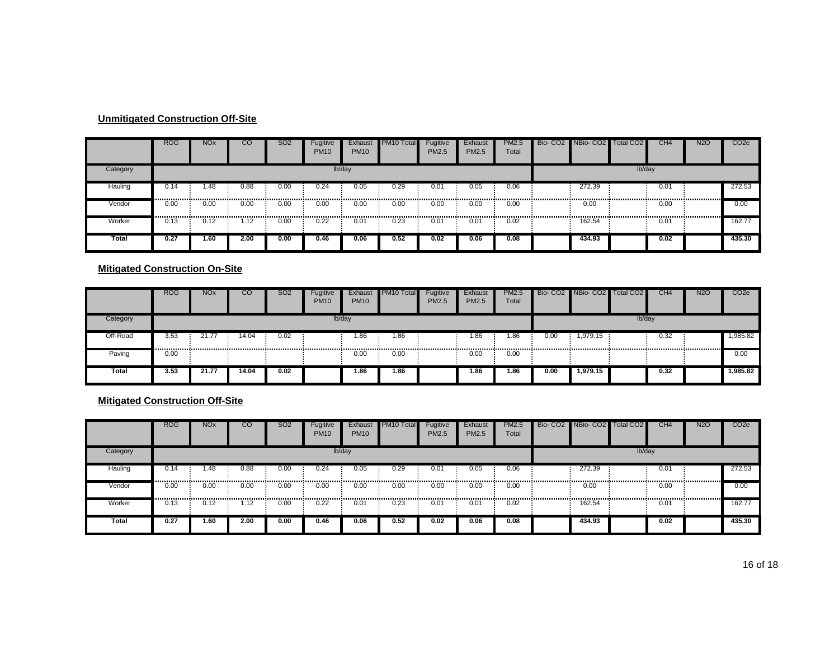|          | <b>ROG</b> | <b>NO<sub>x</sub></b> | $_{\rm CO}$ | SO <sub>2</sub> | Fugitive<br><b>PM10</b> | Exhaust<br><b>PM10</b> | PM <sub>10</sub> Total | Fugitive<br>PM2.5 | Exhaust<br>PM2.5 | <b>PM2.5</b><br>Total                      | Bio- CO2 NBio- CO2 Total CO2 |        | CH <sub>4</sub> | <b>N2O</b> | CO <sub>2e</sub> |
|----------|------------|-----------------------|-------------|-----------------|-------------------------|------------------------|------------------------|-------------------|------------------|--------------------------------------------|------------------------------|--------|-----------------|------------|------------------|
| Category |            |                       |             |                 |                         | lb/day                 |                        |                   |                  |                                            |                              | lb/day |                 |            |                  |
| Hauling  | 0.14       | 1.48<br>              | 0.88        | 0.00            | 0.24                    | 0.05                   | 0.29                   | 0.01              | 0.05             | 0.06                                       | 272.39                       |        | 0.01            |            | 272.53           |
| Vendor   | 0.00<br>   | 0.00<br>------------- | 0.00<br>.   | 0.00<br>        | 0.00<br>.               | 0.00                   | 0.00                   | 0.00              | 0.00<br>         | 0.00<br>,,,,,,,,,,,,,,,,,,,,,,,,,,,,,,,,,, | 0.00<br>                     |        | 0.00            |            | 0.00             |
| Worker   | 0.13       | 0.12                  | 1.12        | 0.00            | 0.22                    | 0.01                   | 0.23                   | 0.01              | 0.01             | 0.02                                       | 162.54                       |        | 0.01            |            | 162.77           |
| Total    | 0.27       | 1.60                  | 2.00        | 0.00            | 0.46                    | 0.06                   | 0.52                   | 0.02              | 0.06             | 0.08                                       | 434.93                       |        | 0.02            |            | 435.30           |

#### **Mitigated Construction On-Site**

|          | <b>ROG</b> | <b>NOx</b> | CO    | <b>SO2</b> | Fugitive<br><b>PM10</b> | Exhaust<br><b>PM10</b> | PM <sub>10</sub> Total | Fugitive<br><b>PM2.5</b> | Exhaust<br><b>PM2.5</b> | <b>PM2.5</b><br>Total |      | Bio- CO2 NBio- CO2 | Total CO <sub>2</sub> | CH <sub>4</sub> | <b>N2O</b> | CO <sub>2e</sub> |
|----------|------------|------------|-------|------------|-------------------------|------------------------|------------------------|--------------------------|-------------------------|-----------------------|------|--------------------|-----------------------|-----------------|------------|------------------|
| Category |            |            |       |            |                         | lb/day                 |                        |                          |                         |                       |      |                    | lb/day                |                 |            |                  |
| Off-Road | 3.53       | 21.7       | 14.04 | 0.02       |                         | 1.86                   | 1.86                   |                          | 1.86                    | 0.86                  | 0.00 | 1,979.15           |                       | 0.32            |            | 1,985.82         |
| Paving   | 0.00       |            |       |            |                         | 0.00                   | 0.00                   |                          | 0.00                    | 0.00                  |      |                    |                       |                 |            | 0.00             |
| Total    | 3.53       | 21.77      | 14.04 | 0.02       |                         | 1.86                   | 1.86                   |                          | 86.،                    | 1.86                  | 0.00 | 1.979.15           |                       | 0.32            |            | 1,985.82         |

#### **Mitigated Construction Off-Site**

|          | <b>ROG</b> | <b>NO<sub>x</sub></b> | CO   | <b>SO2</b> | Fugitive<br><b>PM10</b> | Exhaust<br><b>PM10</b> | PM <sub>10</sub> Total | Fugitive<br><b>PM2.5</b> | Exhaust<br>PM2.5 | <b>PM2.5</b><br>Total | Bio- CO2 NBio- CO2 Total CO2 |        | CH4  | <b>N2O</b> | CO <sub>2e</sub> |
|----------|------------|-----------------------|------|------------|-------------------------|------------------------|------------------------|--------------------------|------------------|-----------------------|------------------------------|--------|------|------------|------------------|
| Category |            |                       |      |            |                         | lb/day                 |                        |                          |                  |                       |                              | lb/day |      |            |                  |
| Hauling  | 0.14       | 1.48                  | 0.88 | 0.00       | 0.24                    | 0.05                   | 0.29                   | 0.01                     | 0.05             | 0.06                  | 272.39                       |        | 0.01 |            | 272.53           |
| Vendor   | 0.00       | 0.00                  | 0.00 | 0.00       | 0.00                    | <br>0.00               | 0.00                   | .<br>0.00                | 0.00             | <br>0.00              | 0.00                         |        | 0.00 |            | 0.00             |
| Worker   | <br>0.13   | 0.12                  | 1.12 | 0.00       | 0.22                    | <br>0.01               | 0.23                   | 0.01                     | 0.01             | <br>0.02              | 162.54                       |        | 0.01 |            | 162.77           |
| Total    | 0.27       | 1.60                  | 2.00 | 0.00       | 0.46                    | 0.06                   | 0.52                   | 0.02                     | 0.06             | 0.08                  | 434.93                       |        | 0.02 |            | 435.30           |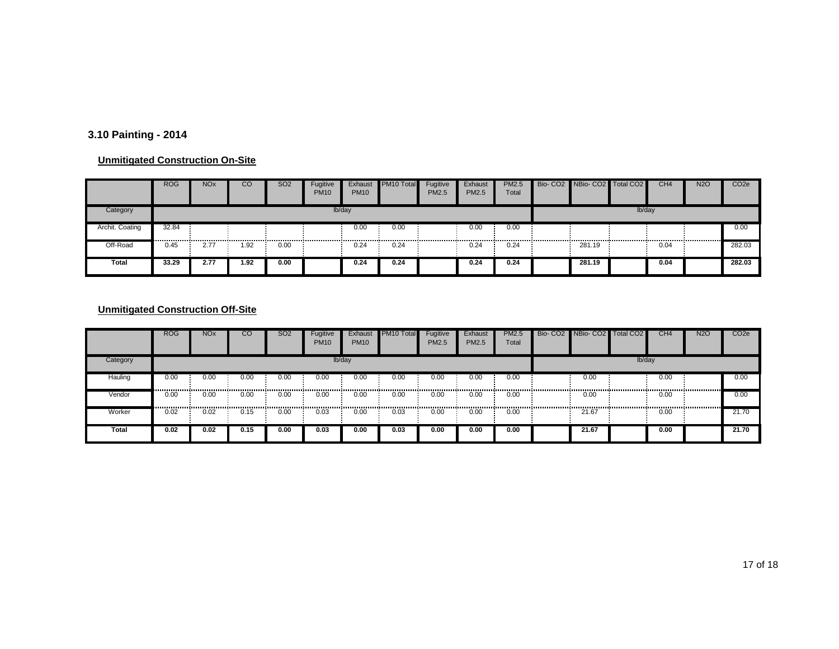# **3.10 Painting - 2014**

#### **Unmitigated Construction On-Site**

|                 | <b>ROG</b> | <b>NO<sub>x</sub></b> | CO   | SO <sub>2</sub> | Fugitive<br><b>PM10</b> | Exhaust<br><b>PM10</b> | PM10 Total | Fugitive<br><b>PM2.5</b> | Exhaust<br>PM2.5 | <b>PM2.5</b><br>Total | Bio- CO2 NBio- CO2 Total CO2 |        | CH <sub>4</sub> | <b>N2O</b> | CO <sub>2</sub> e |
|-----------------|------------|-----------------------|------|-----------------|-------------------------|------------------------|------------|--------------------------|------------------|-----------------------|------------------------------|--------|-----------------|------------|-------------------|
| Category        |            |                       |      |                 |                         | lb/day                 |            |                          |                  |                       |                              | lb/day |                 |            |                   |
| Archit. Coating | 32.84      |                       |      |                 |                         | 0.00                   | 0.00       |                          | 0.00             | 0.00                  |                              |        |                 |            | 0.00              |
| Off-Road        | 0.45       | 2.7                   | .92  | 0.00            |                         | 0.24                   | 0.24       |                          | 0.24             | 0.24                  | 281.19                       |        | 0.04            |            | 282.03            |
| Total           | 33.29      | 2.77                  | 1.92 | 0.00            |                         | 0.24                   | 0.24       |                          | 0.24             | 0.24                  | 281.19                       |        | 0.04            |            | 282.03            |

|          | <b>ROG</b> | <b>NO<sub>x</sub></b> | CO   | SO <sub>2</sub> | Fugitive<br><b>PM10</b> | Exhaust<br><b>PM10</b> | PM <sub>10</sub> Total | Fugitive<br>PM2.5 | Exhaust<br><b>PM2.5</b> | <b>PM2.5</b><br>Total | Bio- CO2 NBio- CO2 Total CO2 |        | CH <sub>4</sub> | <b>N2O</b> | CO <sub>2e</sub> |
|----------|------------|-----------------------|------|-----------------|-------------------------|------------------------|------------------------|-------------------|-------------------------|-----------------------|------------------------------|--------|-----------------|------------|------------------|
| Category |            |                       |      |                 |                         | lb/day                 |                        |                   |                         |                       |                              | lb/day |                 |            |                  |
| Hauling  | 0.00<br>   | 0.00                  | 0.00 | 0.00            | 0.00                    | 0.00                   | 0.00                   | 0.00              | 0.00                    | 0.00                  | 0.00                         |        | 0.00            |            | 0.00             |
| Vendor   | 0.00       | 0.00                  | 0.00 | 0.00            | 0.00                    | 0.00                   | 0.00                   | 0.00              | 0.00                    | 0.00                  | 0.00                         |        | 0.00            |            | 0.00             |
| Worker   | 0.02       | 0.02                  | 0.15 | 0.OC            | 0.03                    | 0.00                   | 0.03                   | 0.00              | 0.00                    | 0.00                  | 21.67                        |        | 0.00            |            | 21.70            |
| Total    | 0.02       | 0.02                  | 0.15 | 0.00            | 0.03                    | 0.00                   | 0.03                   | 0.00              | 0.00                    | 0.00                  | 21.67                        |        | 0.00            |            | 21.70            |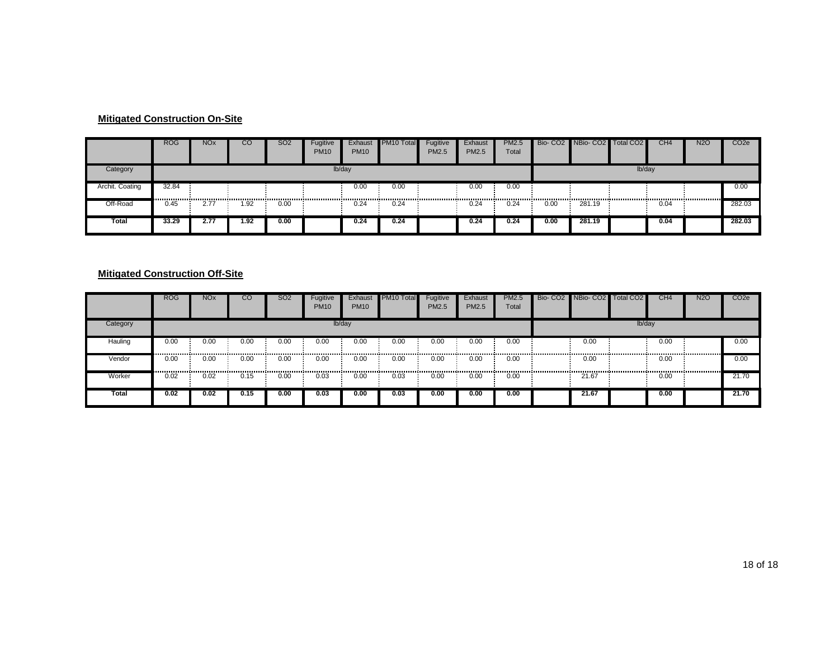#### **Mitigated Construction On-Site**

|                 | <b>ROG</b> | <b>NO<sub>x</sub></b> | CO   | SO <sub>2</sub> | Fugitive<br><b>PM10</b> | Exhaust<br><b>PM10</b> | PM <sub>10</sub> Total | Fugitive<br><b>PM2.5</b> | Exhaust<br>PM2.5 | <b>PM2.5</b><br>Total |      | Bio- CO2 NBio- CO2 Total CO2 |        | CH <sub>4</sub> | <b>N2O</b> | CO <sub>2</sub> e |
|-----------------|------------|-----------------------|------|-----------------|-------------------------|------------------------|------------------------|--------------------------|------------------|-----------------------|------|------------------------------|--------|-----------------|------------|-------------------|
| Category        |            |                       |      |                 |                         | lb/day                 |                        |                          |                  |                       |      |                              | lb/day |                 |            |                   |
| Archit. Coating | 32.84      |                       |      |                 |                         | 0.00                   | 0.00                   |                          | 0.00             | 0.00                  |      |                              |        |                 |            | 0.00              |
| Off-Road        | 0.45       | 2.7                   | 1.92 | 0.00            |                         | 0.24                   | <br>0.24               |                          | 0.24             | 0.24                  | 0.00 | 281.19                       |        | 0.04            |            | 282.03            |
| Total           | 33.29      | 2.77                  | 1.92 | 0.00            |                         | 0.24                   | 0.24                   |                          | 0.24             | 0.24                  | 0.00 | 281.19                       |        | 0.04            |            | 282.03            |

#### **Mitigated Construction Off-Site**

|          | <b>ROG</b> | <b>NO<sub>x</sub></b> | CO   | <b>SO2</b> | Fugitive<br><b>PM10</b> | Exhaust<br><b>PM10</b> | <b>PM10 Total</b> | Fugitive<br><b>PM2.5</b>                   | Exhaust<br>PM2.5 | <b>PM2.5</b><br>Total |                | Bio- CO2 NBio- CO2 Total CO2 |        | CH <sub>4</sub> | <b>N2O</b> | CO <sub>2</sub> e |
|----------|------------|-----------------------|------|------------|-------------------------|------------------------|-------------------|--------------------------------------------|------------------|-----------------------|----------------|------------------------------|--------|-----------------|------------|-------------------|
| Category |            |                       |      |            |                         | lb/day                 |                   |                                            |                  |                       |                |                              | lb/day |                 |            |                   |
| Hauling  | 0.00       | 0.00                  | 0.00 | 0.00       | 0.00                    | 0.00                   | 0.00              | 0.00                                       | 0.00             | 0.00                  |                | 0.00                         |        | 0.00            |            | 0.00              |
| Vendor   | 0.00<br>   | 0.00<br>              | 0.00 | 0.00       | 0.00<br>-------------   | 0.00<br>-------------- | 0.00              | 0.00<br>,,,,,,,,,,,,,,,,,,,,,,,,,,,,,,,,,, | 0.00             | 0.00<br>              | -------------- | 0.00<br>.                    |        | 0.00            |            | 0.00              |
| Worker   | 0.02       | 0.02                  | 0.15 | 0.00       | 0.03                    | 0.00                   | 0.03              | 0.00                                       | 0.00             | 0.00                  |                | 21.67                        |        | 0.00            |            | 21.70             |
| Total    | 0.02       | 0.02                  | 0.15 | 0.00       | 0.03                    | 0.00                   | 0.03              | 0.00                                       | 0.00             | 0.00                  |                | 21.67                        |        | 0.00            |            | 21.70             |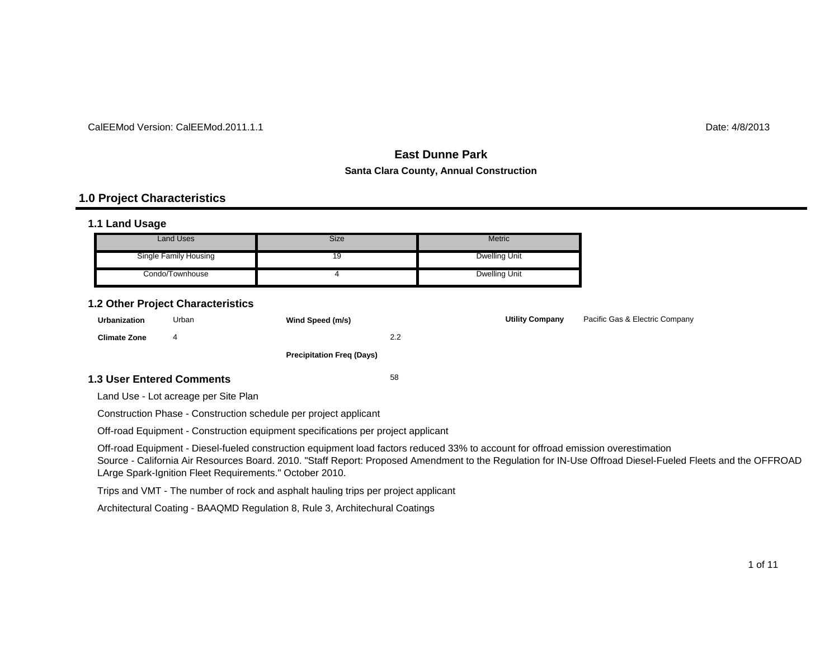#### CalEEMod Version: CalEEMod.2011.1.1

 $\blacksquare$  determines the contract of the contract of the contract of the contract of the contract of the contract of the contract of the contract of the contract of the contract of the contract of the contract of the contrac

# **East Dunne ParkSanta Clara County, Annual Construction**

#### **1.0 Project Characteristics**

#### **1.1 Land Usage**

| <b>Land Uses</b>      | Size | <b>Metric</b> |
|-----------------------|------|---------------|
| Single Family Housing | 19   | Dwelling Unit |
| Condo/Townhouse       |      | Dwelling Unit |

#### **1.2 Other Project Characteristics**

| <b>Urbanization</b>              | Urban | Wind Speed (m/s)                 |     | <b>Utility Company</b> | Pacific Gas & Electric Company |
|----------------------------------|-------|----------------------------------|-----|------------------------|--------------------------------|
| <b>Climate Zone</b>              | 4     |                                  | 2.2 |                        |                                |
|                                  |       | <b>Precipitation Freg (Days)</b> |     |                        |                                |
| <b>1.3 User Entered Comments</b> |       |                                  | 58  |                        |                                |

Land Use - Lot acreage per Site Plan

Construction Phase - Construction schedule per project applicant

Off-road Equipment - Construction equipment specifications per project applicant

Off-road Equipment - Diesel-fueled construction equipment load factors reduced 33% to account for offroad emission overestimation

 Source - California Air Resources Board. 2010. "Staff Report: Proposed Amendment to the Regulation for IN-Use Offroad Diesel-Fueled Fleets and the OFFROAD LArge Spark-Ignition Fleet Requirements." October 2010.

Trips and VMT - The number of rock and asphalt hauling trips per project applicant

Architectural Coating - BAAQMD Regulation 8, Rule 3, Architechural Coatings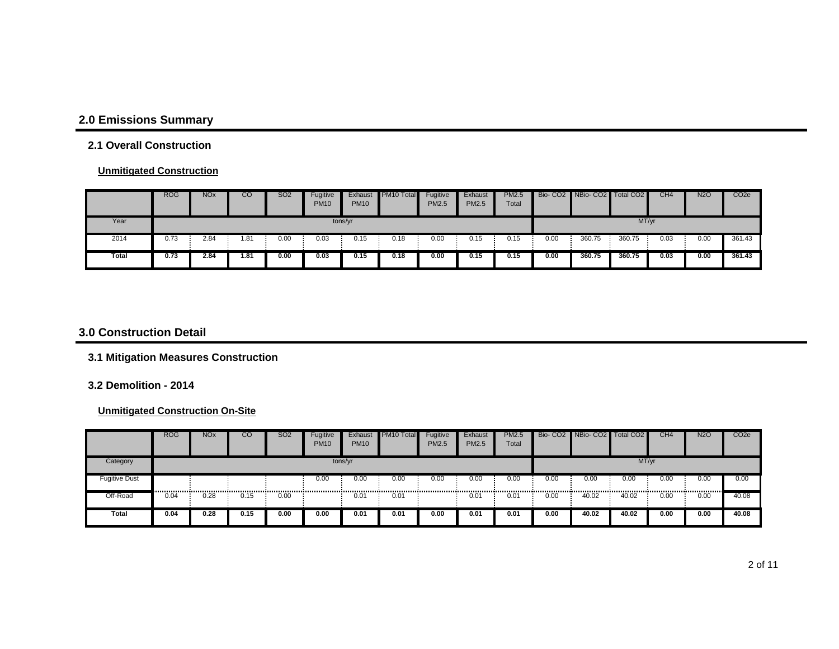# **2.0 Emissions Summary**

#### **2.1 Overall Construction**

#### **Unmitigated Construction**

|       | <b>ROG</b> | <b>NO<sub>x</sub></b> | CO  | SO <sub>2</sub> | Fugitive<br><b>PM10</b> | Exhaust<br><b>PM10</b> | PM <sub>10</sub> Total | Fugitive<br><b>PM2.5</b> | Exhaust<br><b>PM2.5</b> | <b>PM2.5</b><br>Total |      | Bio- CO2 NBio- CO2 Total CO2 |        | CH <sub>4</sub> | <b>N2O</b> | CO <sub>2e</sub> |
|-------|------------|-----------------------|-----|-----------------|-------------------------|------------------------|------------------------|--------------------------|-------------------------|-----------------------|------|------------------------------|--------|-----------------|------------|------------------|
| Year  |            |                       |     |                 |                         | tons/yr                |                        |                          |                         |                       |      |                              | MT/yr  |                 |            |                  |
| 2014  | 0.73       | 2.84                  | .81 | 0.00            | 0.03                    | 0.15                   | 0.18                   | 0.00                     | 0.15                    | 0.15                  | 0.00 | 360.75                       | 360.75 | 0.03            | 0.00       | 361.43           |
| Total | 0.73       | 2.84                  | .81 | 0.00            | 0.03                    | 0.15                   | 0.18                   | 0.00                     | 0.15                    | 0.15                  | 0.00 | 360.75                       | 360.75 | 0.03            | 0.00       | 361.43           |

#### **3.0 Construction Detail**

#### **3.1 Mitigation Measures Construction**

#### **3.2 Demolition - 2014**

|               | <b>ROG</b> | <b>NO<sub>x</sub></b> | CO   | <b>SO2</b> | Fugitive<br><b>PM10</b> | Exhaust<br><b>PM10</b> | PM10 Total | Fugitive<br><b>PM2.5</b> | Exhaust<br><b>PM2.5</b> | <b>PM2.5</b><br>Total |      | Bio- CO2 NBio- CO2 Total CO2 |       | CH <sub>4</sub> | <b>N2O</b> | CO <sub>2e</sub> |
|---------------|------------|-----------------------|------|------------|-------------------------|------------------------|------------|--------------------------|-------------------------|-----------------------|------|------------------------------|-------|-----------------|------------|------------------|
| Category      |            |                       |      |            |                         | tons/yr                |            |                          |                         |                       |      |                              | MT/yr |                 |            |                  |
| Fugitive Dust |            |                       |      |            | 0.00                    | 0.00                   | 0.00       | 0.00                     | 0.00                    | 0.00                  | 0.00 | 0.00                         | 0.00  | 0.00            | 0.00       | 0.00             |
| Off-Road      | 0.04       | 0.28                  | 0.15 | 0.00       |                         | 0.01                   | 0.01       |                          | 0.01                    | 0.01                  | 0.00 | 40.02                        | 40.02 | 0.00            | 0.00       | 40.08            |
| Total         | 0.04       | 0.28                  | 0.15 | 0.00       | 0.00                    | 0.01                   | 0.01       | 0.00                     | 0.01                    | 0.01                  | 0.00 | 40.02                        | 40.02 | 0.00            | 0.00       | 40.08            |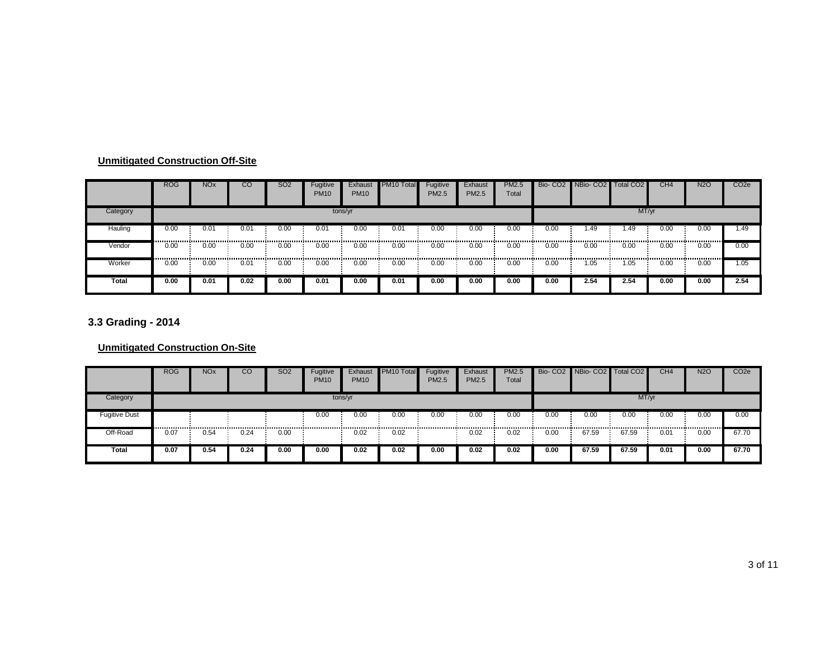|          | <b>ROG</b>                              | <b>NO<sub>x</sub></b> | CO   | SO <sub>2</sub> | Fugitive<br><b>PM10</b> | Exhaust<br><b>PM10</b> | PM <sub>10</sub> Total | Fugitive<br>PM2.5 | Exhaust<br><b>PM2.5</b> | <b>PM2.5</b><br>Total |      | Bio- CO2 NBio- CO2 Total CO2 |       | CH <sub>4</sub> | <b>N2O</b> | CO <sub>2</sub> e |
|----------|-----------------------------------------|-----------------------|------|-----------------|-------------------------|------------------------|------------------------|-------------------|-------------------------|-----------------------|------|------------------------------|-------|-----------------|------------|-------------------|
| Category |                                         |                       |      |                 |                         | tons/yr                |                        |                   |                         |                       |      |                              | MT/yr |                 |            |                   |
| Hauling  | 0.00<br>,,,,,,,,,,,,,,,,,,,,,,,,,,,,,,, | 0.01                  | 0.01 | 0.00            | 0.01                    | 0.00                   | 0.01                   | 0.00              | 0.00                    | 0.00                  | 0.00 | .49                          | . 49  | 0.00<br>,       | 0.00       | 1.49              |
| Vendor   | 0.00                                    | 0.00                  | 0.00 | 0.00            | 0.00                    | 0.00                   | 0.00                   | 0.00              | 0.00                    | 0.00                  | 0.00 | 0.00                         | 0.00  | 0.00            | 0.00       | 0.00              |
| Worker   | <br>0.00                                | 0.00                  | 0.01 | 0.00            | 0.00                    | 0.00                   | 0.00                   | <br>0.00          | 0.00                    | 0.00                  | 0.00 | .05                          | .05   | 0.00            | <br>0.00   | 1.05              |
| Total    | 0.00                                    | 0.01                  | 0.02 | 0.00            | 0.01                    | 0.00                   | 0.01                   | 0.00              | 0.00                    | 0.00                  | 0.00 | 2.54                         | 2.54  | 0.00            | 0.00       | 2.54              |

# **3.3 Grading - 2014**

|               | <b>ROG</b> | <b>NO<sub>x</sub></b> | CО   | <b>SO2</b> | Fugitive<br><b>PM10</b> | Exhaust<br><b>PM10</b> | PM10 Total | Fugitive<br><b>PM2.5</b> | Exhaust<br>PM2.5 | <b>PM2.5</b><br>Total |      | Bio- CO2 NBio- CO2 Total CO2 |       | CH <sub>4</sub> | <b>N2O</b> | CO <sub>2e</sub> |
|---------------|------------|-----------------------|------|------------|-------------------------|------------------------|------------|--------------------------|------------------|-----------------------|------|------------------------------|-------|-----------------|------------|------------------|
| Category      |            |                       |      |            |                         | tons/yr                |            |                          |                  |                       |      |                              | MT/yr |                 |            |                  |
| Fugitive Dust |            |                       |      |            | 0.00                    | 0.00                   | 0.00       | 0.00                     | 0.00             | 0.00                  | 0.00 | 0.00                         | 0.00  | 0.00            | 0.00       | 0.00             |
| Off-Road      | 0.07       | 0.54                  | 0.24 | 0.00       |                         | 0.02                   | 0.02       |                          | 0.02             | 0.02                  | 0.00 | 67.59                        | 67.59 | 0.01            | 0.00       | 67.70            |
| Total         | 0.07       | 0.54                  | 0.24 | 0.00       | 0.00                    | 0.02                   | 0.02       | 0.00                     | 0.02             | 0.02                  | 0.00 | 67.59                        | 67.59 | 0.01            | 0.00       | 67.70            |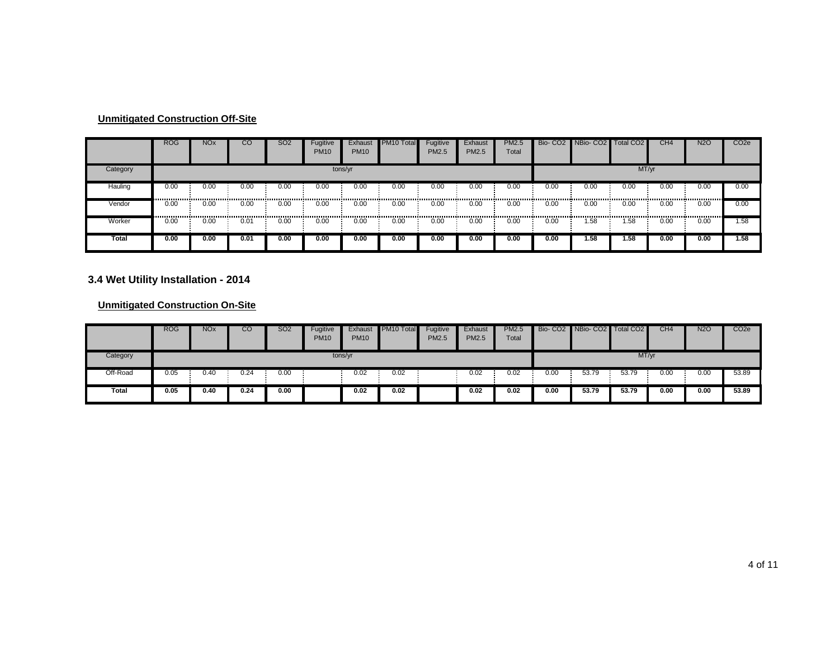|          | <b>ROG</b> | <b>NO<sub>x</sub></b> | CО   | <b>SO2</b> | Fugitive<br><b>PM10</b> | Exhaust<br><b>PM10</b> | PM <sub>10</sub> Total | Fugitive<br>PM2.5 | Exhaust<br>PM2.5 | <b>PM2.5</b><br>Total | Bio-CO <sub>2</sub> | NBio-CO2   Total CO2 |       | CH <sub>4</sub> | <b>N2O</b> | CO <sub>2e</sub> |
|----------|------------|-----------------------|------|------------|-------------------------|------------------------|------------------------|-------------------|------------------|-----------------------|---------------------|----------------------|-------|-----------------|------------|------------------|
| Category |            |                       |      |            |                         | tons/yr                |                        |                   |                  |                       |                     |                      | MT/yr |                 |            |                  |
| Hauling  | 0.00       | 0.00<br>              | 0.00 | 0.00<br>.  | 0.00                    | 0.00                   | 0.00                   | 0.00<br>          | 0.00             | 0.00                  | 0.00                | 0.00                 | 0.00  | 0.00            | 0.00       | 0.00             |
| Vendor   | 0.00<br>   | 0.00                  | 0.00 | 0.00       | 0.00<br>                | 0.00                   | 0.00                   | 0.00              | 0.00             | 0.00                  | 0.00                | 0.00                 | 0.00  | 0.00            | 0.00       | 0.00             |
| Worker   | 0.00       | 0.00                  | 0.01 | 0.00       | 0.00                    | 0.00                   | 0.00                   | 0.00              | 0.00             | 0.00                  | 0.00                | 1.58                 | 1.58  | 0.00            | 0.00       | 1.58             |
| Total    | 0.00       | 0.00                  | 0.01 | 0.00       | 0.00                    | 0.00                   | 0.00                   | 0.00              | 0.00             | 0.00                  | 0.00                | 1.58                 | 1.58  | 0.00            | 0.00       | 1.58             |

#### **3.4 Wet Utility Installation - 2014**

|          | <b>ROG</b> | <b>NO<sub>x</sub></b> | CО   | <b>SO2</b> | Fugitive<br><b>PM10</b> | Exhaust<br><b>PM10</b> | PM10 Total | Fugitive<br><b>PM2.5</b> | Exhaust<br><b>PM2.5</b> | <b>PM2.5</b><br>Total |      | Bio- CO2 NBio- CO2 Total CO2 |       | CH4  | <b>N2O</b> | CO <sub>2e</sub> |
|----------|------------|-----------------------|------|------------|-------------------------|------------------------|------------|--------------------------|-------------------------|-----------------------|------|------------------------------|-------|------|------------|------------------|
| Category |            |                       |      |            | tons/yr                 |                        |            |                          |                         |                       |      |                              | MT/yr |      |            |                  |
| Off-Road | 0.05       | 0.40                  | 0.24 | 0.00       |                         | 0.02                   | 0.02       |                          | 0.02                    | 0.02                  | 0.00 | 53.79                        | 53.79 | 0.00 | 0.00       | 53.89            |
| Total    | 0.05       | 0.40                  | 0.24 | 0.00       |                         | 0.02                   | 0.02       |                          | 0.02                    | 0.02                  | 0.00 | 53.79                        | 53.79 | 0.00 | 0.00       | 53.89            |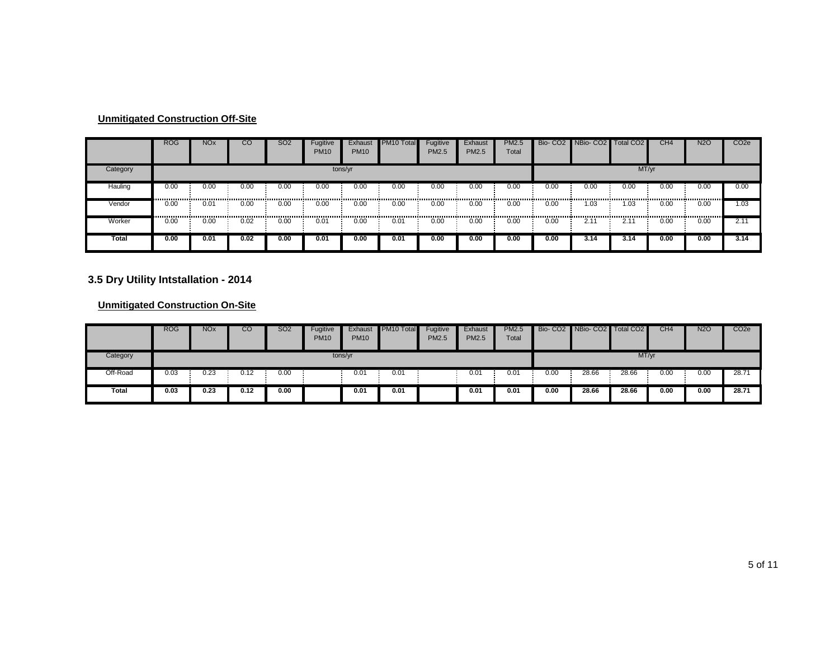|          | <b>ROG</b> | <b>NO<sub>x</sub></b>                     | CO   | SO <sub>2</sub> | Fugitive<br><b>PM10</b> | Exhaust<br><b>PM10</b> | PM <sub>10</sub> Total | Fugitive<br>PM2.5 | Exhaust<br>PM2.5 | <b>PM2.5</b><br>Total |      | Bio- CO2 NBio- CO2 Total CO2 |               | CH <sub>4</sub> | <b>N2O</b> | CO <sub>2e</sub> |
|----------|------------|-------------------------------------------|------|-----------------|-------------------------|------------------------|------------------------|-------------------|------------------|-----------------------|------|------------------------------|---------------|-----------------|------------|------------------|
| Category |            |                                           |      |                 |                         | tons/yr                |                        |                   |                  |                       |      |                              | MT/yr         |                 |            |                  |
| Hauling  | 0.00       | 0.00                                      | 0.00 | 0.00            | 0.00                    | 0.00                   | 0.00                   | 0.00              | 0.00             | 0.00                  | 0.00 | 0.00                         | 0.00          | 0.00            | 0.00       | 0.00             |
| Vendor   | 0.00<br>   | 0.01<br>,,,,,,,,,,,,,,,,,,,,,,,,,,,,,,,,, | 0.00 | 0.00<br>        | 0.00                    | 0.00                   | 0.00                   | 0.00              | 0.00             | 0.00                  | 0.00 | 1.03                         | 1.03          | 0.00            | 0.00       | 1.03             |
| Worker   | 0.00       | 0.00                                      | 0.02 | 0.00            | 0.01                    | 0.00                   | 0.01                   | 0.00              | 0.00             | 0.00                  | 0.00 | $2.1^{\circ}$                | $2.1^{\circ}$ | 0.00            | 0.00       | 2.11             |
| Total    | 0.00       | 0.01                                      | 0.02 | 0.00            | 0.01                    | 0.00                   | 0.01                   | 0.00              | 0.00             | 0.00                  | 0.00 | 3.14                         | 3.14          | 0.00            | 0.00       | 3.14             |

#### **3.5 Dry Utility Intstallation - 2014**

|          | <b>ROG</b> | <b>NO<sub>x</sub></b> | CО   | <b>SO2</b> | Fugitive<br><b>PM10</b> | Exhaust<br><b>PM10</b> | PM10 Total | Fugitive<br><b>PM2.5</b> | Exhaust<br><b>PM2.5</b> | <b>PM2.5</b><br>Total |      | Bio- CO2 NBio- CO2 Total CO2 |       | CH4  | <b>N2O</b> | CO <sub>2</sub> e |
|----------|------------|-----------------------|------|------------|-------------------------|------------------------|------------|--------------------------|-------------------------|-----------------------|------|------------------------------|-------|------|------------|-------------------|
| Category |            |                       |      |            |                         | tons/yr                |            |                          |                         |                       |      |                              | MT/yr |      |            |                   |
| Off-Road | 0.03       | ገ.23                  | 0.12 | 0.00       |                         | 0.01                   | 0.01       |                          | 0.01                    | 0.01                  | 0.00 | 28.66                        | 28.66 | 0.00 | 0.00       | 28.71             |
| Total    | 0.03       | 0.23                  | 0.12 | 0.00       |                         | 0.01                   | 0.01       |                          | 0.01                    | 0.01                  | 0.00 | 28.66                        | 28.66 | 0.00 | 0.00       | 28.71             |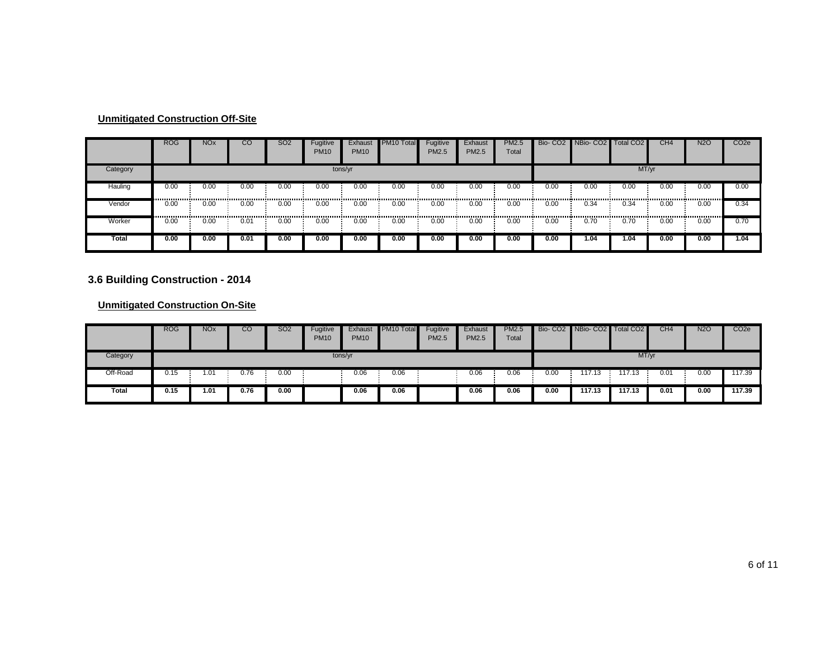|          | <b>ROG</b> | <b>NO<sub>x</sub></b> | CO   | <b>SO2</b> | Fugitive<br><b>PM10</b> | Exhaust<br><b>PM10</b> | PM <sub>10</sub> Total | Fugitive<br>PM2.5 | Exhaust<br>PM2.5 | <b>PM2.5</b><br>Total |      | Bio- CO2 NBio- CO2 Total CO2 |       | CH <sub>4</sub> | <b>N2O</b> | CO <sub>2e</sub> |
|----------|------------|-----------------------|------|------------|-------------------------|------------------------|------------------------|-------------------|------------------|-----------------------|------|------------------------------|-------|-----------------|------------|------------------|
| Category |            |                       |      |            |                         | tons/yr                |                        |                   |                  |                       |      |                              | MT/yr |                 |            |                  |
| Hauling  | 0.00       | 0.00                  | 0.00 | 0.00       | 0.00                    | 0.00                   | 0.00                   | 0.00              | 0.00             | 0.00                  | 0.00 | 0.00                         | 0.00  | 0.00            | 0.00       | 0.00             |
| Vendor   | 0.00<br>   | 0.00                  | 0.00 | 0.00<br>   | 0.00                    | 0.00                   | 0.00                   | 0.00              | 0.00             | 0.00                  | 0.00 | 0.34                         | 0.34  | 0.00            | 0.00       | 0.34             |
| Worker   | 0.00       | 0.00                  | 0.01 | 0.00       | 0.00                    | 0.00                   | 0.00                   | 0.00              | 0.00             | 0.00                  | 0.00 | 0.70                         | 0.70  | 0.00            | 0.00       | 0.70             |
| Total    | 0.00       | 0.00                  | 0.01 | 0.00       | 0.00                    | 0.00                   | 0.00                   | 0.00              | 0.00             | 0.00                  | 0.00 | .04                          | 1.04  | 0.00            | 0.00       | 1.04             |

# **3.6 Building Construction - 2014**

|          | <b>ROG</b> | <b>NO<sub>x</sub></b> | CO   | <b>SO2</b> | Fugitive<br><b>PM10</b> | Exhaust<br><b>PM10</b> | PM10 Total | Fugitive<br>PM2.5 | Exhaust<br>PM2.5 | <b>PM2.5</b><br>Total |      | Bio- CO2 NBio- CO2 Total CO2 |        | CH4  | <b>N2O</b> | CO <sub>2</sub> e |
|----------|------------|-----------------------|------|------------|-------------------------|------------------------|------------|-------------------|------------------|-----------------------|------|------------------------------|--------|------|------------|-------------------|
| Category |            |                       |      |            |                         | tons/yr                |            |                   |                  |                       |      |                              | MT/yr  |      |            |                   |
| Off-Road | 0.15       | $.0^{\cdot}$          | 0.76 | 0.00       |                         | 0.06                   | 0.06       |                   | 0.06             | 0.06                  | 0.00 | 117.13                       | 17.13  | 0.01 | 0.00       | 117.39            |
| Total    | 0.15       | 01.آ                  | 0.76 | 0.00       |                         | 0.06                   | 0.06       |                   | 0.06             | 0.06                  | 0.00 | 117.13                       | 117.13 | 0.01 | 0.00       | 117.39            |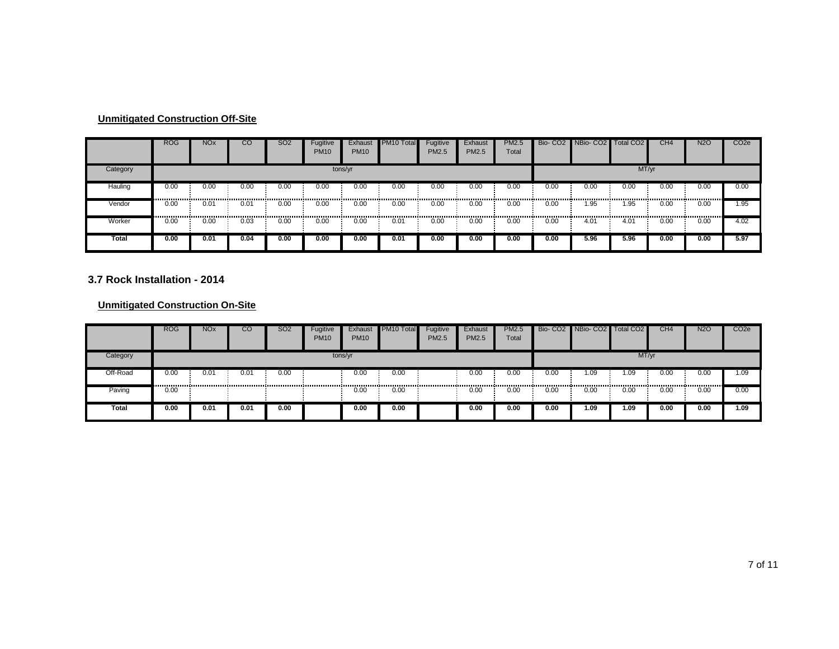|          | <b>ROG</b>             | <b>NO<sub>x</sub></b> | CO       | <b>SO2</b> | Fugitive<br><b>PM10</b> | Exhaust<br><b>PM10</b> | PM10 Total | Fugitive<br>PM2.5 | Exhaust<br><b>PM2.5</b> | <b>PM2.5</b><br>Total | Bio-CO <sub>2</sub> | NBio-CO <sub>2</sub> | <b>Total CO2</b> | CH <sub>4</sub> | <b>N2O</b> | CO <sub>2</sub> e |
|----------|------------------------|-----------------------|----------|------------|-------------------------|------------------------|------------|-------------------|-------------------------|-----------------------|---------------------|----------------------|------------------|-----------------|------------|-------------------|
| Category |                        |                       |          |            |                         | tons/yr                |            |                   |                         |                       |                     |                      | MT/yr            |                 |            |                   |
| Hauling  | 0.00                   | 0.00                  | 0.00     | 0.00       | 0.00                    | 0.00                   | 0.00       | 0.00              | 0.00                    | 0.00                  | 0.00                | 0.00                 | 0.00             | 0.00            | 0.00       | 0.00              |
| Vendor   | 0.00                   | 0.01                  | 0.01<br> | 0.00       | 0.00                    | 0.00                   | 0.00       | 0.00              | 0.00                    | 0.00                  | 0.00                | 1.95                 | 1.95             | 0.00            | 0.00       | 1.95              |
| Worker   | --------------<br>0.00 | 0.00                  | 0.03     | <br>0.00   | 0.00                    | 0.00                   | 0.01       | 0.00              | 0.00                    | 0.00                  | 0.00                | 4.01                 | 4.01             | ,<br>0.00       | 0.00       | 4.02              |
| Total    | 0.00                   | 0.01                  | 0.04     | 0.00       | 0.00                    | 0.00                   | 0.01       | 0.00              | 0.00                    | 0.00                  | 0.00                | 5.96                 | 5.96             | 0.00            | 0.00       | 5.97              |

#### **3.7 Rock Installation - 2014**

|              | <b>ROG</b> | <b>NO<sub>x</sub></b> | <b>CO</b> | SO <sub>2</sub> | Fugitive<br><b>PM10</b> | Exhaust<br><b>PM10</b> | PM10 Total | Fugitive<br>PM2.5 | Exhaust<br><b>PM2.5</b> | <b>PM2.5</b><br>Total |      | Bio- CO2 NBio- CO2 Total CO2 |       | CH <sub>4</sub> | <b>N2O</b> | CO <sub>2e</sub> |
|--------------|------------|-----------------------|-----------|-----------------|-------------------------|------------------------|------------|-------------------|-------------------------|-----------------------|------|------------------------------|-------|-----------------|------------|------------------|
| Category     |            |                       |           |                 |                         | tons/yr                |            |                   |                         |                       |      |                              | MT/yr |                 |            |                  |
| Off-Road     | 0.00       | $0.0^{\circ}$         | 0.01      | 0.00            |                         | 0.00                   | 0.00       |                   | 0.00                    | 0.00                  | 0.00 | 1.09                         | 1.09  | 0.00            | 0.00       | 1.09             |
| Paving       | 0.00       |                       |           |                 |                         | 0.00                   | 0.00       |                   | 0.00                    | 0.00                  | 0.00 | 0.00                         | 0.00  | 0.00            | 0.00       | 0.00             |
| <b>Total</b> | 0.00       | 0.01                  | 0.01      | 0.00            |                         | 0.00                   | 0.00       |                   | 0.00                    | 0.00                  | 0.00 | 1.09                         | 1.09  | 0.00            | 0.00       | 1.09             |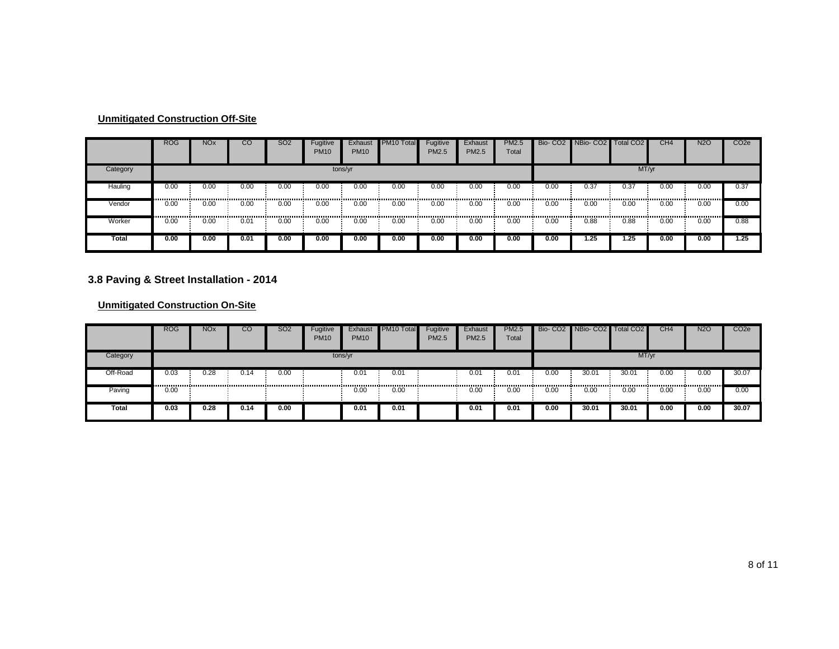|          | <b>ROG</b> | <b>NO<sub>x</sub></b> | CO   | <b>SO2</b> | Fugitive<br><b>PM10</b> | Exhaust<br><b>PM10</b> | PM <sub>10</sub> Total | Fugitive<br>PM2.5 | Exhaust<br>PM2.5 | <b>PM2.5</b><br>Total |      | Bio- CO2 NBio- CO2 Total CO2 |       | CH <sub>4</sub> | <b>N2O</b> | CO <sub>2e</sub> |
|----------|------------|-----------------------|------|------------|-------------------------|------------------------|------------------------|-------------------|------------------|-----------------------|------|------------------------------|-------|-----------------|------------|------------------|
| Category |            |                       |      |            |                         | tons/yr                |                        |                   |                  |                       |      |                              | MT/yr |                 |            |                  |
| Hauling  | 0.00       | 0.00                  | 0.00 | 0.00       | 0.00                    | 0.00                   | 0.00                   | 0.00              | 0.00             | 0.00                  | 0.00 | 0.37                         | 0.37  | 0.00            | 0.00       | 0.37             |
| Vendor   | 0.00<br>   | 0.00                  | 0.00 | 0.00<br>   | 0.00                    | 0.00                   | 0.00                   | 0.00              | 0.00             | 0.00                  | 0.00 | 0.00                         | 0.00  | 0.00            | 0.00       | 0.00             |
| Worker   | 0.00       | 0.00                  | 0.01 | 0.00       | 0.00                    | 0.00                   | 0.00                   | 0.00              | 0.00             | 0.00                  | 0.00 | 0.88                         | 0.88  | 0.00            | 0.00       | 0.88             |
| Total    | 0.00       | 0.00                  | 0.01 | 0.00       | 0.00                    | 0.00                   | 0.00                   | 0.00              | 0.00             | 0.00                  | 0.00 | . 25                         | .25.، | 0.00            | 0.00       | 1.25             |

#### **3.8 Paving & Street Installation - 2014**

|              | <b>ROG</b>        | <b>NO<sub>x</sub></b> | CO   | SO <sub>2</sub> | Fugitive<br><b>PM10</b> | Exhaust<br><b>PM10</b> | PM10 Total | Fugitive<br>PM2.5 | Exhaust<br><b>PM2.5</b> | <b>PM2.5</b><br>Total |      | Bio- CO2 NBio- CO2 Total CO2 |       | CH <sub>4</sub> | <b>N2O</b> | CO <sub>2e</sub> |
|--------------|-------------------|-----------------------|------|-----------------|-------------------------|------------------------|------------|-------------------|-------------------------|-----------------------|------|------------------------------|-------|-----------------|------------|------------------|
| Category     |                   |                       |      |                 |                         | tons/yr                |            |                   |                         |                       |      |                              | MT/yr |                 |            |                  |
| Off-Road     | $0.\overline{03}$ | ገ.28                  | 0.14 | 0.00            |                         | 0.01                   | 0.01       |                   | 0.01                    | 0.01                  | 0.00 | 30.01                        | 30.01 | 0.00            | 0.00       | 30.07            |
| Paving       | 0.00              |                       |      |                 |                         | 0.00                   | 0.00       |                   | 0.00                    | 0.00                  | 0.00 | 0.00                         | 0.00  | 0.00            | 0.00       | 0.00             |
| <b>Total</b> | 0.03              | 0.28                  | 0.14 | 0.00            |                         | 0.01                   | 0.01       |                   | 0.01                    | 0.01                  | 0.00 | 30.01                        | 30.01 | 0.00            | 0.00       | 30.07            |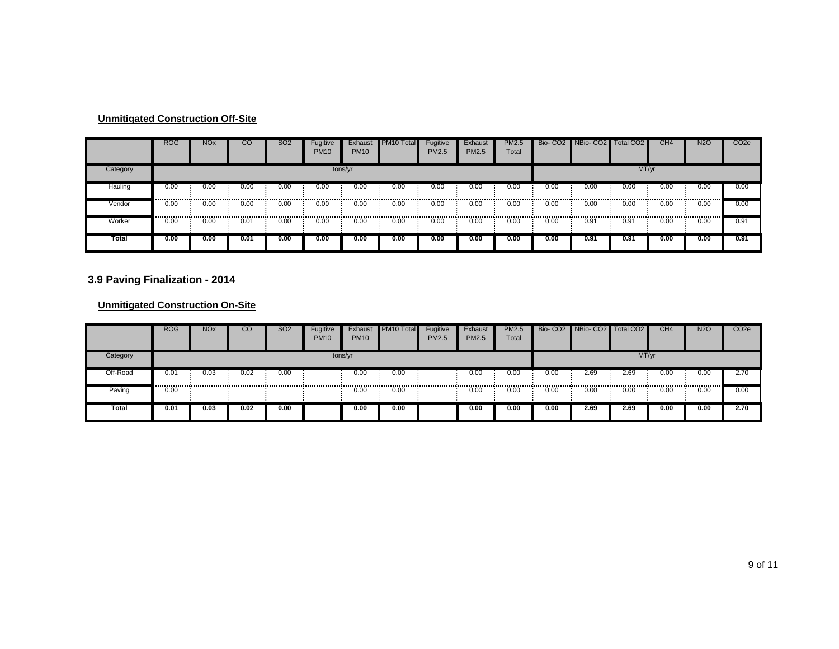|          | <b>ROG</b> | <b>NO<sub>x</sub></b> | CO   | <b>SO2</b> | Fugitive<br><b>PM10</b> | Exhaust<br><b>PM10</b> | PM <sub>10</sub> Total | Fugitive<br>PM2.5 | Exhaust<br>PM2.5 | <b>PM2.5</b><br>Total |      | Bio- CO2 NBio- CO2 Total CO2 |       | CH <sub>4</sub> | <b>N2O</b> | CO <sub>2e</sub> |
|----------|------------|-----------------------|------|------------|-------------------------|------------------------|------------------------|-------------------|------------------|-----------------------|------|------------------------------|-------|-----------------|------------|------------------|
| Category | tons/yr    |                       |      |            |                         |                        |                        |                   |                  |                       |      |                              | MT/yr |                 |            |                  |
| Hauling  | 0.00       | 0.00                  | 0.00 | 0.00       | 0.00                    | 0.00                   | 0.00                   | 0.00              | 0.00             | 0.00                  | 0.00 | 0.00                         | 0.00  | 0.00            | 0.00       | 0.00             |
| Vendor   | 0.00<br>   | 0.00                  | 0.00 | 0.00<br>   | 0.00                    | 0.00                   | 0.00                   | 0.00              | 0.00             | 0.00                  | 0.00 | 0.00                         | 0.00  | 0.00            | 0.00       | 0.00             |
| Worker   | 0.00       | 0.00                  | 0.01 | 0.00       | 0.00                    | 0.00                   | 0.00                   | 0.00              | 0.00             | 0.00                  | 0.00 | 0.91                         | 0.91  | 0.00            | 0.00       | 0.91             |
| Total    | 0.00       | 0.00                  | 0.01 | 0.00       | 0.00                    | 0.00                   | 0.00                   | 0.00              | 0.00             | 0.00                  | 0.00 | 0.91                         | 0.91  | 0.00            | 0.00       | 0.91             |

#### **3.9 Paving Finalization - 2014**

|          | <b>ROG</b> | <b>NO<sub>x</sub></b> | CO   | SO <sub>2</sub> | Fugitive<br><b>PM10</b> | Exhaust<br><b>PM10</b> | PM10 Total | Fugitive<br>PM2.5 | Exhaust<br>PM2.5 | <b>PM2.5</b><br>Total |      | Bio- CO2 NBio- CO2 Total CO2 |       | CH <sub>4</sub> | <b>N2O</b> | CO <sub>2e</sub> |
|----------|------------|-----------------------|------|-----------------|-------------------------|------------------------|------------|-------------------|------------------|-----------------------|------|------------------------------|-------|-----------------|------------|------------------|
| Category | tons/yr    |                       |      |                 |                         |                        |            |                   |                  |                       |      |                              | MT/yr |                 |            |                  |
| Off-Road | 0.01<br>   | 0.03                  | 0.02 | 0.00            |                         | 0.00                   | 0.00       |                   | 0.00             | 0.00                  | 0.00 | 2.69                         | 2.69  | 0.00            | 0.00       | 2.70             |
| Paving   | 0.00       |                       |      |                 |                         | 0.00                   | 0.00       |                   | 0.00             | 0.00                  | 0.00 | 0.00                         | 0.00  | 0.00            | 0.00       | 0.00             |
| Total    | 0.01       | 0.03                  | 0.02 | 0.00            |                         | 0.00                   | 0.00       |                   | 0.00             | 0.00                  | 0.00 | 2.69                         | 2.69  | 0.00            | 0.00       | 2.70             |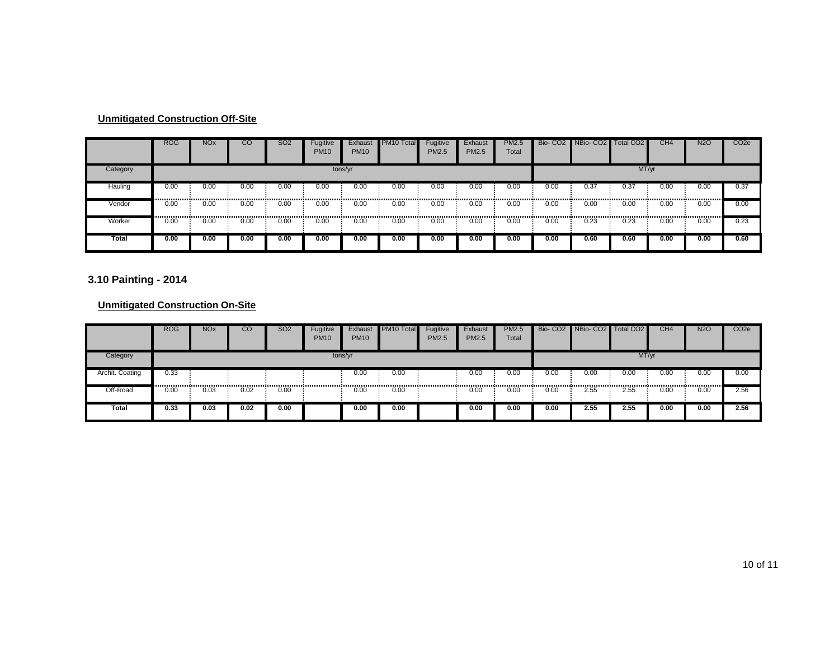|          | <b>ROG</b> | <b>NO<sub>x</sub></b> | CO                                        | <b>SO2</b> | Fugitive<br><b>PM10</b> | Exhaust<br><b>PM10</b> | PM <sub>10</sub> Total | Fugitive<br>PM2.5 | Exhaust<br>PM2.5 | <b>PM2.5</b><br>Total |      | Bio- CO2 NBio- CO2 Total CO2 |       | CH <sub>4</sub> | <b>N2O</b> | CO <sub>2e</sub> |
|----------|------------|-----------------------|-------------------------------------------|------------|-------------------------|------------------------|------------------------|-------------------|------------------|-----------------------|------|------------------------------|-------|-----------------|------------|------------------|
| Category | tons/yr    |                       |                                           |            |                         |                        |                        |                   |                  |                       |      |                              | MT/yr |                 |            |                  |
| Hauling  | 0.00       | 0.00                  | 0.00                                      | 0.00       | 0.00                    | 0.00                   | 0.00                   | 0.00              | 0.00             | 0.00                  | 0.00 | 0.37                         | 0.37  | 0.00            | 0.00       | 0.37             |
| Vendor   | 0.00<br>   | 0.00                  | 0.00<br>,,,,,,,,,,,,,,,,,,,,,,,,,,,,,,,,, | 0.00       | 0.00                    | 0.00                   | 0.00                   | 0.00              | 0.00             | 0.00                  | 0.00 | 0.00                         | 0.00  | 0.00            | 0.00       | 0.00             |
| Worker   | 0.00       | 0.00                  | 0.00                                      | <br>0.00   | 0.00                    | 0.00                   | 0.00                   | 0.00              | 0.00             | 0.00                  | 0.00 | 0.23                         | 0.23  | 0.00            | 0.00       | 0.23             |
| Total    | 0.00       | 0.00                  | 0.00                                      | 0.00       | 0.00                    | 0.00                   | 0.00                   | 0.00              | 0.00             | 0.00                  | 0.00 | 0.60                         | 0.60  | 0.00            | 0.00       | 0.60             |

#### **3.10 Painting - 2014**

|                 | <b>ROG</b> | <b>NO<sub>x</sub></b> | CO   | SO <sub>2</sub> | Fugitive<br><b>PM10</b> | Exhaust<br><b>PM10</b> | PM10 Total | Fugitive<br>PM2.5 | Exhaust<br><b>PM2.5</b> | <b>PM2.5</b><br>Total |      | Bio- CO2 NBio- CO2 Total CO2 |       | CH <sub>4</sub> | <b>N2O</b> | CO <sub>2e</sub> |
|-----------------|------------|-----------------------|------|-----------------|-------------------------|------------------------|------------|-------------------|-------------------------|-----------------------|------|------------------------------|-------|-----------------|------------|------------------|
| Category        |            | tons/yr               |      |                 |                         |                        |            |                   |                         |                       |      |                              | MT/yr |                 |            |                  |
| Archit. Coating | 0.33       |                       |      |                 |                         | 0.00                   | 0.00       |                   | 0.00                    | 0.00                  | 0.00 | 0.00                         | 0.00  | 0.00            | 0.00       | 0.00             |
| Off-Road        | 0.00       | 0.03                  | 0.02 | 0.00            |                         | 0.00                   | 0.00       |                   | 0.00                    | 0.00                  | 0.00 | 2.55                         | 2.55  | 0.00            | 0.00       | 2.56             |
| <b>Total</b>    | 0.33       | 0.03                  | 0.02 | 0.00            |                         | 0.00                   | 0.00       |                   | 0.00                    | 0.00                  | 0.00 | 2.55                         | 2.55  | 0.00            | 0.00       | 2.56             |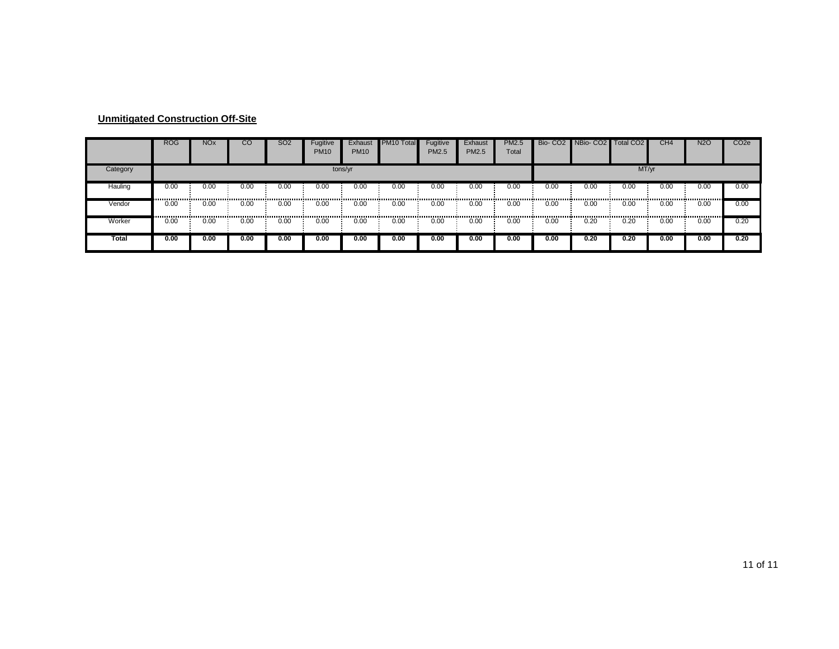| <b>Unmitigated Construction Off-Site</b> |  |
|------------------------------------------|--|
|                                          |  |

|              | <b>ROG</b> | <b>NO<sub>x</sub></b> | CO   | <b>SO2</b> | Fugitive<br><b>PM10</b> | Exhaust<br><b>PM10</b> | PM <sub>10</sub> Total | Fugitive<br>PM2.5 | Exhaust<br><b>PM2.5</b> | <b>PM2.5</b><br>Total | Bio-CO <sub>2</sub> | NBio-CO2 | Total CO <sub>2</sub> | CH4  | <b>N2O</b> | CO <sub>2e</sub> |
|--------------|------------|-----------------------|------|------------|-------------------------|------------------------|------------------------|-------------------|-------------------------|-----------------------|---------------------|----------|-----------------------|------|------------|------------------|
| Category     | tons/yr    |                       |      |            |                         |                        |                        |                   |                         |                       |                     |          | MT/yr                 |      |            |                  |
| Hauling      | 0.00       | 0.00                  | 0.00 | 0.00       | 0.00<br>------------    | 0.00                   | 0.00                   | 0.00<br>          | 0.00<br>.               | 0.00<br>              | 0.00                | 0.00     | 0.00                  | 0.00 | 0.00       | 0.00             |
| Vendor       | 0.00<br>   | 0.00                  | 0.00 | 0.00       | 0.00<br>                | 0.00                   | 0.00                   | 0.00              | 0.00                    | 0.00                  | 0.00                | 0.00     | 0.00                  | 0.00 | 0.00       | 0.00             |
| Worker       | 0.00       | 0.00                  | 0.00 | 0.00       | 0.00                    | 0.00                   | 0.00                   | 0.00              | 0.00                    | 0.00                  | 0.00                | 0.20     | 0.20                  | 0.00 | 0.00       | 0.20             |
| <b>Total</b> | 0.00       | 0.00                  | 0.00 | 0.00       | 0.00                    | 0.00                   | 0.00                   | 0.00              | 0.00                    | 0.00                  | 0.00                | 0.20     | 0.20                  | 0.00 | 0.00       | 0.20             |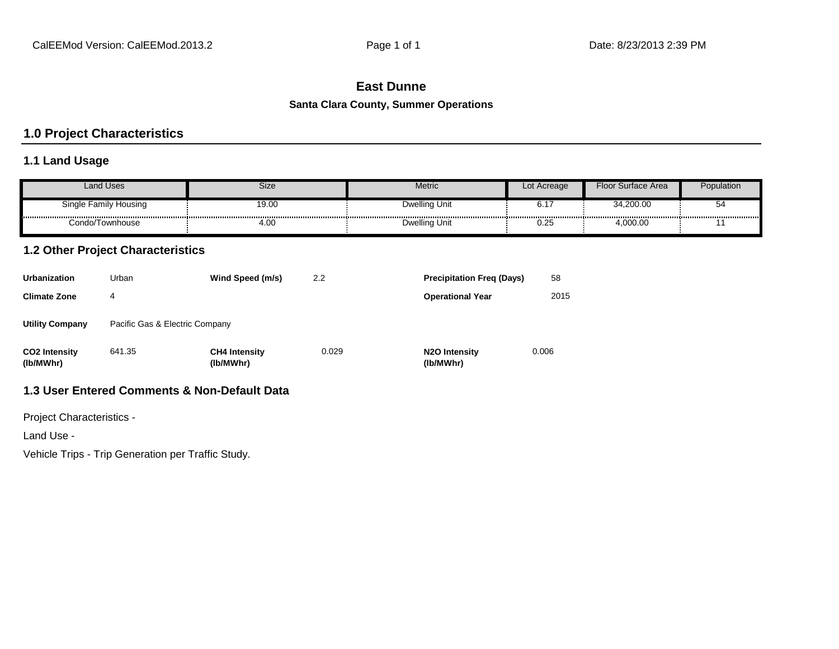# **East Dunne**

#### **Santa Clara County, Summer Operations**

# **1.0 Project Characteristics**

# **1.1 Land Usage**

| <b>Land Uses</b>      | Size  | Metric               | Lot Acreage | Floor Surface Area | Population |
|-----------------------|-------|----------------------|-------------|--------------------|------------|
| Single Family Housing | 19.00 | <b>Dwelling Unit</b> | ∪.⊧         | 34,200.00          | ວ          |
| Condo/Townhouse       | 4.00  | <b>Dwelling Unit</b> | 0.25        | 4,000.00           |            |

# **1.2 Other Project Characteristics**

| <b>Urbanization</b>               | Urban                          | Wind Speed (m/s)                  | 2.2   | <b>Precipitation Freg (Days)</b>        | 58    |
|-----------------------------------|--------------------------------|-----------------------------------|-------|-----------------------------------------|-------|
| <b>Climate Zone</b>               | 4                              |                                   |       | <b>Operational Year</b>                 | 2015  |
| <b>Utility Company</b>            | Pacific Gas & Electric Company |                                   |       |                                         |       |
| <b>CO2 Intensity</b><br>(lb/MWhr) | 641.35                         | <b>CH4 Intensity</b><br>(lb/MWhr) | 0.029 | N <sub>2</sub> O Intensity<br>(lb/MWhr) | 0.006 |

# **1.3 User Entered Comments & Non-Default Data**

Project Characteristics -

Land Use -

Vehicle Trips - Trip Generation per Traffic Study.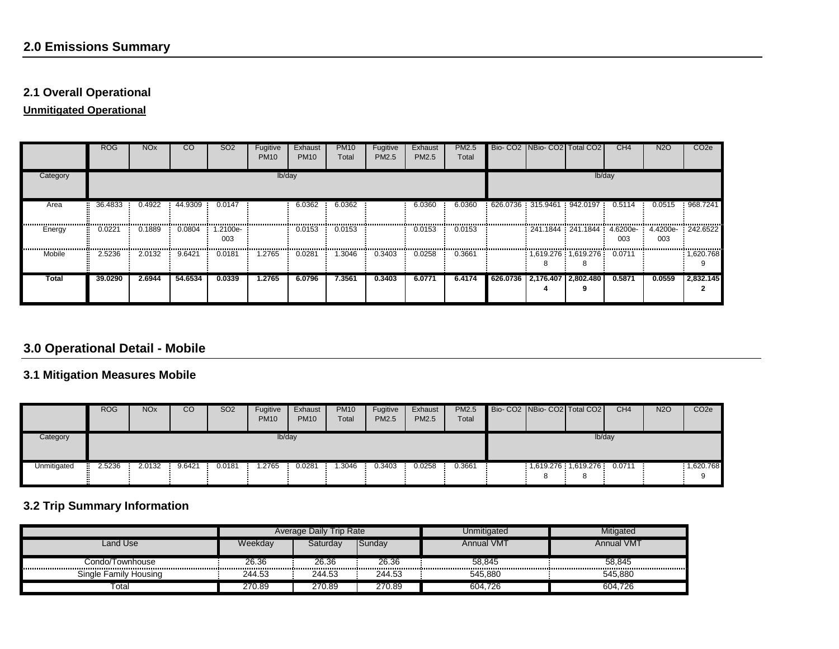# **2.1 Overall Operational**

**Unmitigated Operational**

|                               | <b>ROG</b> | <b>NO<sub>x</sub></b> | <sub>CO</sub> | SO <sub>2</sub> | Fugitive<br><b>PM10</b> | Exhaust<br><b>PM10</b> | <b>PM10</b><br>Total | Fugitive<br>PM2.5 | Exhaust<br>PM2.5 | PM2.5<br>Total |  |                              | Bio- CO2 NBio- CO2 Total CO2      | CH <sub>4</sub> | N <sub>2</sub> O | CO <sub>2</sub> e |
|-------------------------------|------------|-----------------------|---------------|-----------------|-------------------------|------------------------|----------------------|-------------------|------------------|----------------|--|------------------------------|-----------------------------------|-----------------|------------------|-------------------|
| Category                      |            | lb/day                |               |                 |                         |                        |                      |                   |                  |                |  |                              |                                   | lb/day          |                  |                   |
| Area                          | 36.4833    | 0.4922                | 44.9309       | 0.0147          |                         | 6.0362                 | 6.0362               |                   | 6.0360           | 6.0360         |  |                              | $626.0736$ 315.9461 942.0197      | 0.5114          | 0.0515           | 968.7241          |
| Energy                        | 0.0221     | 0.1889                | 0.0804        | 1.2100e-<br>003 |                         | 0.0153                 | 0.0153               |                   | 0.0153           | 0.0153         |  |                              | 241.1844 241.1844 4.6200e 4.4200e | 003             | 003              | : 242.6522        |
| ,,,,,,,,,,,,,,,,,,,<br>Mobile | 2.5236     | 2.0132                | 9.6421        | 0.0181          | 1.2765                  | 0.0281<br><b>STATE</b> | .3046                | 0.3403            | 0.0258           | 0.3661         |  |                              | $1,619.276$ 1,619.276 0.0711      |                 |                  | 1,620.768         |
| Total                         | 39.0290    | 2.6944                | 54.6534       | 0.0339          | 1.2765                  | 6.0796                 | 7.3561               | 0.3403            | 6.0771           | 6.4174         |  | 626.0736 2.176.407 2.802.480 |                                   | 0.5871          | 0.0559           | 2.832.145         |

# **3.0 Operational Detail - Mobile**

# **3.1 Mitigation Measures Mobile**

|             | <b>ROG</b>   | <b>NOx</b> | CO     | SO <sub>2</sub> | Fugitive<br><b>PM10</b> | Exhaust<br><b>PM10</b> | PM <sub>10</sub><br>Total | Fugitive<br>PM2.5 | Exhaust<br>PM2.5 | PM2.5<br>Total | Bio-CO2   NBio-CO2   Total CO2 |                       |        | CH <sub>4</sub> | <b>N2O</b> | CO <sub>2</sub> e |
|-------------|--------------|------------|--------|-----------------|-------------------------|------------------------|---------------------------|-------------------|------------------|----------------|--------------------------------|-----------------------|--------|-----------------|------------|-------------------|
| Category    |              | lb/day     |        |                 |                         |                        |                           |                   |                  |                |                                |                       | lb/day |                 |            |                   |
| Unmitigated | 2.5236<br>Η. | 2.0132     | 9.6421 | 0.0181          | .2765                   | 0.0281                 | .3046                     | 0.3403            | 0.0258           | 0.3661         |                                | $1,619.276$ 1,619.276 |        | 0.0711          |            | : 1,620.768       |

# **3.2 Trip Summary Information**

|                       |         | Trip Rate<br><b>Average Daily</b> |        | Unmitigated       | Mitigated         |
|-----------------------|---------|-----------------------------------|--------|-------------------|-------------------|
| Land Use              | Weekdav | Saturdav                          | Sundav | <b>Annual VMT</b> | <b>Annual VMT</b> |
| Condo/Townhouse       | 26.36   | 26.36                             | 26.36  | 58.845            | 58.845            |
| Single Family Housing | 244.53  | 244.53                            | 244.53 | 545.880           | 545.880           |
| Totai                 | 270.89  | 270.89                            | 270.89 | 604,726           | 604.726           |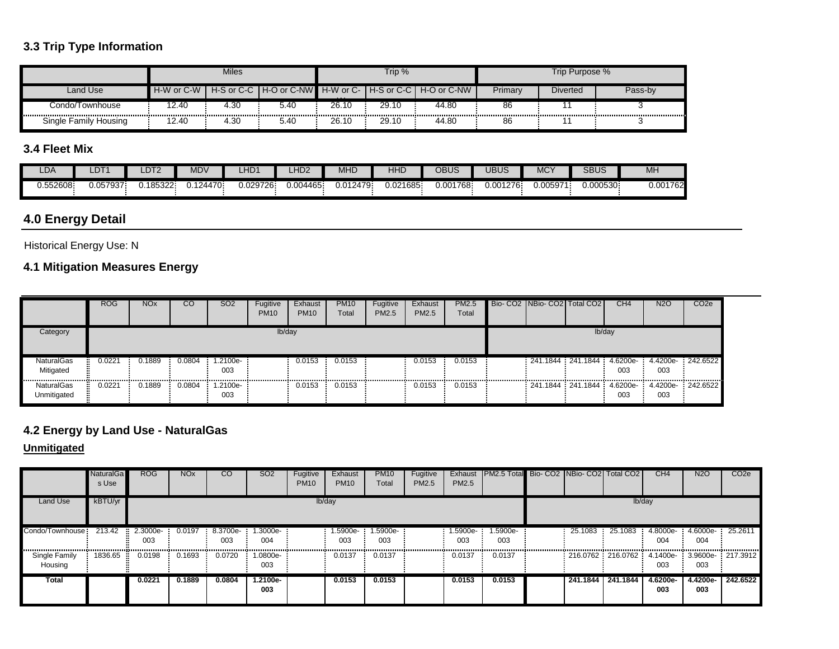# **3.3 Trip Type Information**

|                       |            | <b>Miles</b> |      |          | Trip $%$ |                                                         |         | Trip Purpose %  |         |
|-----------------------|------------|--------------|------|----------|----------|---------------------------------------------------------|---------|-----------------|---------|
| Land Use              | H-W or C-W |              |      | $\cdots$ |          | H-S or C-C H-O or C-NW H-W or C- H-S or C-C H-O or C-NW | Primary | <b>Diverted</b> | Pass-b\ |
| Condo/Townhouse       | 2.40       | 4.30         | 5.40 | 26.10    | 29.10    | 44.80                                                   | 86      |                 |         |
| Single Family Housing | 2.40       | 4.30         | 5.40 | 26.10    | 29.10    | 44.80                                                   | 86      |                 |         |

# **3.4 Fleet Mix**

| LDA      | -DT1     | LDT <sub>2</sub> | <b>MDV</b> | LHD1     | HD <sub>2</sub> | <b>MHD</b> | <b>HHL</b> | <b>OBUS</b> | UBUS     | <b>MCY</b> | <b>SBUS</b> | M <sub>H</sub> |
|----------|----------|------------------|------------|----------|-----------------|------------|------------|-------------|----------|------------|-------------|----------------|
| 0.552608 | .057937. | 185322           | 0.124470.  | 0.029726 | 0.004465.       | 0.012479   | 0.021685.  | 0.001768    | 0.001276 | 0.005971   | 0.000530    | 0.001762       |

# **4.0 Energy Detail**

Historical Energy Use: N

# **4.1 Mitigation Measures Energy**

|                                  | <b>ROG</b> | <b>NO<sub>x</sub></b> | CO     | SO <sub>2</sub> | Fugitive<br><b>PM10</b> | Exhaust<br><b>PM10</b> | <b>PM10</b><br>Total | Fugitive<br>PM2.5 | Exhaust<br>PM2.5 | <b>PM2.5</b><br>Total | Bio- CO2 NBio- CO2 Total CO2 |        | CH <sub>4</sub> | <b>N2O</b>                                            | CO <sub>2e</sub> |
|----------------------------------|------------|-----------------------|--------|-----------------|-------------------------|------------------------|----------------------|-------------------|------------------|-----------------------|------------------------------|--------|-----------------|-------------------------------------------------------|------------------|
| Category                         |            |                       |        |                 | lb/day                  |                        |                      |                   |                  |                       |                              | lb/day |                 |                                                       |                  |
| NaturalGas<br>Mitigated          | 0.0221<br> | 0.1889                | 0.0804 | -2100e-<br>003  |                         | 0.0153                 | 0.0153<br>           |                   | 0.0153<br>.      | 0.0153<br>.           |                              |        | 003<br>         | 241.1844 241.1844 4.6200e 4.4200e 242.6522<br>003<br> |                  |
| <b>NaturalGas</b><br>Unmitigated | 0.0221     | 0.1889                | 0.0804 | 1.2100e-<br>003 |                         | 0.0153                 | 0.0153               |                   | 0.0153           | 0.0153                |                              |        | 003             | 241.1844 241.1844 4.6200e 4.4200e 242.6522<br>003     |                  |

# **4.2 Energy by Land Use - NaturalGas**

|                          | <b>NaturalGa</b><br>s Use | <b>ROG</b>                    | <b>NO<sub>x</sub></b> | <sub>CO</sub>   | SO <sub>2</sub> | Fugitive<br><b>PM10</b> | Exhaust<br><b>PM10</b> | <b>PM10</b><br>Total | Fugitive<br>PM2.5 | Exhaust<br><b>PM2.5</b> | <b>PM2.5 Total Bio- CO2 NBio- CO2 Total CO2</b> |                   |         | CH <sub>4</sub>                                   | <b>N2O</b>                 | CO <sub>2e</sub> |
|--------------------------|---------------------------|-------------------------------|-----------------------|-----------------|-----------------|-------------------------|------------------------|----------------------|-------------------|-------------------------|-------------------------------------------------|-------------------|---------|---------------------------------------------------|----------------------------|------------------|
| <b>Land Use</b>          | kBTU/yr                   |                               |                       |                 |                 |                         | lb/day                 |                      |                   |                         |                                                 |                   |         | lb/day                                            |                            |                  |
| Condo/Townhouse:         | 213.42                    | $\frac{1}{2}$ 2.3000e-<br>003 | 0.0197                | 8.3700e-<br>003 | 1.3000e-<br>004 |                         | .5900e-<br>003         | 1.5900e-<br>003      |                   | 1.5900e-<br>003         | 1.5900e-<br>003                                 | 25.1083           | 25.1083 | 4.8000e-<br>004                                   | $4.6000e - 25.2611$<br>004 |                  |
| Single Family<br>Housing | 1836.65                   | 0.0198                        | 0.1693                | 0.0720          | 1.0800e-<br>003 |                         | 0.0137                 | 0.0137               |                   | 0.0137                  | 0.0137                                          |                   |         | 216.0762 216.0762 4.1400e 3.9600e 217.3912<br>003 | 003                        |                  |
| Total                    |                           | 0.0221                        | 0.1889                | 0.0804          | 1.2100e-<br>003 |                         | 0.0153                 | 0.0153               |                   | 0.0153                  | 0.0153                                          | 241.1844 241.1844 |         | 4.6200e-<br>003                                   | 4.4200e-<br>003            | 242.6522         |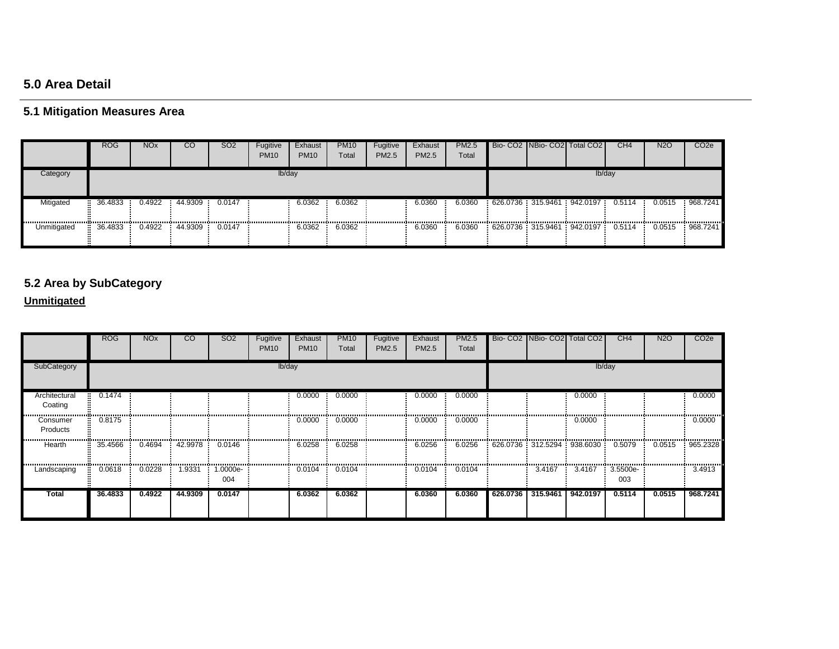# **5.0 Area Detail**

# **5.1 Mitigation Measures Area**

|             | <b>ROG</b> | <b>NO<sub>x</sub></b> | <sub>CO</sub>         | SO <sub>2</sub> | Fugitive<br><b>PM10</b> | Exhaust<br><b>PM10</b> | <b>PM10</b><br>Total | Fugitive<br>PM2.5 | Exhaust<br>PM2.5 | <b>PM2.5</b><br>Total | Bio-CO2 NBio-CO2 Total CO2                      |        | CH <sub>4</sub> | <b>N2O</b> | CO <sub>2e</sub> |
|-------------|------------|-----------------------|-----------------------|-----------------|-------------------------|------------------------|----------------------|-------------------|------------------|-----------------------|-------------------------------------------------|--------|-----------------|------------|------------------|
| Category    |            |                       |                       |                 | lb/day                  |                        |                      |                   |                  |                       |                                                 | Ib/day |                 |            |                  |
| Mitigated   | 36.4833    | 0.4922                | 44.9309               | 0.0147          |                         | 6.0362                 | 6.0362               |                   | 6.0360           | 6.0360                | $626.0736$ 315.9461 942.0197 0.5114             |        |                 | 0.0515     | 968.7241         |
| Unmitigated | 36.4833    |                       | 0.4922 44.9309 0.0147 |                 |                         | 6.0362                 | 6.0362               |                   | 6.0360           | 6.0360                | $\frac{1}{2}$ 626.0736 315.9461 942.0197 0.5114 |        |                 | 0.0515     | 968.7241         |

# **5.2 Area by SubCategory**

|                          | <b>ROG</b> | <b>NO<sub>x</sub></b> | $\overline{c}$ | SO <sub>2</sub> | Fugitive<br><b>PM10</b> | Exhaust<br><b>PM10</b> | <b>PM10</b><br>Total | Fugitive<br>PM2.5 | Exhaust<br>PM2.5 | <b>PM2.5</b><br>Total |          | Bio- CO2 NBio- CO2 Total CO2      |          | CH4               | <b>N2O</b> | CO <sub>2</sub> e |
|--------------------------|------------|-----------------------|----------------|-----------------|-------------------------|------------------------|----------------------|-------------------|------------------|-----------------------|----------|-----------------------------------|----------|-------------------|------------|-------------------|
| SubCategory              |            |                       |                |                 | lb/day                  |                        |                      |                   |                  |                       |          |                                   |          | Ib/day            |            |                   |
| Architectural<br>Coating | 0.1474     |                       |                |                 |                         | 0.0000                 | 0.0000               |                   | 0.0000           | 0.0000                |          |                                   | 0.0000   |                   |            | 0.0000            |
| Consumer<br>Products     | 0.8175     |                       |                |                 |                         | 0.0000                 | 0.0000               |                   | 0.0000           | 0.0000                |          |                                   | 0.0000   |                   |            | 0.0000            |
| <br>Hearth               | 35.4566    | 0.4694                | 42.9978        | 0.0146          |                         | 6.0258                 | 6.0258               |                   | 6.0256           | 6.0256                |          | 626.0736 312.5294 938.6030 0.5079 |          |                   | 0.0515     | 965.2328          |
| Landscaping              | 0.0618     | 0.0228                | 1.9331         | 1.0000e-<br>004 |                         | 0.0104                 | 0.0104               |                   | 0.0104           | 0.0104                |          | 3.4167                            | 3.4167   | $3.5500e-$<br>003 |            | 3.4913            |
| <b>Total</b>             | 36.4833    | 0.4922                | 44.9309        | 0.0147          |                         | 6.0362                 | 6.0362               |                   | 6.0360           | 6.0360                | 626.0736 | 315.9461                          | 942.0197 | 0.5114            | 0.0515     | 968.7241          |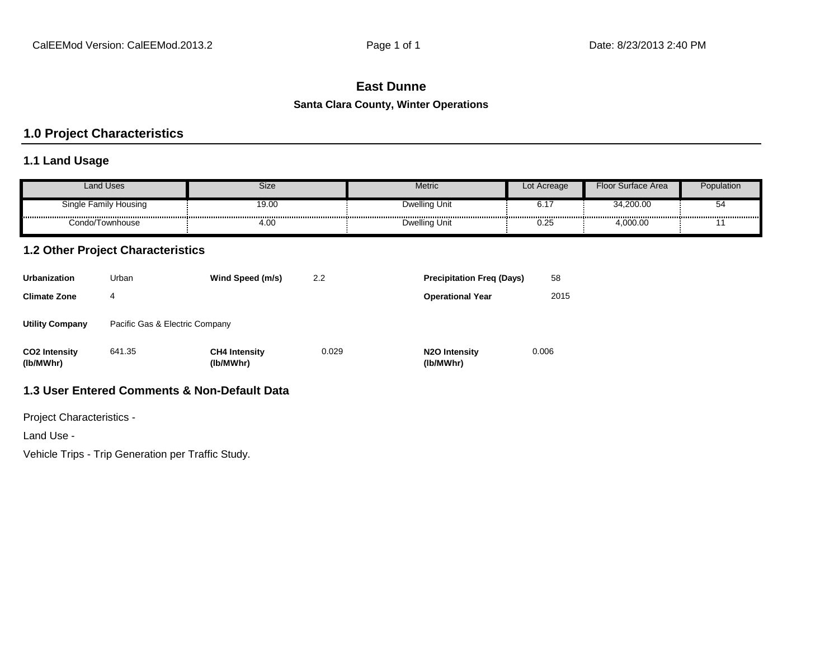# **East Dunne**

#### **Santa Clara County, Winter Operations**

# **1.0 Project Characteristics**

# **1.1 Land Usage**

| <b>Land Uses</b>      | Size  | Metric               | Lot Acreage | Floor Surface Area | Population |
|-----------------------|-------|----------------------|-------------|--------------------|------------|
| Single Family Housing | 19.00 | <b>Dwelling Unit</b> | ∪.⊧         | 34,200.00          | ວ          |
| Condo/Townhouse       | 4.00  | <b>Dwelling Unit</b> | 0.25        | 4,000.00           |            |

# **1.2 Other Project Characteristics**

| <b>Urbanization</b>               | Urban                          | Wind Speed (m/s)                  | 2.2   | <b>Precipitation Freg (Days)</b>        | 58    |
|-----------------------------------|--------------------------------|-----------------------------------|-------|-----------------------------------------|-------|
| <b>Climate Zone</b>               | 4                              |                                   |       | <b>Operational Year</b>                 | 2015  |
| <b>Utility Company</b>            | Pacific Gas & Electric Company |                                   |       |                                         |       |
| <b>CO2 Intensity</b><br>(lb/MWhr) | 641.35                         | <b>CH4 Intensity</b><br>(lb/MWhr) | 0.029 | N <sub>2</sub> O Intensity<br>(lb/MWhr) | 0.006 |

# **1.3 User Entered Comments & Non-Default Data**

Project Characteristics -

Land Use -

Vehicle Trips - Trip Generation per Traffic Study.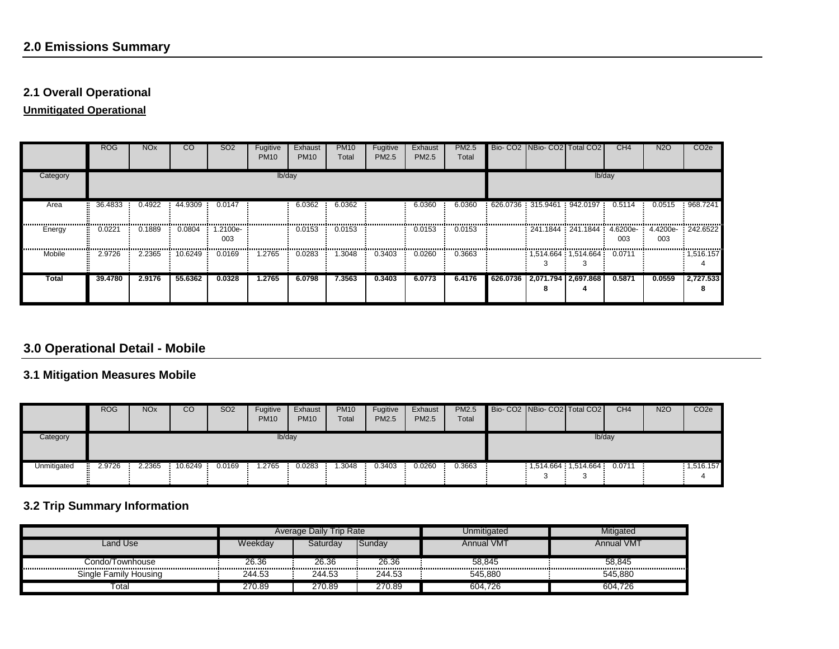# **2.1 Overall Operational**

**Unmitigated Operational**

|            | <b>ROG</b> | <b>NO<sub>x</sub></b> | <sub>CO</sub> | SO <sub>2</sub> | Fugitive<br><b>PM10</b> | Exhaust<br><b>PM10</b> | <b>PM10</b><br>Total | Fugitive<br>PM2.5 | Exhaust<br>PM2.5 | PM2.5<br>Total | Bio- CO2 NBio- CO2 Total CO2   |                                   | CH <sub>4</sub> | N <sub>2</sub> O | CO <sub>2e</sub> |
|------------|------------|-----------------------|---------------|-----------------|-------------------------|------------------------|----------------------|-------------------|------------------|----------------|--------------------------------|-----------------------------------|-----------------|------------------|------------------|
| Category   |            |                       |               |                 | lb/day                  |                        |                      |                   |                  |                |                                |                                   | lb/day          |                  |                  |
| Area       | 36.4833    | 0.4922                | 44.9309       | 0.0147          |                         | 6.0362                 | 6.0362               |                   | 6.0360           | 6.0360         | 626.0736 : 315.9461 : 942.0197 |                                   | 0.5114          | 0.0515           | 968.7241         |
| Energy     | 0.0221     | 0.1889                | 0.0804        | 1.2100e-<br>003 |                         | 0.0153                 | 0.0153               |                   | 0.0153           | 0.0153         |                                | 241.1844 241.1844 4.6200e 4.4200e | 003             | 003              | 242.6522         |
| <br>Mobile | 2.9726     | 2.2365                | 10.6249       | 0.0169          | 1.2765                  | 0.0283                 | 1.3048               | 0.3403            | 0.0260           | 0.3663         |                                | $1,514.664$ 1,514.664 0.0711      |                 |                  | : 1,516.157      |
| Total      | 39.4780    | 2.9176                | 55.6362       | 0.0328          | 1.2765                  | 6.0798                 | 7.3563               | 0.3403            | 6.0773           | 6.4176         |                                | 626.0736 2.071.794 2.697.868      | 0.5871          | 0.0559           | 2,727.533        |

# **3.0 Operational Detail - Mobile**

# **3.1 Mitigation Measures Mobile**

|             | <b>ROG</b>   | <b>NOx</b> | CO      | SO <sub>2</sub> | Fugitive<br><b>PM10</b> | Exhaust<br><b>PM10</b> | PM <sub>10</sub><br>Total | Fugitive<br>PM2.5 | Exhaust<br>PM2.5 | PM2.5<br>Total | Bio-CO2   NBio-CO2   Total CO2 |                         |        | CH <sub>4</sub> | <b>N2O</b> | CO <sub>2</sub> e |
|-------------|--------------|------------|---------|-----------------|-------------------------|------------------------|---------------------------|-------------------|------------------|----------------|--------------------------------|-------------------------|--------|-----------------|------------|-------------------|
| Category    |              |            |         |                 | lb/day                  |                        |                           |                   |                  |                |                                |                         | lb/day |                 |            |                   |
| Unmitigated | 2.9726<br>H. | 2.2365     | 10.6249 | 0.0169          | .2765                   | 0.0283                 | .3048                     | 0.3403            | 0.0260           | 0.3663         |                                | $1,514.664$ : 1,514.664 |        | 0.0711          |            | : 1,516.157       |

# **3.2 Trip Summary Information**

|                       |         | Trip Rate<br><b>Average Daily</b> |        | Unmitigated       | Mitigated         |
|-----------------------|---------|-----------------------------------|--------|-------------------|-------------------|
| Land Use              | Weekdav | Saturdav                          | Sundav | <b>Annual VMT</b> | <b>Annual VMT</b> |
| Condo/Townhouse       | 26.36   | 26.36                             | 26.36  | 58.845            | 58.845            |
| Single Family Housing | 244.53  | 244.53                            | 244.53 | 545.880           | 545.880           |
| Totai                 | 270.89  | 270.89                            | 270.89 | 604,726           | 604.726           |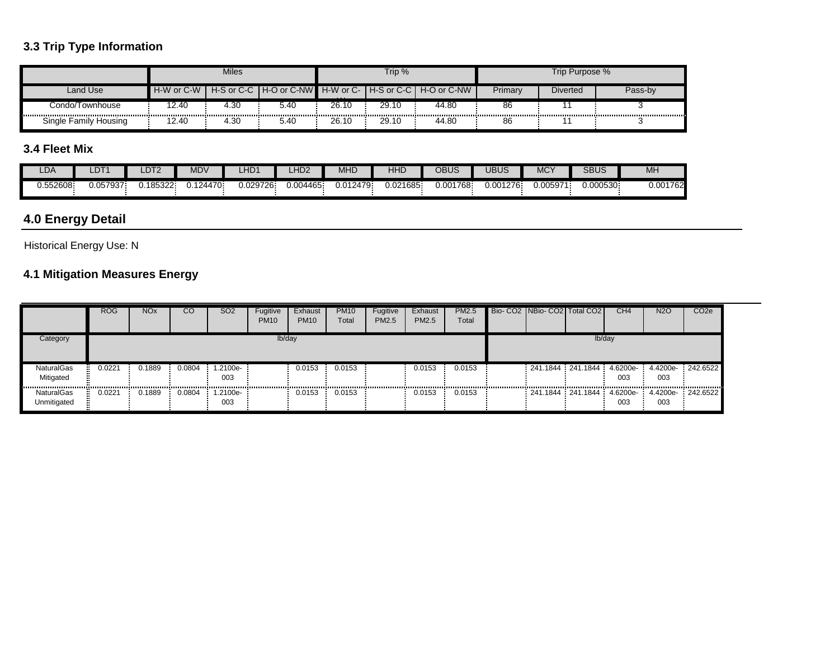# **3.3 Trip Type Information**

|                       |            | <b>Miles</b> |                                                         |          | Trip % |       |         | Trip Purpose %  |         |
|-----------------------|------------|--------------|---------------------------------------------------------|----------|--------|-------|---------|-----------------|---------|
| Land Use              | H-W or C-W |              | H-S or C-C H-O or C-NW H-W or C- H-S or C-C H-O or C-NW | $\cdots$ |        |       | Primary | <b>Diverted</b> | Pass-bv |
| Condo/Townhouse       | 2.40       | 4.30         | 5.40                                                    | 26.10    | 29.10  | 44.80 | 86      |                 |         |
| Single Family Housing | 2.40       | 4.30         | 5.40                                                    | 26.10    | 29.10  | 44.80 | 86      |                 |         |

# **3.4 Fleet Mix**

| LDA      | _DT      | LDT2      | MDV               | LHD <sup>1</sup> | _HD <sub>2</sub> | <b>MHD</b> | <b>HHL</b> | <b>OBUS</b> | UBUS      | $\sqrt{2}$<br>MC. | <b>SBUS</b> | M <sub>H</sub> |
|----------|----------|-----------|-------------------|------------------|------------------|------------|------------|-------------|-----------|-------------------|-------------|----------------|
| 0.552608 | J.057937 | 0.185322. | $\frac{1}{24470}$ | 0.029726.        | 0.004465         | 0.012479   | 0.021685   | 0.001768    | 0.001276. | 0.005971          | 0.000530    | 0.001762       |

# **4.0 Energy Detail**

Historical Energy Use: N

# **4.1 Mitigation Measures Energy**

|                                      | <b>ROG</b> | <b>NO<sub>x</sub></b> | <sub>CO</sub> | SO <sub>2</sub> | Fugitive<br><b>PM10</b> | Exhaust<br><b>PM10</b> | <b>PM10</b><br>Total | Fugitive<br>PM2.5 | Exhaust<br>PM2.5 | PM2.5<br>Total | Bio- CO2 NBio- CO2 Total CO2 |        | CH <sub>4</sub>                                   | N2O | CO <sub>2e</sub> |
|--------------------------------------|------------|-----------------------|---------------|-----------------|-------------------------|------------------------|----------------------|-------------------|------------------|----------------|------------------------------|--------|---------------------------------------------------|-----|------------------|
| Category                             |            |                       |               |                 | lb/day                  |                        |                      |                   |                  |                |                              | lb/day |                                                   |     |                  |
| NaturalGas<br>Mitigated              | 0.0221     | 0.1889                | 0.0804        | 1.2100e-<br>003 |                         | 0.0153                 | 0.0153               |                   | 0.0153           | 0.0153         |                              |        | 241.1844 241.1844 4.6200e 4.4200e 242.6522<br>003 | 003 |                  |
| <br><b>NaturalGas</b><br>Unmitigated | 0.0221     | 0.1889                | <br>0.0804    | .2100e-<br>003  |                         | 0.0153                 | .<br>0.0153          |                   | 0.0153           | <br>0.0153     |                              |        | 241.1844 241.1844 4.6200e 4.4200e 242.6522<br>003 | 003 |                  |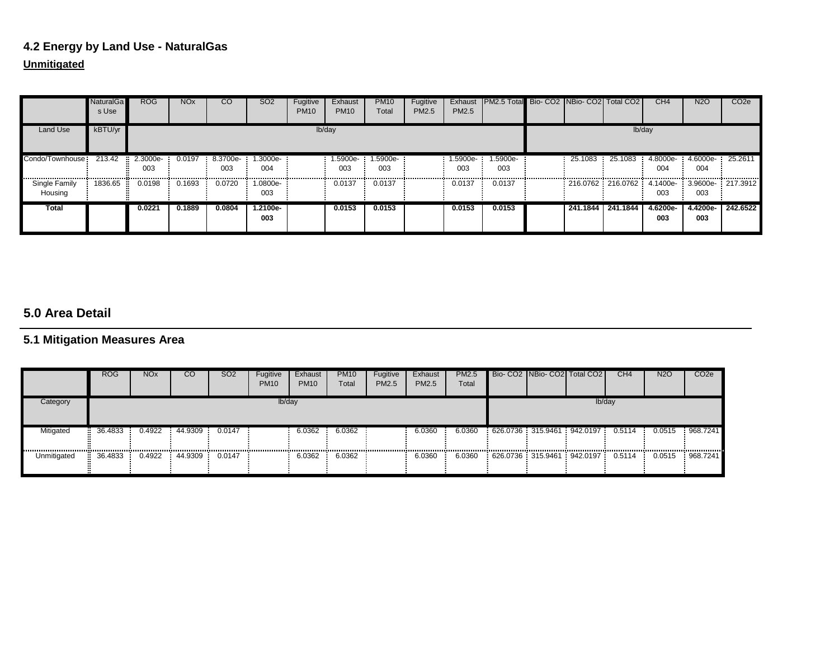# **4.2 Energy by Land Use - NaturalGas**

# **Unmitigated**

|                          | <b>NaturalGa</b><br>s Use | ROG               | <b>NO<sub>x</sub></b> | CO             | SO <sub>2</sub> | Fugitive<br><b>PM10</b> | Exhaust<br><b>PM10</b> | <b>PM10</b><br>Total | Fugitive<br><b>PM2.5</b> | Exhaust<br><b>PM2.5</b> | <b>PM2.5 Total Bio- CO2 INBio- CO2 Total CO2</b> |                     |         | CH <sub>4</sub>                                   | <b>N2O</b>             | CO <sub>2e</sub> |
|--------------------------|---------------------------|-------------------|-----------------------|----------------|-----------------|-------------------------|------------------------|----------------------|--------------------------|-------------------------|--------------------------------------------------|---------------------|---------|---------------------------------------------------|------------------------|------------------|
| Land Use                 | kBTU/yr                   |                   |                       |                |                 |                         | lb/day                 |                      |                          |                         |                                                  |                     |         | lb/day                                            |                        |                  |
| Condo/Townhouse:         | 213.42                    | $2.3000e-$<br>003 | 0.0197                | 8.3700e<br>003 | 1.3000e-<br>004 |                         | 1.5900e-<br>003        | 1.5900e-<br>003      |                          | 1.5900e-<br>003         | 1.5900e-<br>003                                  | 25.1083             | 25.1083 | 4.8000e-<br>004                                   | 4.6000e 25.2611<br>004 |                  |
| Single Family<br>Housing | 1836.65                   | 0.0198            | 0.1693                | 0.0720         | 1.0800e-<br>003 |                         | 0.0137                 | 0.0137               |                          | 0.0137                  | 0.0137                                           |                     |         | 216.0762 216.0762 4.1400e 3.9600e 217.3912<br>003 | 003                    |                  |
| Total                    |                           | 0.0221            | 0.1889                | 0.0804         | 1.2100e-<br>003 |                         | 0.0153                 | 0.0153               |                          | 0.0153                  | 0.0153                                           | 241.1844   241.1844 |         | 4.6200e-<br>003                                   | 4.4200e-<br>003        | 242.6522         |

# **5.0 Area Detail**

# **5.1 Mitigation Measures Area**

|             | <b>ROG</b>    | <b>NO<sub>x</sub></b> | CO             | SO <sub>2</sub> | Fugitive<br><b>PM10</b> | Exhaust<br><b>PM10</b> | <b>PM10</b><br>Total | Fugitive<br>PM2.5 | Exhaust<br>PM2.5 | PM2.5<br>Total | Bio-CO2 NBio-CO2 Total CO2               |  | CH <sub>4</sub> | <b>N2O</b> | CO <sub>2e</sub> |
|-------------|---------------|-----------------------|----------------|-----------------|-------------------------|------------------------|----------------------|-------------------|------------------|----------------|------------------------------------------|--|-----------------|------------|------------------|
| Category    |               |                       |                |                 | lb/day                  |                        |                      |                   |                  |                |                                          |  | lb/day          |            |                  |
| Mitigated   | 36.4833       |                       | 0.4922 44.9309 | 0.0147<br>      |                         | 6.0362<br>------------ | 6.0362               |                   | 6.0360           | 6.0360         | 626.0736 315.9461 942.0197 0.5114 0.0515 |  |                 |            | 968.7241         |
| Unmitigated | 36.4833<br>н. | 0.4922                | 44.9309        | 0.0147          |                         | 6.0362                 | <br>6.0362           | -------------     | 6.0360           | <br>6.0360     | 626.0736:315.9461:942.0197               |  | 0.5114          | 0.0515     | 968.7241         |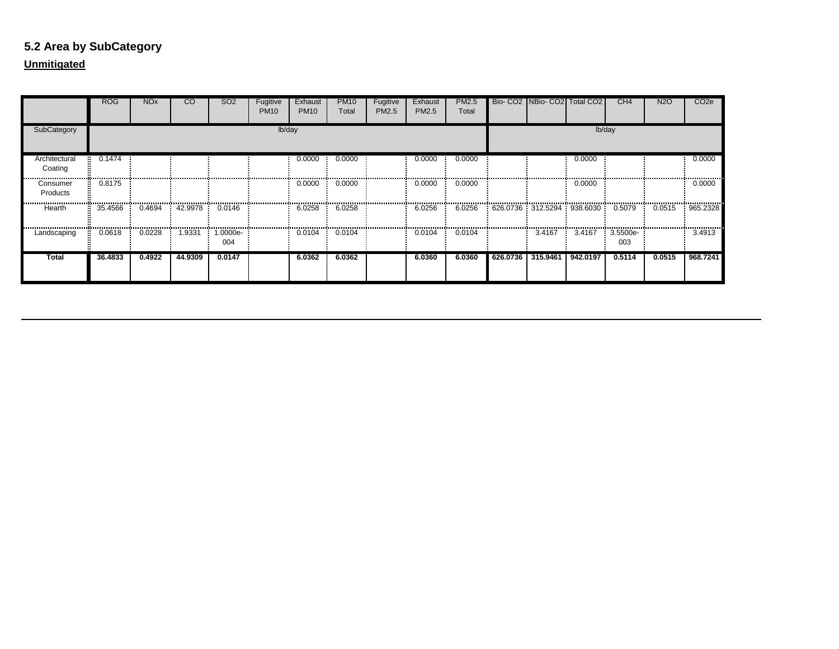# **5.2 Area by SubCategory**

|                          | <b>ROG</b> | <b>NO<sub>x</sub></b> | $\overline{c}$ | SO <sub>2</sub> | Fugitive<br><b>PM10</b> | Exhaust<br><b>PM10</b> | <b>PM10</b><br>Total | Fugitive<br>PM2.5 | Exhaust<br><b>PM2.5</b> | PM2.5<br>Total |                                           | Bio- CO2 NBio- CO2 Total CO2 |          | CH4             | N <sub>2</sub> O | CO <sub>2</sub> e |
|--------------------------|------------|-----------------------|----------------|-----------------|-------------------------|------------------------|----------------------|-------------------|-------------------------|----------------|-------------------------------------------|------------------------------|----------|-----------------|------------------|-------------------|
| SubCategory              |            |                       |                |                 | lb/day                  |                        |                      |                   |                         |                |                                           |                              |          | lb/day          |                  |                   |
| Architectural<br>Coating | 0.1474     |                       |                |                 |                         | 0.0000                 | 0.0000               |                   | 0.0000                  | 0.0000         |                                           |                              | 0.0000   |                 |                  | 0.0000            |
| Consumer<br>Products     | 0.8175     |                       |                |                 |                         | 0.0000                 | 0.0000               |                   | 0.0000                  | 0.0000         |                                           |                              | 0.0000   |                 |                  | 0.0000            |
| Hearth                   | 35.4566    | 0.4694                | 42.9978        | 0.0146          |                         | 6.0258                 | 6.0258               |                   | 6.0256                  | 6.0256         | $626.0736 : 312.5294 : 938.6030 : 0.5079$ |                              |          |                 | 0.0515           | 965.2328          |
| Landscaping              | 0.0618     | 0.0228                | 1.9331         | 1.0000e-<br>004 |                         | 0.0104                 | 0.0104               |                   | 0.0104                  | 0.0104         |                                           | 3.4167                       | 3.4167   | 3.5500e-<br>003 |                  | 3.4913            |
| <b>Total</b>             | 36.4833    | 0.4922                | 44.9309        | 0.0147          |                         | 6.0362                 | 6.0362               |                   | 6.0360                  | 6.0360         | 626.0736                                  | 315.9461                     | 942.0197 | 0.5114          | 0.0515           | 968.7241          |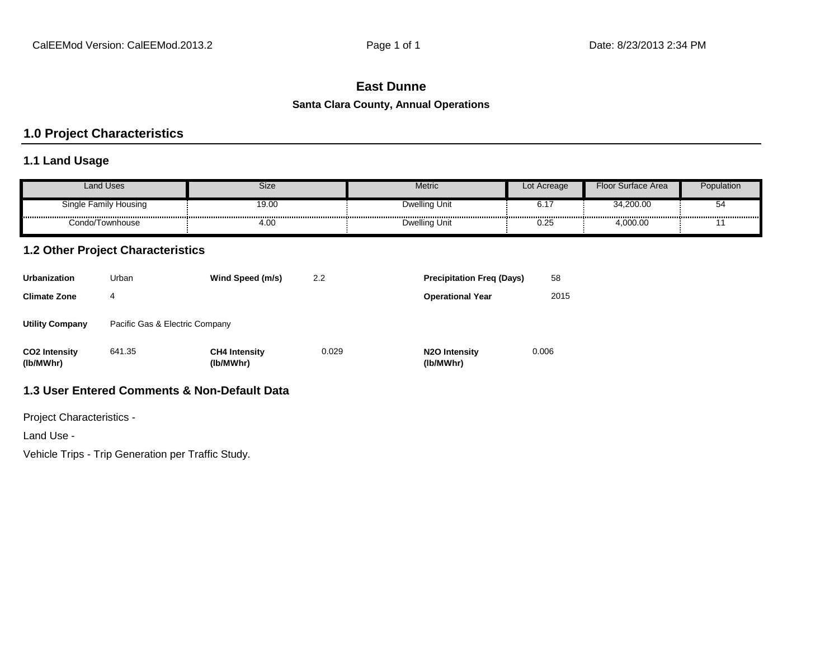# **East Dunne**

#### **Santa Clara County, Annual Operations**

# **1.0 Project Characteristics**

# **1.1 Land Usage**

| <b>Land Uses</b>      | Size  | Metric        | Lot Acreage | Floor<br>r Surface Area | Population |
|-----------------------|-------|---------------|-------------|-------------------------|------------|
| Single Family Housing | 19.00 | Dwelling Unit | ◡.          | 34.200.00               | $\cdot$    |
| Condo/Townhouse       | 4.00  | Dwelling Unit | 0.25        | 1,000.00                |            |

# **1.2 Other Project Characteristics**

| <b>Urbanization</b>               | Urban                          | Wind Speed (m/s)                  | 2.2   | <b>Precipitation Freg (Days)</b>        | 58    |
|-----------------------------------|--------------------------------|-----------------------------------|-------|-----------------------------------------|-------|
| <b>Climate Zone</b>               | 4                              |                                   |       | <b>Operational Year</b>                 | 2015  |
| <b>Utility Company</b>            | Pacific Gas & Electric Company |                                   |       |                                         |       |
| <b>CO2 Intensity</b><br>(lb/MWhr) | 641.35                         | <b>CH4 Intensity</b><br>(lb/MWhr) | 0.029 | N <sub>2</sub> O Intensity<br>(lb/MWhr) | 0.006 |

# **1.3 User Entered Comments & Non-Default Data**

Project Characteristics -

Land Use -

Vehicle Trips - Trip Generation per Traffic Study.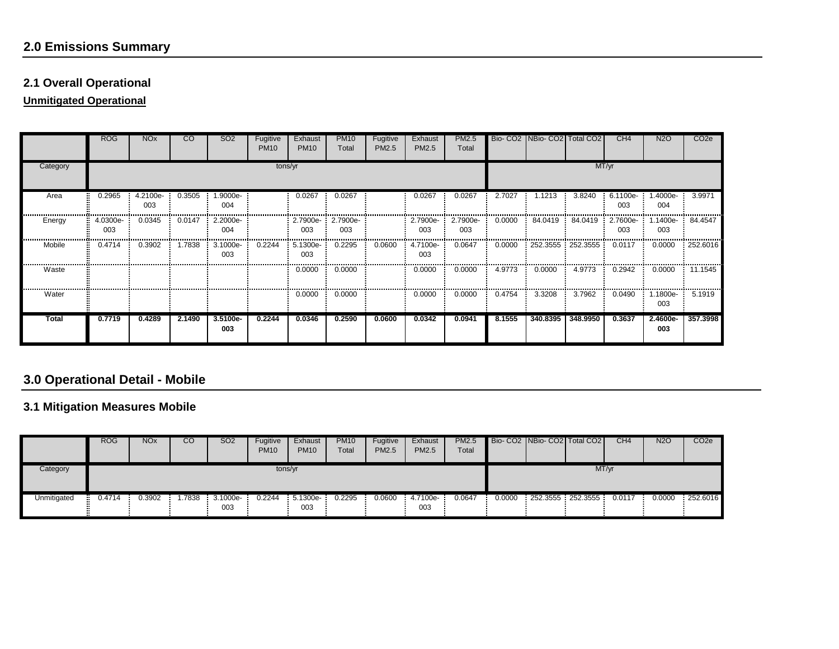# **2.0 Emissions Summary**

# **2.1 Overall Operational**

**Unmitigated Operational**

|          | <b>ROG</b>        | <b>NO<sub>x</sub></b> | CO.    | SO <sub>2</sub> | Fugitive<br><b>PM10</b> | Exhaust<br><b>PM10</b>   | <b>PM10</b><br>Total | Fugitive<br>PM2.5 | Exhaust<br>PM2.5 | PM2.5<br>Total  |        | Bio- CO2 NBio- CO2 Total CO2 |          | CH <sub>4</sub> | N <sub>2</sub> O | CO <sub>2e</sub>          |
|----------|-------------------|-----------------------|--------|-----------------|-------------------------|--------------------------|----------------------|-------------------|------------------|-----------------|--------|------------------------------|----------|-----------------|------------------|---------------------------|
| Category |                   |                       |        |                 | tons/yr                 |                          |                      |                   |                  |                 |        |                              |          | MT/yr           |                  |                           |
| Area     | 0.2965            | 4.2100e-<br>003       | 0.3505 | 1.9000e-<br>004 |                         | 0.0267                   | 0.0267               |                   | 0.0267           | 0.0267          | 2.7027 | 1.1213                       | 3.8240   | 6.1100e-<br>003 | $.4000e-$<br>004 | 3.9971                    |
| Energy   | $4.0300e-$<br>003 | 0.0345                | 0.0147 | 2.2000e-<br>004 |                         | 2.7900e- 2.7900e-<br>003 | 003                  |                   | 2.7900e-<br>003  | 2.7900e-<br>003 | 0.0000 | 84.0419                      | 84.0419  | 2.7600e-<br>003 | $.1400e-$<br>003 | 84.4547                   |
| Mobile   | 0.4714            | 0.3902                | 1.7838 | 3.1000e-<br>003 | 0.2244                  | 5.1300e-<br>003          | 0.2295               | 0.0600            | 4.7100e-<br>003  | 0.0647          | 0.0000 | $252.3555$ $252.3555$        |          | 0.0117          | 0.0000           | 252.6016                  |
| Waste    |                   |                       |        |                 |                         | 0.0000                   | 0.0000               |                   | 0.0000           | 0.0000          | 4.9773 | 0.0000                       | 4.9773   | 0.2942          | 0.0000           | 11.1545                   |
| Water    |                   |                       |        |                 |                         | 0.0000                   | 0.0000               |                   | 0.0000           | 0.0000          | 0.4754 | 3.3208                       | 3.7962   | 0.0490          | 1800e-<br>003    | ,,,,,,,,,,,,,,,<br>5.1919 |
| Total    | 0.7719            | 0.4289                | 2.1490 | 3.5100e-<br>003 | 0.2244                  | 0.0346                   | 0.2590               | 0.0600            | 0.0342           | 0.0941          | 8.1555 | 340.8395                     | 348.9950 | 0.3637          | 2.4600e-<br>003  | 357.3998                  |

# **3.0 Operational Detail - Mobile**

# **3.1 Mitigation Measures Mobile**

|             | <b>ROG</b> | <b>NO<sub>x</sub></b> | <b>CO</b> | SO <sub>2</sub>   | Fugitive<br><b>PM10</b> | Exhaust<br><b>PM10</b> | <b>PM10</b><br>Total | Fugitive<br><b>PM2.5</b> | Exhaust<br><b>PM2.5</b> | PM2.5<br>Total |        | Bio-CO2 NBio-CO2 Total CO2 |       | CH <sub>4</sub> | <b>N2O</b> | CO <sub>2</sub> e |
|-------------|------------|-----------------------|-----------|-------------------|-------------------------|------------------------|----------------------|--------------------------|-------------------------|----------------|--------|----------------------------|-------|-----------------|------------|-------------------|
| Category    |            |                       |           |                   | tons/yr                 |                        |                      |                          |                         |                |        |                            | MT/yr |                 |            |                   |
| Unmitigated | 0.4714     | 0.3902                | 1.7838    | $3.1000e-$<br>003 | 0.2244                  | 5.1300e<br>003         | 0.2295               | 0.0600                   | 4.7100e<br>003          | 0.0647         | 0.0000 | $252.3555$ $252.3555$      |       | 0.0117          | 0.0000     | : 252.6016        |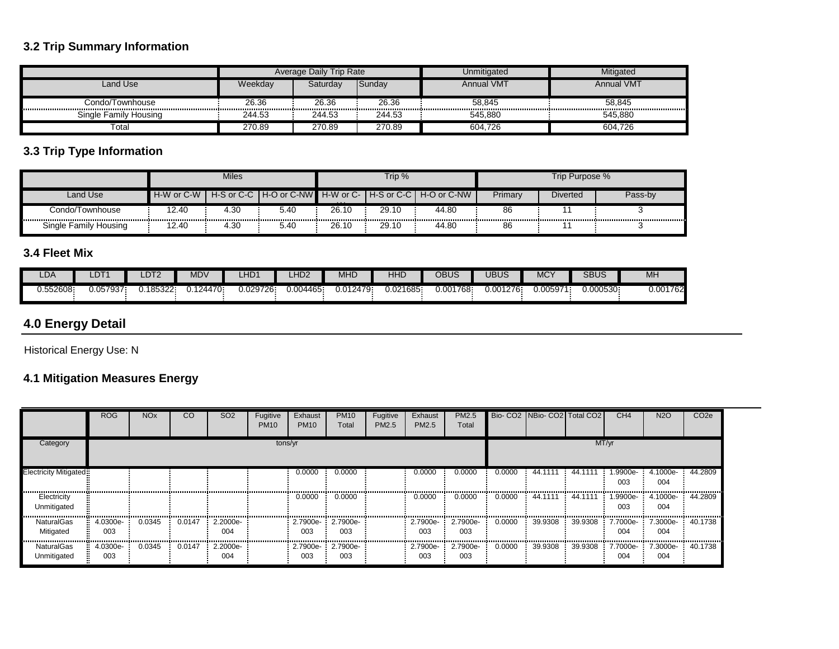# **3.2 Trip Summary Information**

|                       |         | Average Daily Trip Rate |        | Unmitigated       | Mitigated         |
|-----------------------|---------|-------------------------|--------|-------------------|-------------------|
| Land Use              | Weekdav | Saturdav                | Sunday | <b>Annual VMT</b> | <b>Annual VMT</b> |
| Condo/Townhouse       | 26.36   | 26.36                   | 26.36  | 58.845            | 58.845            |
| Single Family Housing | 244.53  | 244.53                  | 244.53 | 545.880           | 545.880           |
| Total                 | 270.89  | 270.89                  | 270.89 | 604.726           | 604.726           |

# **3.3 Trip Type Information**

|                       |                 | Miles      |             |                                               | Trip %         |             |         | Trip Purpose %  |         |
|-----------------------|-----------------|------------|-------------|-----------------------------------------------|----------------|-------------|---------|-----------------|---------|
| Land Use              | $-H-W$ or $C-W$ | H-S or C-C | H-O or C-NW | $\blacksquare$ H-W or C- $\prime$<br>$\cdots$ | I H-S or C-C I | H-O or C-NW | Primary | <b>Diverted</b> | Pass-by |
| Condo/Townhouse       | 12.40           | 4.30       | 5.40        | 26.10                                         | 29.10          | 44.80       | 86      |                 |         |
| Single Family Housing | 12.40           | 4.30       | 5.40        | 26.10                                         | 29.10          | 44.80       | 86      |                 |         |

# **3.4 Fleet Mix**

| LDA         | LDT′     | LDT2     | MDV     | LHD1     | .HD <sub>2</sub> | MHD       | HHD      | OBUS     | <b>JBUS</b> | <b>MCY</b> | <b>SBUS</b> | MH       |
|-------------|----------|----------|---------|----------|------------------|-----------|----------|----------|-------------|------------|-------------|----------|
| - 552608. ر | 0.057937 | .185322. | .124470 | 0.029726 | 0.004465         | 0.012479: | 0.021685 | 0.001768 | 0.001276    | J.005971   | 0.000530    | 0.001762 |

# **4.0 Energy Detail**

Historical Energy Use: N

# **4.1 Mitigation Measures Energy**

|                            | <b>ROG</b>      | <b>NO<sub>x</sub></b> | $\overline{c}$   | SO <sub>2</sub> | Fugitive<br><b>PM10</b> | Exhaust<br><b>PM10</b> | <b>PM10</b><br>Total     | Fugitive<br>PM2.5 | Exhaust<br>PM2.5 | PM2.5<br>Total          |        | Bio-CO2 NBio-CO2 Total CO2 |                   | CH <sub>4</sub>  | <b>N2O</b>                                     | CO <sub>2e</sub> |
|----------------------------|-----------------|-----------------------|------------------|-----------------|-------------------------|------------------------|--------------------------|-------------------|------------------|-------------------------|--------|----------------------------|-------------------|------------------|------------------------------------------------|------------------|
| Category                   |                 |                       |                  |                 | tons/yr                 |                        |                          |                   |                  |                         |        |                            |                   | MT/yr            |                                                |                  |
| Electricity Mitigated:     |                 |                       |                  |                 |                         | 0.0000                 | 0.0000                   |                   | 0.0000           | 0.0000                  | 0.0000 | 44.1111                    | 44.1111           | $.9900e-$<br>003 | 4.1000e- 44.2809<br>004                        |                  |
| Electricity<br>Unmitigated |                 |                       |                  |                 |                         | 0.0000                 | 0.0000                   |                   | 0.0000           | 0.0000                  | 0.0000 | 44.1111                    | 44.1111           | .9900e-<br>003   | 4.1000e-<br>004                                | 44.2809          |
| NaturalGas<br>Mitigated    | 4.0300e-<br>003 | 0.0345                | 0.0147           | 2.2000e-<br>004 |                         | 003                    | 2.7900e- 2.7900e-<br>003 |                   | 2.7900e-<br>003  | 2.7900e-<br>003         | 0.0000 | 39.9308                    | $39.9308$ 7.7000e | 004              | 7.3000e-<br>004                                | 40.1738          |
| NaturalGas<br>Unmitigated  | 4.0300e-<br>003 | 0.0345                | $0.0147$ 2.2000e | 004             |                         | 003                    | 2.7900e- 2.7900e-<br>003 |                   | 003              | 2.7900e-2.7900e-<br>003 | 0.0000 |                            |                   | 004              | 39.9308 39.9308 7.7000e 7.3000e 40.1738<br>004 |                  |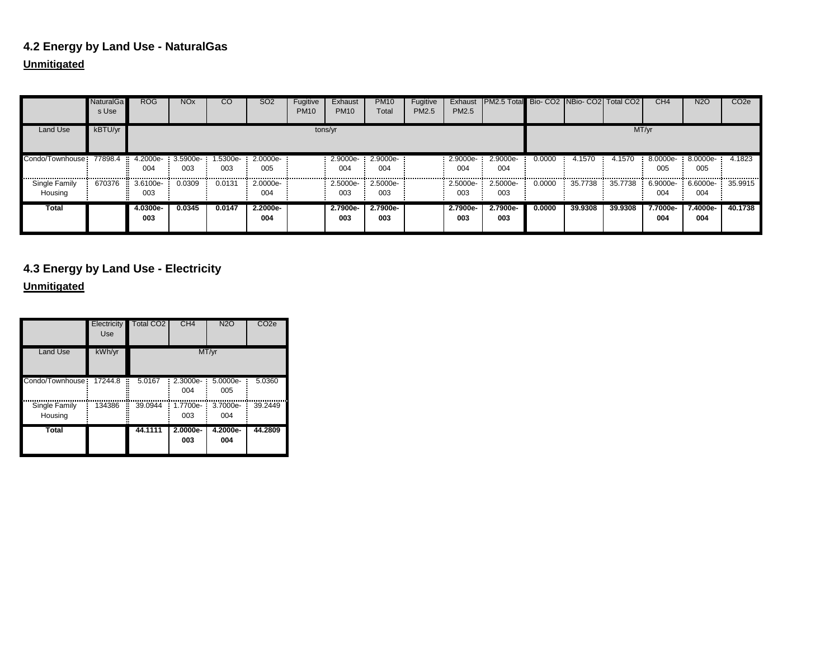# **4.2 Energy by Land Use - NaturalGas**

# **Unmitigated**

|                                     | <b>NaturalGa</b><br>s Use | ROG               | <b>NO<sub>x</sub></b> | <sub>CO</sub>   | SO <sub>2</sub> | Fugitive<br><b>PM10</b> | Exhaust<br><b>PM10</b>   | <b>PM10</b><br>Total | Fugitive<br>PM2.5 | Exhaust<br>PM2.5  | <b>IPM2.5 Total Bio- CO2 INBio- CO2 Total CO2 I</b> |        |         |         | CH <sub>4</sub>                        | <b>N2O</b>            | CO <sub>2e</sub> |
|-------------------------------------|---------------------------|-------------------|-----------------------|-----------------|-----------------|-------------------------|--------------------------|----------------------|-------------------|-------------------|-----------------------------------------------------|--------|---------|---------|----------------------------------------|-----------------------|------------------|
| Land Use                            | kBTU/yr                   |                   |                       |                 |                 | tons/yr                 |                          |                      |                   |                   |                                                     |        |         |         | MT/yr                                  |                       |                  |
| Condo/Townhouse: 77898.4 : 4.2000e- |                           | 004               | 3.5900e-<br>003       | 1.5300e-<br>003 | 2.0000e-<br>005 |                         | 2.9000e- 2.9000e-<br>004 | 004                  |                   | $2.9000e-$<br>004 | 2.9000e-<br>004                                     | 0.0000 | 4.1570  | 4.1570  | $8.0000e-$<br>005                      | $8.0000e-$<br>005<br> | 4.1823<br>.      |
| Single Family<br>Housing            | 670376                    | $3.6100e-$<br>003 | 0.0309                | 0.0131          | 2.0000e-<br>004 |                         | 2.5000e-<br>003          | $2.5000e-$<br>003    |                   | 2.5000e<br>003    | 2.5000e-<br>003                                     | 0.0000 | 35,7738 |         | 35.7738 6.9000e 6.6000e 35.9915<br>004 | 004                   |                  |
| Total                               |                           | 4.0300e-<br>003   | 0.0345                | 0.0147          | 2.2000e-<br>004 |                         | 2.7900e-<br>003          | 2.7900e-<br>003      |                   | 2.7900e-<br>003   | 2.7900e-<br>003                                     | 0.0000 | 39.9308 | 39,9308 | 7.7000e-<br>004                        | 7.4000e-<br>004       | 40.1738          |

**4.3 Energy by Land Use - Electricity**

|                          | Electricity<br>Use | <b>Total CO2</b> | CH <sub>4</sub> | <b>N2O</b>      | CO <sub>2e</sub> |
|--------------------------|--------------------|------------------|-----------------|-----------------|------------------|
| <b>Land Use</b>          | kWh/yr             |                  |                 | MT/yr           |                  |
| Condo/Townhouse          | 17244.8<br>×       | 5.0167           | 2.3000e-<br>004 | 5.0000e-<br>005 | 5.0360           |
| Single Family<br>Housing | 134386             | 39.0944          | 1.7700e-<br>003 | 3.7000e-<br>004 | 39.2449          |
| <b>Total</b>             |                    | 44.1111          | 2.0000e-<br>003 | 4.2000e-<br>004 | 44.2809          |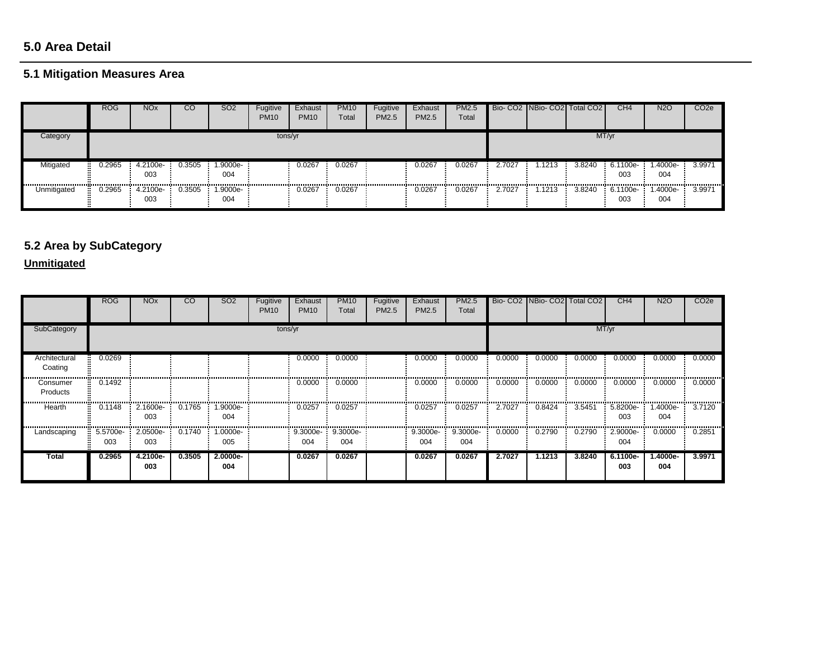# **5.0 Area Detail**

# **5.1 Mitigation Measures Area**

|             | <b>ROG</b> | <b>NOx</b>      | CO     | SO <sub>2</sub> | Fugitive<br><b>PM10</b> | Exhaust<br><b>PM10</b> | <b>PM10</b><br>Total | Fugitive<br>PM2.5 | Exhaust<br><b>PM2.5</b> | PM2.5<br>Total |        | Bio- CO2   NBio- CO2   Total CO2 |        | CH <sub>4</sub>   | <b>N2O</b>      | CO <sub>2e</sub> |
|-------------|------------|-----------------|--------|-----------------|-------------------------|------------------------|----------------------|-------------------|-------------------------|----------------|--------|----------------------------------|--------|-------------------|-----------------|------------------|
| Category    |            |                 |        |                 | tons/yr                 |                        |                      |                   |                         |                |        |                                  |        | MT/yr             |                 |                  |
| Mitigated   | 0.2965     | 4.2100e-<br>003 | 0.3505 | 1.9000e-<br>004 |                         | 0.0267                 | 0.0267               |                   | 0.0267                  | 0.0267         | 2.7027 | .1213                            | 3.8240 | $6.1100e-$<br>003 | 1.4000e-<br>004 | 3.9971           |
| Unmitigated | 0.2965     | 4.2100e<br>003  | 0.3505 | 1.9000e-<br>004 |                         | 0.0267                 | 0.0267               |                   | 0.0267                  | 0.0267         | 2.7027 | 1.1213                           | 3.8240 | 6.1100e-<br>003   | 1.4000e-<br>004 | 3.9971           |

# **5.2 Area by SubCategory**

|                          | ROG             | <b>NO<sub>x</sub></b> | <sub>CO</sub> | SO <sub>2</sub>  | Fugitive<br><b>PM10</b> | Exhaust<br><b>PM10</b> | <b>PM10</b><br>Total | Fugitive<br>PM2.5 | Exhaust<br>PM2.5 | PM2.5<br>Total  |        | Bio- CO2 NBio- CO2 Total CO2 |        | CH <sub>4</sub> | <b>N2O</b>      | CO <sub>2</sub> e |
|--------------------------|-----------------|-----------------------|---------------|------------------|-------------------------|------------------------|----------------------|-------------------|------------------|-----------------|--------|------------------------------|--------|-----------------|-----------------|-------------------|
| SubCategory              | tons/yr         |                       |               |                  |                         |                        |                      |                   |                  | MT/yr           |        |                              |        |                 |                 |                   |
| Architectural<br>Coating | 0.0269          |                       |               |                  |                         | 0.0000                 | 0.0000               |                   | 0.0000           | 0.0000          | 0.0000 | 0.0000                       | 0.0000 | 0.0000          | 0.0000          | 0.0000            |
| Consumer<br>Products     | 0.1492          |                       |               |                  |                         | 0.0000                 | 0.0000               |                   | 0.0000           | 0.0000          | 0.0000 | 0.0000                       | 0.0000 | 0.0000          | 0.0000          | 0.0000            |
| Hearth                   | 0.1148          | 2.1600e-<br>003       | 0.1765        | .9000e-<br>004   |                         | 0.0257                 | 0.0257               |                   | 0.0257           | 0.0257          | 2.7027 | 0.8424                       | 3.5451 | 5.8200e-<br>003 | .4000e-<br>004  | 3.7120            |
| Landscaping              | 5.5700e-<br>003 | 2.0500e-<br>003       | 0.1740        | $.0000e-$<br>005 |                         | 9.3000e-<br>004        | 9.3000e-<br>004      |                   | 9.3000e-<br>004  | 9.3000e-<br>004 | 0.0000 | 0.2790                       | 0.2790 | 2.9000e-<br>004 | 0.0000          | 0.2851            |
| Total                    | 0.2965          | 4.2100e-<br>003       | 0.3505        | 2.0000e-<br>004  |                         | 0.0267                 | 0.0267               |                   | 0.0267           | 0.0267          | 2.7027 | 1.1213                       | 3.8240 | 6.1100e-<br>003 | 1.4000e-<br>004 | 3.9971            |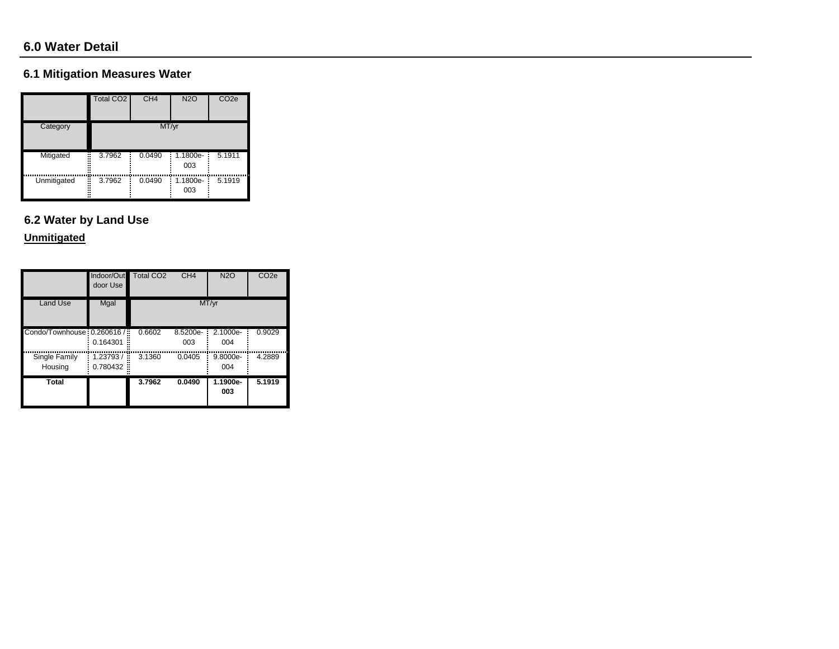# **6.1 Mitigation Measures Water**

|                  | Total CO2   | CH <sub>4</sub> | <b>N2O</b>      | CO <sub>2e</sub> |
|------------------|-------------|-----------------|-----------------|------------------|
| Category         |             | MT/yr           |                 |                  |
| Mitigated        | 3.7962<br>× | 0.0490          | 1.1800e-<br>003 | 5.1911           |
| Unmitigated<br>H | 3.7962      | 0.0490          | 1.1800e-<br>003 | 5.1919           |

# **6.2 Water by Land Use**

|                             | Indoor/Out<br>door Use | <b>Total CO2</b> | CH4             | <b>N2O</b>      | CO <sub>2</sub> e |
|-----------------------------|------------------------|------------------|-----------------|-----------------|-------------------|
| <b>Land Use</b>             | Mgal                   |                  |                 | MT/vr           |                   |
| Condo/Townhouse: 0.260616 / | 0.164301               | 0.6602           | 8.5200e-<br>003 | 2.1000e-<br>004 | 0.9029            |
| Single Family<br>Housing    | 1.23793/<br>0.780432   | 3.1360<br>×      | 0.0405          | 9.8000e-<br>004 | 4.2889            |
| <b>Total</b>                |                        | 3.7962           | 0.0490          | 1.1900e-<br>003 | 5.1919            |